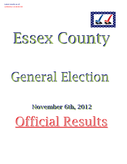

# Essex County

# General Election

# **November 6th, 2012** Official Results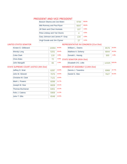## PRESIDENT AND VICE PRESIDENT

| Barack Obama and Joe Biden     | 9784 | 58.6% |
|--------------------------------|------|-------|
| Mitt Romney and Paul Ryan      | 6647 | 39.8% |
| Jill Stein and Cheri Honkala   | 107  | 0.6%  |
| Peta Lindsay and Yari Osorio   | 4    | 0.0%  |
| Gary Johnson and James P. Gray | 134  | 0.8%  |
| Virgil Goode and Jim Clymer    | 27   | 0.2%  |

#### UNITED STATES SENATOR

#### REPRESENTATIVE IN CONGRESS (21st Dist)

| Kirsten E. Gillibrand | 10094 | 64.9% | William L. Owens               | 8576  | 54.6%  |
|-----------------------|-------|-------|--------------------------------|-------|--------|
| <b>Wendy Long</b>     | 5201  | 33.4% | Matthew A. Doheny              | 6844  | 43.5%  |
| Colia Clark           | 118   | 0.8%  | Donald L. Hassig               | 300   | 1.9%   |
| <b>Chris Edes</b>     | 72    |       | 0.5% STATE SENATOR (45th Dist) |       |        |
| John Mangelli         | 65    | 0.4%  | Elizabeth O'C. Little          | 12325 | 100.0% |

#### STATE SUPREME COURT JUSTICE (4th Dist) MEMBER OF ASSEMBLY (114th Dist)

| Jeffrey D. Wait    | 6287 | 12.0% |
|--------------------|------|-------|
| John M. Silvestri  | 7075 | 13.5% |
| Christine M. Clark | 7121 | 13.6% |
| Mark L. Powers     | 6099 | 11.7% |
| Joseph M. Sise     | 6828 | 13.1% |
| Thomas Buchanan    | 6401 | 12.2% |
| Felix J. Catena    | 5909 | 11.3% |
| John T. Ellis      | 6548 | 12.5% |

| Dennis J. Tarantino |  |       |
|---------------------|--|-------|
| Daniel G. Stec      |  | 52.3% |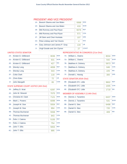#### PRESIDENT AND VICE PRESIDENT

 $\sim$ 

| <b>WOR</b><br>1D:<br>Barack Obama and Joe Biden<br>416<br><b>REP</b><br>1B:<br>Mitt Romney and Paul Ryan<br>6076<br><b>CON</b><br>1C:<br>Mitt Romney and Paul Ryan<br>571<br><b>GRE</b><br>1F <sub>2</sub><br>Jill Stein and Cheri Honkala<br>107<br><b>SOC</b><br>Peta Lindsay and Yari Osorio<br>$1G$ :<br>4<br><b>LIB</b><br>$1H$ :<br>Gary Johnson and James P. Gray<br>134<br>1 <sub>1</sub><br>Virgil Goode and Jim Clymer<br>27 | $1A$ : | Barack Obama and Joe Biden | 9368 | <b>DFM</b>   |
|----------------------------------------------------------------------------------------------------------------------------------------------------------------------------------------------------------------------------------------------------------------------------------------------------------------------------------------------------------------------------------------------------------------------------------------|--------|----------------------------|------|--------------|
|                                                                                                                                                                                                                                                                                                                                                                                                                                        |        |                            |      |              |
|                                                                                                                                                                                                                                                                                                                                                                                                                                        |        |                            |      |              |
|                                                                                                                                                                                                                                                                                                                                                                                                                                        |        |                            |      |              |
|                                                                                                                                                                                                                                                                                                                                                                                                                                        |        |                            |      |              |
|                                                                                                                                                                                                                                                                                                                                                                                                                                        |        |                            |      |              |
|                                                                                                                                                                                                                                                                                                                                                                                                                                        |        |                            |      |              |
|                                                                                                                                                                                                                                                                                                                                                                                                                                        |        |                            |      | <b>CONST</b> |

#### UNITED STATES SENATOR

| 2A <sub>1</sub> | Kirsten E. Gillibrand | 9036 | <b>DFM</b> |
|-----------------|-----------------------|------|------------|
| 2D:             | Kirsten F. Gillibrand | 631  | <b>WOR</b> |
| $2F$ :          | Kirsten E. Gillibrand | 427  | <b>IND</b> |
| 2B:             | <b>Wendy Long</b>     | 4658 | <b>REP</b> |
| $2C$ :          | <b>Wendy Long</b>     | 543  | CON        |
| $2F^+$          | Colia Clark           | 118  | <b>GRE</b> |
| 2H:             | <b>Chris Edes</b>     | 72   | <b>LIB</b> |
| $2$ :           | John Mangelli         | 65   | <b>COM</b> |

#### REPRESENTATIVE IN CONGRESS (21st Dist)

| $7A$ : | William L. Owens  | 8034 | <b>DEM</b> |
|--------|-------------------|------|------------|
| 7D:    | William L. Owens  | 542  | <b>WOR</b> |
| 7B:    | Matthew A. Doheny | 5973 | <b>REP</b> |
| 7C:    | Matthew A. Doheny | 646  | <b>CON</b> |
| 7E:    | Matthew A. Doheny | 225  | <b>IND</b> |
| 7F:    | Donald L. Hassig  | 300  | <b>GRE</b> |

#### STATE SENATOR (45th Dist)

| 8B: Elizabeth O'C. Little | 9602 REP   |  |
|---------------------------|------------|--|
| 8C: Elizabeth O'C. Little | 1005 CON   |  |
| 8E: Elizabeth O'C. Little | $1718$ IND |  |

## STATE SUPREME COURT JUSTICE (4th Dist)

| <b>DEM</b><br>4A:<br>John M. Silvestri<br>7075<br><b>DEM</b><br>5A:<br>Christine M. Clark<br>7121<br><b>DEM</b><br>6A:<br>Mark L. Powers<br>6099<br><b>REP</b><br>3B:<br>Joseph M. Sise<br>5934<br><b>CON</b><br>$3C$ :<br>Joseph M. Sise<br>894<br><b>REP</b><br>4B:<br><b>Thomas Buchanan</b><br>5558<br><b>CON</b><br>4C<br><b>Thomas Buchanan</b><br>843<br><b>REP</b><br>$5B$ :<br>Felix J. Catena<br>5155<br><b>CON</b><br>$5C$ :<br>Felix J. Catena<br>754<br><b>REP</b><br>John T. Ellis<br>6B:<br>5653<br><b>CON</b><br>$6C$ :<br>John T. Ellis<br>895 | $3A$ : | Jeffrey D. Wait | 6287 | <b>DEM</b> |
|-----------------------------------------------------------------------------------------------------------------------------------------------------------------------------------------------------------------------------------------------------------------------------------------------------------------------------------------------------------------------------------------------------------------------------------------------------------------------------------------------------------------------------------------------------------------|--------|-----------------|------|------------|
|                                                                                                                                                                                                                                                                                                                                                                                                                                                                                                                                                                 |        |                 |      |            |
|                                                                                                                                                                                                                                                                                                                                                                                                                                                                                                                                                                 |        |                 |      |            |
|                                                                                                                                                                                                                                                                                                                                                                                                                                                                                                                                                                 |        |                 |      |            |
|                                                                                                                                                                                                                                                                                                                                                                                                                                                                                                                                                                 |        |                 |      |            |
|                                                                                                                                                                                                                                                                                                                                                                                                                                                                                                                                                                 |        |                 |      |            |
|                                                                                                                                                                                                                                                                                                                                                                                                                                                                                                                                                                 |        |                 |      |            |
|                                                                                                                                                                                                                                                                                                                                                                                                                                                                                                                                                                 |        |                 |      |            |
|                                                                                                                                                                                                                                                                                                                                                                                                                                                                                                                                                                 |        |                 |      |            |
|                                                                                                                                                                                                                                                                                                                                                                                                                                                                                                                                                                 |        |                 |      |            |
|                                                                                                                                                                                                                                                                                                                                                                                                                                                                                                                                                                 |        |                 |      |            |
|                                                                                                                                                                                                                                                                                                                                                                                                                                                                                                                                                                 |        |                 |      |            |

| 9A: | Dennis J. Tarantino | 6437 | <b>DEM</b> |
|-----|---------------------|------|------------|
| 9D: | Dennis J. Tarantino | 531  | <b>WOR</b> |
| 9B: | Daniel G. Stec      | 6498 | <b>REP</b> |
|     | 9C: Daniel G. Stec  | 720  | <b>CON</b> |
| 9E: | Daniel G. Stec      | 409  | <b>IND</b> |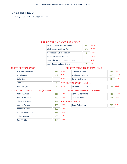# CHESTERFIELD

Assy Dist 114th - Cong Dist 21st

#### PRESIDENT AND VICE PRESIDENT

| Barack Obama and Joe Biden     | 624 | 58.7% |
|--------------------------------|-----|-------|
| Mitt Romney and Paul Ryan      | 424 | 39.9% |
| Jill Stein and Cheri Honkala   | 9   | 0.8%  |
| Peta Lindsay and Yari Osorio   | Ω   | 0.0%  |
| Gary Johnson and James P. Gray | 6   | 0.6%  |
| Virgil Goode and Jim Clymer    |     | 0.0%  |

#### UNITED STATES SENATOR

| Kirsten E. Gillibrand | 611 | 61.8% |
|-----------------------|-----|-------|
| Wendy Long            | 359 | 36.3% |
| Colia Clark           | 8   | 0.8%  |
| <b>Chris Edes</b>     | 6   | 0.6%  |
| John Mangelli         | 5   | 0.5%  |

#### REPRESENTATIVE IN CONGRESS (21st Dist)

| ℅ | William L. Owens                | 556 | 54.1%  |
|---|---------------------------------|-----|--------|
| % | Matthew A. Doheny               | 450 | 43.8%  |
|   | Donald L. Hassig                | 22  | 2.1%   |
|   | STATE SENATOR (45th Dist)       |     |        |
|   | Elizabeth O'C. Little           | 781 | 100.0% |
|   | MEMBER OF ASSEMBLY (114th Dist) |     |        |

#### STATE SUPREME COURT JUSTICE (4th Dist)

| Jeffrey D. Wait           | 411 | 12.5% |
|---------------------------|-----|-------|
| John M. Silvestri         | 389 | 11.8% |
| <b>Christine M. Clark</b> | 437 | 13.3% |
| Mark L. Powers            | 403 | 12.2% |
| Joseph M. Sise            | 437 | 13.3% |
| Thomas Buchanan           | 433 | 13.1% |
| Felix J. Catena           | 383 | 11.6% |
| John T. Ellis             | 404 | 12.3% |

| Dennis J. Tarantino |  | 48.0% |
|---------------------|--|-------|
| Daniel G. Stec      |  |       |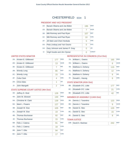# CHESTERFIELD ED#: 1

#### PRESIDENT AND VICE PRESIDENT

| 1A <sup>2</sup> | Barack Obama and Joe Biden     | 195 | <b>DFM</b>   |
|-----------------|--------------------------------|-----|--------------|
| 1D:             | Barack Obama and Joe Biden     | 7   | <b>WOR</b>   |
| 1B:             | Mitt Romney and Paul Ryan      | 107 | <b>REP</b>   |
|                 | 1C: Mitt Romney and Paul Ryan  | 10  | <b>CON</b>   |
| $1F$ :          | Jill Stein and Cheri Honkala   | 5   | <b>GRE</b>   |
| 1G:             | Peta Lindsay and Yari Osorio   | O   | <b>SOC</b>   |
| 1H:             | Gary Johnson and James P. Gray | Ω   | <b>LIB</b>   |
| $1$ :           | Virgil Goode and Jim Clymer    | ∩   | <b>CONST</b> |

#### UNITED STATES SENATOR

| 2A <sub>1</sub> | Kirsten E. Gillibrand | 177 | <b>DEM</b> |
|-----------------|-----------------------|-----|------------|
| 2D:             | Kirsten E. Gillibrand | 13  | <b>WOR</b> |
| 2E:             | Kirsten E. Gillibrand | 7   | <b>IND</b> |
| 2B:             | <b>Wendy Long</b>     | 85  | <b>RFP</b> |
| 2C:             | <b>Wendy Long</b>     | 15  | <b>CON</b> |
| 2F <sub>1</sub> | Colia Clark           | 4   | <b>GRE</b> |
| 2H:             | Chris Edes            | 1   | LIB        |
| $2$ :           | John Mangelli         | 2   | <b>COM</b> |
|                 |                       |     |            |

#### STATE SUPREME COURT JUSTICE (4th Dist)

| $3A$ : | Jeffrey D. Wait        | 128 | <b>DEM</b> |
|--------|------------------------|-----|------------|
| 4A:    | John M. Silvestri      | 130 | <b>DEM</b> |
| 5A:    | Christine M. Clark     | 139 | <b>DEM</b> |
| 6A:    | Mark L. Powers         | 127 | <b>DEM</b> |
| 3B:    | Joseph M. Sise         | 105 | <b>REP</b> |
| 3C:    | Joseph M. Sise         | 19  | <b>CON</b> |
| 4B:    | <b>Thomas Buchanan</b> | 92  | <b>REP</b> |
| 4C     | <b>Thomas Buchanan</b> | 15  | <b>CON</b> |
| 5B:    | Felix J. Catena        | 91  | <b>REP</b> |
| 5C:    | Felix J. Catena        | 18  | <b>CON</b> |
| 6B:    | John T. Ellis          | 94  | <b>REP</b> |
| 6C:    | John T. Ellis          | 17  | <b>CON</b> |

#### REPRESENTATIVE IN CONGRESS (21st Dist)

| <b>DEM</b> |
|------------|
| <b>WOR</b> |
| <b>REP</b> |
| <b>CON</b> |
| <b>IND</b> |
| <b>GRE</b> |
|            |

#### STATE SENATOR (45th Dist)

| 8B: Elizabeth O'C. Little | 177 | <b>REP</b> |
|---------------------------|-----|------------|
| 8C: Elizabeth O'C. Little |     | <b>CON</b> |
| 8E: Elizabeth O'C. Little |     | <b>IND</b> |

#### MEMBER OF ASSEMBLY (114th Dist)

|     | 9A: Dennis J. Tarantino | 123 | DEM        |
|-----|-------------------------|-----|------------|
| 9D: | Dennis J. Tarantino     | 9   | <b>WOR</b> |
| 9B: | Daniel G. Stec          | 125 | <b>REP</b> |
| 9C: | Daniel G. Stec          | 15  | <b>CON</b> |
| 9E: | Daniel G. Stec          | 8   | <b>IND</b> |
|     |                         |     |            |

| 10B: David A. Bashaw |  | 242 | <b>REP</b> |
|----------------------|--|-----|------------|
|----------------------|--|-----|------------|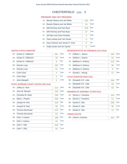# CHESTERFIELD ED#: 2

#### PRESIDENT AND VICE PRESIDENT

| $1A$ :         | Barack Obama and Joe Biden     | 315 | <b>DEM</b>   |
|----------------|--------------------------------|-----|--------------|
| 1D:            | Barack Obama and Joe Biden     | 16  | <b>WOR</b>   |
| 1B:            | Mitt Romney and Paul Ryan      | 229 | <b>REP</b>   |
| 1C:            | Mitt Romney and Paul Ryan      | 27  | <b>CON</b>   |
| $1F$ :         | Jill Stein and Cheri Honkala   | 4   | <b>GRE</b>   |
| 1G:            | Peta Lindsay and Yari Osorio   | ⋂   | <b>SOC</b>   |
| 1H:            | Gary Johnson and James P. Gray | 6   | <b>LIB</b>   |
| 1 <sub>1</sub> | Virgil Goode and Jim Clymer    | Ω   | <b>CONST</b> |

#### UNITED STATES SENATOR

| 2A <sup>2</sup> | Kirsten E. Gillibrand | 291            | <b>DEM</b> |
|-----------------|-----------------------|----------------|------------|
| 2D:             | Kirsten E. Gillibrand | 28             | <b>WOR</b> |
| 2E:             | Kirsten E. Gillibrand | 8              | <b>IND</b> |
| 2B:             | <b>Wendy Long</b>     | 182            | <b>REP</b> |
| 2C:             | Wendy Long            | 31             | <b>CON</b> |
| 2F:             | Colia Clark           | 4              | <b>GRE</b> |
| 2H:             | <b>Chris Edes</b>     | 3              | LIB        |
| $2$ :           | John Mangelli         | $\overline{2}$ | <b>COM</b> |

#### STATE SUPREME COURT JUSTICE (4th Dist)

| $3A$ : | Jeffrey D. Wait        | 214 | <b>DEM</b> |
|--------|------------------------|-----|------------|
| 4A:    | John M. Silvestri      | 194 | <b>DEM</b> |
| 5A:    | Christine M. Clark     | 230 | <b>DEM</b> |
| 6A:    | Mark L. Powers         | 209 | <b>DEM</b> |
| 3B:    | Joseph M. Sise         | 219 | <b>REP</b> |
| 3C:    | Joseph M. Sise         | 48  | <b>CON</b> |
| 4B:    | <b>Thomas Buchanan</b> | 224 | <b>REP</b> |
| 4C     | Thomas Buchanan        | 53  | <b>CON</b> |
| 5B:    | Felix J. Catena        | 189 | <b>REP</b> |
| 5C:    | Felix J. Catena        | 44  | <b>CON</b> |
| 6B:    | John T. Ellis          | 200 | <b>REP</b> |
| $6C$ : | John T. Ellis          | 45  | <b>CON</b> |

#### REPRESENTATIVE IN CONGRESS (21st Dist)

| 7A: | William L. Owens  | 285 | <b>DEM</b> |
|-----|-------------------|-----|------------|
| 7D: | William L. Owens  | 23  | <b>WOR</b> |
| 7B: | Matthew A. Doheny | 213 | <b>REP</b> |
| 7C: | Matthew A. Doheny | 36  | <b>CON</b> |
| 7E: | Matthew A. Doheny | 8   | <b>IND</b> |
| 7F: | Donald L. Hassig  | 12  | <b>GRE</b> |

#### STATE SENATOR (45th Dist)

| 8B: Elizabeth O'C. Little | 350 | <b>REP</b> |
|---------------------------|-----|------------|
| 8C: Elizabeth O'C. Little | 43  | <b>CON</b> |
| 8E: Elizabeth O'C. Little | 43  | IND        |

#### MEMBER OF ASSEMBLY (114th Dist)

| 9A: | Dennis J. Tarantino | 220 | <b>DEM</b> |
|-----|---------------------|-----|------------|
| 9D: | Dennis J. Tarantino | 21  | <b>WOR</b> |
| 9B: | Daniel G. Stec      | 226 | <b>REP</b> |
| 9C: | Daniel G. Stec      | 35  | <b>CON</b> |
| 9E: | Daniel G. Stec      | 14  | <b>IND</b> |
|     |                     |     |            |

|  | 10B: David A. Bashaw | $425$ REP |  |
|--|----------------------|-----------|--|
|--|----------------------|-----------|--|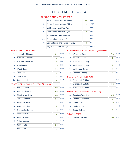# CHESTERFIELD ED#: 4

#### PRESIDENT AND VICE PRESIDENT

| $1A$ :         | Barack Obama and Joe Biden     | 89 | <b>DEM</b>   |
|----------------|--------------------------------|----|--------------|
| 1D:            | Barack Obama and Joe Biden     | 2  | <b>WOR</b>   |
| 1B:            | Mitt Romney and Paul Ryan      | 44 | <b>REP</b>   |
| 1C:            | Mitt Romney and Paul Ryan      | 7  | <b>CON</b>   |
| $1F$ :         | Jill Stein and Cheri Honkala   | 0  | <b>GRE</b>   |
| $1G$ :         | Peta Lindsay and Yari Osorio   | ⋂  | <b>SOC</b>   |
| 1H:            | Gary Johnson and James P. Gray |    | <b>LIB</b>   |
| 1 <sub>1</sub> | Virgil Goode and Jim Clymer    | Ω  | <b>CONST</b> |

#### UNITED STATES SENATOR

| 2A    | Kirsten E. Gillibrand | 81             | <b>DEM</b> |
|-------|-----------------------|----------------|------------|
| 2D:   | Kirsten E. Gillibrand | 3              | <b>WOR</b> |
| 2E:   | Kirsten E. Gillibrand | 3              | <b>IND</b> |
| 2B:   | <b>Wendy Long</b>     | 35             | <b>REP</b> |
| 2C:   | Wendy Long            | 11             | <b>CON</b> |
| 2F:   | Colia Clark           | 0              | <b>GRF</b> |
| 2H:   | <b>Chris Edes</b>     | $\overline{2}$ | <b>LIB</b> |
| $2$ : | John Mangelli         | 1              | <b>COM</b> |

#### STATE SUPREME COURT JUSTICE (4th Dist)

| $3A$ : | Jeffrey D. Wait        | 69 | <b>DEM</b> |
|--------|------------------------|----|------------|
| $4A$ : | John M. Silvestri      | 65 | <b>DEM</b> |
| $5A$ : | Christine M. Clark     | 68 | <b>DEM</b> |
| 6A:    | Mark L. Powers         | 67 | <b>DEM</b> |
| 3B:    | Joseph M. Sise         | 37 | <b>REP</b> |
| 3C:    | Joseph M. Sise         | 9  | <b>CON</b> |
| 4B:    | <b>Thomas Buchanan</b> | 40 | <b>RFP</b> |
| 4C     | Thomas Buchanan        | 9  | <b>CON</b> |
| 5B:    | Felix J. Catena        | 33 | <b>REP</b> |
| $5C$ : | Felix J. Catena        | 8  | <b>CON</b> |
| 6B:    | John T. Ellis          | 39 | <b>REP</b> |
| $6C$ : | John T. Ellis          | 9  | <b>CON</b> |

#### REPRESENTATIVE IN CONGRESS (21st Dist)

| 7A: | William L. Owens  | 76            | <b>DEM</b> |
|-----|-------------------|---------------|------------|
| 7D: | William L. Owens  |               | <b>WOR</b> |
| 7B: | Matthew A. Doheny | 47            | <b>REP</b> |
| 7C: | Matthew A. Doheny | 9             | <b>CON</b> |
| 7E: | Matthew A. Doheny | $\mathcal{P}$ | <b>IND</b> |
| 7F: | Donald L. Hassig  |               | <b>GRF</b> |

#### STATE SENATOR (45th Dist)

| 8B: Elizabeth O'C. Little | 72 | <b>REP</b> |
|---------------------------|----|------------|
| 8C: Elizabeth O'C. Little | 16 | <b>CON</b> |
| 8E: Elizabeth O'C. Little |    | IND        |

#### MEMBER OF ASSEMBLY (114th Dist)

|     | 9A: Dennis J. Tarantino | 65 | <b>DFM</b> |
|-----|-------------------------|----|------------|
| 9D: | Dennis J. Tarantino     | 3  | <b>WOR</b> |
| 9B: | Daniel G. Stec          | 39 | <b>RFP</b> |
| 9C: | Daniel G. Stec          | 11 | <b>CON</b> |
| 9E: | Daniel G. Stec          |    | <b>IND</b> |
|     | - -                     |    |            |

|  | 10B: David A. Bashaw | $\parallel$ 115 REP |  |
|--|----------------------|---------------------|--|
|--|----------------------|---------------------|--|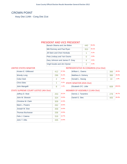## CROWN POINT

Assy Dist 114th - Cong Dist 21st

#### PRESIDENT AND VICE PRESIDENT

| Barack Obama and Joe Biden     | 440 | 55.0% |
|--------------------------------|-----|-------|
| Mitt Romney and Paul Ryan      | 353 | 44.1% |
| Jill Stein and Cheri Honkala   |     | 0.1%  |
| Peta Lindsay and Yari Osorio   |     | 0.0%  |
| Gary Johnson and James P. Gray | 4   | 0.5%  |
| Virgil Goode and Jim Clymer    | 2   | 0.3%  |

#### UNITED STATES SENATOR

| Kirsten E. Gillibrand | 412 | 57.3%      |
|-----------------------|-----|------------|
| <b>Wendy Long</b>     | 296 | 41.2%      |
| Colia Clark           | 2   | 0.3%       |
| <b>Chris Edes</b>     |     | 0.1%<br>Ċ. |
| John Mangelli         | 8   | 1.1%       |

#### REPRESENTATIVE IN CONGRESS (21st Dist)

| William L. Owens                       | 366 | 49.3%  |
|----------------------------------------|-----|--------|
| Matthew A. Doheny                      | 366 | 49.3%  |
| Donald L. Hassig                       | 10  | 1.3%   |
| <b>STATE SENATOR (45th Dist)</b>       |     |        |
| Elizabeth O'C. Little                  | 608 | 100.0% |
| <b>MEMBER OF ASSEMBLY (114th Dist)</b> |     |        |

#### STATE SUPREME COURT JUSTICE (4th Dist)

| Jeffrey D. Wait        | 253 | 10.1% |
|------------------------|-----|-------|
| John M. Silvestri      | 324 | 13.0% |
| Christine M. Clark     | 309 | 12.4% |
| Mark L. Powers         | 262 | 10.5% |
| Joseph M. Sise         | 358 | 14.4% |
| <b>Thomas Buchanan</b> | 336 | 13.5% |
| Felix J. Catena        | 316 | 12.7% |
| John T. Ellis          | 335 | 13.4% |
|                        |     |       |

| Dennis J. Tarantino | 40.7% |
|---------------------|-------|
| Daniel G. Stec      | 59.3% |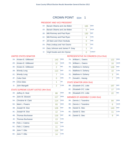# CROWN POINT ED#: 1

#### PRESIDENT AND VICE PRESIDENT

| 1A <sup>2</sup> | Barack Obama and Joe Biden     | 165 | <b>DFM</b>   |
|-----------------|--------------------------------|-----|--------------|
| 1D:             | Barack Obama and Joe Biden     | 5   | <b>WOR</b>   |
| 1B:             | Mitt Romney and Paul Ryan      | 130 | <b>RFP</b>   |
| 1C:             | Mitt Romney and Paul Ryan      | 4   | <b>CON</b>   |
| $1F$ :          | Jill Stein and Cheri Honkala   | 0   | GRF          |
| 1G:             | Peta Lindsay and Yari Osorio   | 0   | <b>SOC</b>   |
| 1H:             | Gary Johnson and James P. Gray | 1   | <b>LIB</b>   |
| 11:             | Virgil Goode and Jim Clymer    | ∩   | <b>CONST</b> |

#### UNITED STATES SENATOR

| $2A$ : | Kirsten E. Gillibrand | 143            | <b>DEM</b> |
|--------|-----------------------|----------------|------------|
| 2D:    | Kirsten E. Gillibrand | 12             | <b>WOR</b> |
| 2E:    | Kirsten E. Gillibrand | $\overline{2}$ | <b>IND</b> |
| 2B:    | <b>Wendy Long</b>     | 113            | <b>REP</b> |
| 2C:    | <b>Wendy Long</b>     | 7              | <b>CON</b> |
| 2F:    | Colia Clark           | Λ              | <b>GRE</b> |
| 2H:    | <b>Chris Edes</b>     | 1              | LIB        |
| $2$ :  | John Mangelli         | $\overline{2}$ | <b>COM</b> |
|        |                       |                |            |

#### STATE SUPREME COURT JUSTICE (4th Dist)

| $3A$ : | Jeffrey D. Wait        | 88  | <b>DEM</b> |
|--------|------------------------|-----|------------|
| 4A:    | John M. Silvestri      | 117 | <b>DEM</b> |
| 5A:    | Christine M. Clark     | 114 | <b>DEM</b> |
| 6A:    | Mark L. Powers         | 93  | <b>DEM</b> |
| 3B:    | Joseph M. Sise         | 126 | <b>REP</b> |
| 3C:    | Joseph M. Sise         | 12  | <b>CON</b> |
| 4B:    | <b>Thomas Buchanan</b> | 116 | <b>REP</b> |
| 4C     | Thomas Buchanan        | 13  | <b>CON</b> |
| 5B:    | Felix J. Catena        | 111 | <b>REP</b> |
| $5C$ : | Felix J. Catena        | 11  | <b>CON</b> |
| 6B:    | John T. Ellis          | 115 | <b>REP</b> |
| 6C:    | John T. Ellis          | 14  | <b>CON</b> |

## REPRESENTATIVE IN CONGRESS (21st Dist)

|     | 7A: William L. Owens | 122 | <b>DEM</b> |
|-----|----------------------|-----|------------|
| 7D: | William L. Owens     | 10  | <b>WOR</b> |
| 7B: | Matthew A. Doheny    | 128 | <b>REP</b> |
| 7C: | Matthew A. Doheny    | 10  | <b>CON</b> |
| 7E: | Matthew A. Doheny    | 3   | <b>IND</b> |
| 7F: | Donald L. Hassig     |     | <b>GRE</b> |
|     |                      |     |            |

#### STATE SENATOR (45th Dist)

| 8B: Elizabeth O'C. Little | 197 | <b>REP</b> |
|---------------------------|-----|------------|
| 8C: Elizabeth O'C. Little |     | <b>CON</b> |
| 8E: Elizabeth O'C. Little |     | <b>IND</b> |

| 9A: | Dennis J. Tarantino | 84  | <b>DEM</b> |
|-----|---------------------|-----|------------|
| 9D: | Dennis J. Tarantino | 6   | <b>WOR</b> |
| 9B: | Daniel G. Stec      | 143 | <b>REP</b> |
|     | 9C: Daniel G. Stec  | 11  | <b>CON</b> |
| 9E: | Daniel G. Stec      | q   | <b>IND</b> |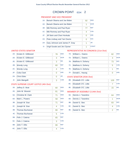## CROWN POINT ED#: 2

#### PRESIDENT AND VICE PRESIDENT

| $1A$ :         | Barack Obama and Joe Biden     | 92 | <b>DEM</b>   |
|----------------|--------------------------------|----|--------------|
| $1D$ :         | Barack Obama and Joe Biden     | 1  | <b>WOR</b>   |
| 1B:            | Mitt Romney and Paul Ryan      | 77 | <b>REP</b>   |
| 1C:            | Mitt Romney and Paul Ryan      | 4  | <b>CON</b>   |
| $1F$ :         | Jill Stein and Cheri Honkala   | 0  | <b>GRE</b>   |
| $1G$ :         | Peta Lindsay and Yari Osorio   | ∩  | <b>SOC</b>   |
| 1H:            | Gary Johnson and James P. Gray |    | <b>LIB</b>   |
| 1 <sub>1</sub> | Virgil Goode and Jim Clymer    |    | <b>CONST</b> |

#### UNITED STATES SENATOR

| $2A$ : | Kirsten E. Gillibrand | 78 | <b>DEM</b> |
|--------|-----------------------|----|------------|
| 2D:    | Kirsten E. Gillibrand | 3  | <b>WOR</b> |
| 2E:    | Kirsten E. Gillibrand | 3  | <b>IND</b> |
| 2B:    | <b>Wendy Long</b>     | 60 | <b>REP</b> |
| 2C:    | <b>Wendy Long</b>     | 4  | <b>CON</b> |
| 2F:    | Colia Clark           | 0  | <b>GRE</b> |
| 2H:    | <b>Chris Edes</b>     | 0  | I IB       |
| 2!     | John Mangelli         | 3  | <b>COM</b> |

#### STATE SUPREME COURT JUSTICE (4th Dist)

| 3A:    | Jeffrey D. Wait        | 60 | <b>DEM</b> |
|--------|------------------------|----|------------|
| 4A:    | John M. Silvestri      | 81 | <b>DEM</b> |
| $5A$ : | Christine M. Clark     | 71 | <b>DEM</b> |
| 6A:    | Mark L. Powers         | 58 | <b>DEM</b> |
| 3B:    | Joseph M. Sise         | 71 | <b>REP</b> |
| 3C:    | Joseph M. Sise         | 4  | <b>CON</b> |
| 4B:    | <b>Thomas Buchanan</b> | 66 | <b>REP</b> |
| 4C     | Thomas Buchanan        | 5  | <b>CON</b> |
| 5B:    | Felix J. Catena        | 65 | <b>REP</b> |
| $5C$ : | Felix J. Catena        | 3  | <b>CON</b> |
| 6B:    | John T. Ellis          | 66 | <b>REP</b> |
| $6C$ : | John T. Ellis          | 4  | <b>CON</b> |

#### REPRESENTATIVE IN CONGRESS (21st Dist)

| 7A: | William L. Owens  | 82 | <b>DEM</b> |
|-----|-------------------|----|------------|
| 7D: | William L. Owens  | 3  | <b>WOR</b> |
| 7B: | Matthew A. Doheny | 73 | <b>REP</b> |
| 7C: | Matthew A. Doheny | 5  | <b>CON</b> |
| 7E: | Matthew A. Doheny | 1  | <b>IND</b> |
| 7F: | Donald L. Hassig  | Ω  | <b>GRE</b> |

#### STATE SENATOR (45th Dist)

| 8B: Elizabeth O'C. Little | 105 | <b>REP</b> |
|---------------------------|-----|------------|
| 8C: Elizabeth O'C. Little |     | <b>CON</b> |
| 8E: Elizabeth O'C. Little | 15  | IND        |

| 9A: | Dennis J. Tarantino | 64 | <b>DEM</b> |
|-----|---------------------|----|------------|
| 9D: | Dennis J. Tarantino |    | <b>WOR</b> |
| 9B: | Daniel G. Stec      | 83 | <b>RFP</b> |
| 9C: | Daniel G. Stec      |    | <b>CON</b> |
| 9E: | Daniel G. Stec      |    | <b>IND</b> |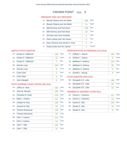## CROWN POINT ED#: 3

#### PRESIDENT AND VICE PRESIDENT

| $1A$ :         | Barack Obama and Joe Biden     | 166            | <b>DEM</b>   |
|----------------|--------------------------------|----------------|--------------|
| 1D:            | Barack Obama and Joe Biden     | 11             | <b>WOR</b>   |
| 1B:            | Mitt Romney and Paul Ryan      | 128            | <b>REP</b>   |
| 1C:            | Mitt Romney and Paul Ryan      | 10             | <b>CON</b>   |
| $1F$ :         | Jill Stein and Cheri Honkala   | 1              | <b>GRE</b>   |
| $1G$ :         | Peta Lindsay and Yari Osorio   | 0              | <b>SOC</b>   |
| 1H:            | Gary Johnson and James P. Gray | $\overline{2}$ | <b>LIB</b>   |
| 1 <sub>1</sub> | Virgil Goode and Jim Clymer    | 1              | <b>CONST</b> |

#### UNITED STATES SENATOR

| $2A$ : | Kirsten E. Gillibrand | 149            | <b>DEM</b> |
|--------|-----------------------|----------------|------------|
| 2D:    | Kirsten E. Gillibrand | 15             | <b>WOR</b> |
| 2E:    | Kirsten E. Gillibrand | $\overline{7}$ | <b>IND</b> |
| 2B:    | <b>Wendy Long</b>     | 104            | <b>RFP</b> |
| 2C:    | <b>Wendy Long</b>     | 8              | <b>CON</b> |
| 2F:    | Colia Clark           | $\overline{2}$ | <b>GRE</b> |
| 2H:    | Chris Edes            | 0              | LIB        |
| 2!     | John Mangelli         | 3              | <b>COM</b> |

#### STATE SUPREME COURT JUSTICE (4th Dist)

| $3A$ : | Jeffrey D. Wait        | 105 | <b>DEM</b> |
|--------|------------------------|-----|------------|
| 4A:    | John M. Silvestri      | 126 | <b>DEM</b> |
| $5A$ : | Christine M. Clark     | 124 | <b>DEM</b> |
| 6A:    | Mark L. Powers         | 111 | <b>DEM</b> |
| 3B:    | Joseph M. Sise         | 126 | <b>REP</b> |
| 3C:    | Joseph M. Sise         | 19  | <b>CON</b> |
| 4B:    | <b>Thomas Buchanan</b> | 116 | <b>REP</b> |
| 4C     | Thomas Buchanan        | 20  | <b>CON</b> |
| 5B:    | Felix J. Catena        | 113 | <b>REP</b> |
| $5C$ : | Felix J. Catena        | 13  | <b>CON</b> |
| 6B:    | John T. Ellis          | 122 | <b>REP</b> |
| $6C$ : | John T. Ellis          | 14  | <b>CON</b> |

#### REPRESENTATIVE IN CONGRESS (21st Dist)

| 7A: | William L. Owens  | 140 | <b>DEM</b> |
|-----|-------------------|-----|------------|
| 7D: | William L. Owens  | 9   | <b>WOR</b> |
| 7B: | Matthew A. Doheny | 124 | <b>REP</b> |
| 7C: | Matthew A. Doheny | 16  | <b>CON</b> |
| 7E: | Matthew A. Doheny | 6   | <b>IND</b> |
| 7F: | Donald L. Hassig  | 3   | <b>GRE</b> |

#### STATE SENATOR (45th Dist)

| 8B: Elizabeth O'C. Little | 190 | <b>REP</b> |
|---------------------------|-----|------------|
| 8C: Elizabeth O'C. Little | 24  | <b>CON</b> |
| 8E: Elizabeth O'C. Little |     | <b>IND</b> |

| 9A: | Dennis J. Tarantino | 111 | <b>DEM</b> |
|-----|---------------------|-----|------------|
| 9D: | Dennis J. Tarantino | 12  | <b>WOR</b> |
| 9B: | Daniel G. Stec      | 133 | <b>REP</b> |
| 9C: | Daniel G. Stec      | 15  | <b>CON</b> |
| 9E: | Daniel G. Stec      | 5   | <b>IND</b> |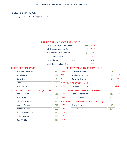## ELIZABETHTOWN

Assy Dist 114th - Cong Dist 21st

#### PRESIDENT AND VICE PRESIDENT

| Barack Obama and Joe Biden     | 342 | 59.6% |
|--------------------------------|-----|-------|
| Mitt Romney and Paul Ryan      | 226 | 39.4% |
| Jill Stein and Cheri Honkala   | 3   | 0.5%  |
| Peta Lindsay and Yari Osorio   | O   | 0.0%  |
| Gary Johnson and James P. Gray | 2   | 0.3%  |
| Virgil Goode and Jim Clymer    |     | 0.2%  |

#### UNITED STATES SENATOR

| Kirsten E. Gillibrand | 319 | 60.5% |
|-----------------------|-----|-------|
| <b>Wendy Long</b>     | 199 | 37.8% |
| Colia Clark           |     | 0.8%  |
| <b>Chris Edes</b>     |     | 0.8%  |
| John Mangelli         |     | 0.2%  |

#### REPRESENTATIVE IN CONGRESS (21st Dist)

| $\frac{9}{6}$ | William L. Owens                 | 275 | 51.2%  |
|---------------|----------------------------------|-----|--------|
| 1%            | Matthew A. Doheny                | 257 | 47.9%  |
| ℅             | Donald L. Hassig                 | 5   | 0.9%   |
| ℅             | <b>STATE SENATOR (45th Dist)</b> |     |        |
| ℅             | Elizabeth O'C. Little            | 414 | 100.0% |
|               | MEMBER OF ASSEMBLY (114th Dist)  |     |        |

#### STATE SUPREME COURT JUSTICE (4th Dist)

| Jeffrey D. Wait           | 211 | 12.2% |
|---------------------------|-----|-------|
| John M. Silvestri         | 235 | 13.6% |
| <b>Christine M. Clark</b> | 235 | 13.6% |
| Mark L. Powers            | 211 | 12.2% |
| Joseph M. Sise            | 223 | 12.9% |
| Thomas Buchanan           | 210 | 12.1% |
| Felix J. Catena           | 196 | 11.3% |
| John T. Ellis             | 210 | 12.1% |

| Dennis J. Tarantino                     | 233 | 47.0% |
|-----------------------------------------|-----|-------|
| Daniel G. Stec                          | 263 | 53.0% |
| <b>TOWN COUNCILMAN (Unexpired Term)</b> |     |       |

| Evelyn A. Hatch   | 53.8% |
|-------------------|-------|
| Michael J. McGinn | 46.2% |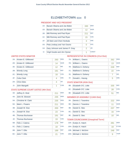## ELIZABETHTOWN ED#: 0

#### PRESIDENT AND VICE PRESIDENT

| 1A <sup>2</sup> | Barack Obama and Joe Biden     | 330            | <b>DFM</b>   |
|-----------------|--------------------------------|----------------|--------------|
| 1D:             | Barack Obama and Joe Biden     | 12             | <b>WOR</b>   |
| 1B:             | Mitt Romney and Paul Ryan      | 211            | <b>REP</b>   |
|                 | 1C: Mitt Romney and Paul Ryan  | 15             | <b>CON</b>   |
| $1F$ :          | Jill Stein and Cheri Honkala   | 3              | <b>GRE</b>   |
| 1G:             | Peta Lindsay and Yari Osorio   | O              | <b>SOC</b>   |
| 1H:             | Gary Johnson and James P. Gray | $\overline{2}$ | <b>LIB</b>   |
| $1$ :           | Virgil Goode and Jim Clymer    | 1              | <b>CONST</b> |

#### UNITED STATES SENATOR

| 2A <sub>1</sub> | Kirsten E. Gillibrand | 293 | <b>DEM</b> |
|-----------------|-----------------------|-----|------------|
| 2D:             | Kirsten E. Gillibrand | 14  | <b>WOR</b> |
| 2E:             | Kirsten E. Gillibrand | 12  | <b>IND</b> |
| 2B:             | <b>Wendy Long</b>     | 181 | <b>REP</b> |
| 2C:             | <b>Wendy Long</b>     | 18  | <b>CON</b> |
| 2F:             | Colia Clark           | 4   | <b>GRE</b> |
| 2H:             | <b>Chris Edes</b>     | 4   | <b>LIB</b> |
| 2!              | John Mangelli         | 1   | <b>COM</b> |

#### STATE SUPREME COURT JUSTICE (4th Dist)

| $3A$ : | Jeffrey D. Wait        | 211 | <b>DEM</b> |
|--------|------------------------|-----|------------|
| 4A:    | John M. Silvestri      | 235 | <b>DEM</b> |
| $5A$ : | Christine M. Clark     | 235 | <b>DEM</b> |
| 6A:    | Mark L. Powers         | 211 | <b>DEM</b> |
| 3B:    | Joseph M. Sise         | 200 | <b>REP</b> |
| 3C:    | Joseph M. Sise         | 23  | <b>CON</b> |
| 4B:    | <b>Thomas Buchanan</b> | 191 | <b>REP</b> |
| 4C     | <b>Thomas Buchanan</b> | 19  | <b>CON</b> |
| 5B:    | Felix J. Catena        | 178 | <b>REP</b> |
| 5C:    | Felix J. Catena        | 18  | <b>CON</b> |
| 6B:    | John T. Ellis          | 189 | <b>REP</b> |
| $6C$ : | John T. Fllis          | 21  | <b>CON</b> |

#### REPRESENTATIVE IN CONGRESS (21st Dist)

| 7A: | William L. Owens      | 262 | <b>DEM</b> |
|-----|-----------------------|-----|------------|
| 7D: | William L. Owens      | 13  | <b>WOR</b> |
| 7B: | Matthew A. Doheny     | 228 | <b>REP</b> |
|     | 7C: Matthew A. Doheny | 22  | <b>CON</b> |
| 7E: | Matthew A. Doheny     |     | <b>IND</b> |
| 7F: | Donald L. Hassig      | 5   | <b>GRE</b> |
|     |                       |     |            |

#### STATE SENATOR (45th Dist)

| 8B: Elizabeth O'C. Little | 335 | <b>REP</b> |
|---------------------------|-----|------------|
| 8C: Elizabeth O'C. Little |     | <b>CON</b> |
| 8E: Elizabeth O'C. Little |     | <b>IND</b> |

#### MEMBER OF ASSEMBLY (114th Dist)

| 9A: | Dennis J. Tarantino | 222 | <b>DEM</b> |
|-----|---------------------|-----|------------|
| 9D: | Dennis J. Tarantino | 11  | <b>WOR</b> |
| 9B: | Daniel G. Stec      | 237 | <b>REP</b> |
| 9C: | Daniel G. Stec      | 16  | <b>CON</b> |
| 9E: | Daniel G. Stec      | 10  | <b>IND</b> |

## TOWN COUNCILMAN (Unexpired Term)

| 10A: Evelyn A. Hatch   | 281 | DEM         |
|------------------------|-----|-------------|
| 10H: Evelyn A. Hatch   | 18  | <b>ETOW</b> |
| 10B: Michael J. McGinn | 248 | <b>REP</b>  |
| 10G: Michael J. McGinn |     | <b>TAXP</b> |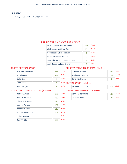## **ESSEX**

Assy Dist 114th - Cong Dist 21st

#### PRESIDENT AND VICE PRESIDENT

| Barack Obama and Joe Biden     | 251                | 71.1% |
|--------------------------------|--------------------|-------|
| Mitt Romney and Paul Ryan      | 97                 | 27.5% |
| Jill Stein and Cheri Honkala   | 4                  | 1.1%  |
| Peta Lindsay and Yari Osorio   | $\left( \ \right)$ | 0.0%  |
| Gary Johnson and James P. Gray | 1                  | 0.3%  |
| Virgil Goode and Jim Clymer    |                    | 0.0%  |

#### UNITED STATES SENATOR

| Kirsten E. Gillibrand | 238 | 71.7%      |
|-----------------------|-----|------------|
| <b>Wendy Long</b>     | 86  | 25.9%      |
| Colia Clark           | 6   | 1.8%       |
| <b>Chris Edes</b>     |     | 0.3%<br>Ċ. |
| John Mangelli         |     | 0.3%       |

#### REPRESENTATIVE IN CONGRESS (21st Dist)

| William L. Owens                 | 229 | 67.6%  |
|----------------------------------|-----|--------|
| Matthew A. Doheny                | 104 | 30.7%  |
| Donald L. Hassig                 | 6   | 1.8%   |
| <b>STATE SENATOR (45th Dist)</b> |     |        |
| Elizabeth O'C. Little            | 214 | 100.0% |
| MINADED OF ACCHADIV (1111)       |     |        |

#### STATE SUPREME COURT JUSTICE (4th Dist)

| Jeffrey D. Wait        | 182 | 15.8% |
|------------------------|-----|-------|
| John M. Silvestri      | 189 | 16.4% |
| Christine M. Clark     | 196 | 17.0% |
| Mark L. Powers         | 181 | 15.7% |
| Joseph M. Sise         | 110 | 9.5%  |
| <b>Thomas Buchanan</b> | 103 | 8.9%  |
| Felix J. Catena        | 92  | 8.0%  |
| John T. Ellis          | 100 | 8.7%  |
|                        |     |       |

| Dennis J. Tarantino | 56.2% |
|---------------------|-------|
| Daniel G. Stec      |       |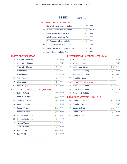| OOF:<br>- <b>200</b> |
|----------------------|
|----------------------|

#### PRESIDENT AND VICE PRESIDENT

| $1A$ : | Barack Obama and Joe Biden     | 135 | <b>DFM</b>   |
|--------|--------------------------------|-----|--------------|
| 1D:    | Barack Obama and Joe Biden     | 5   | <b>WOR</b>   |
| 1B:    | Mitt Romney and Paul Ryan      | 51  | <b>REP</b>   |
| 1C:    | Mitt Romney and Paul Ryan      | 5   | <b>CON</b>   |
| $1F$ : | Jill Stein and Cheri Honkala   | 2   | <b>GRE</b>   |
| 1G:    | Peta Lindsay and Yari Osorio   | O   | <b>SOC</b>   |
| 1H:    | Gary Johnson and James P. Gray | 1   | <b>LIB</b>   |
| $1$ :  | Virgil Goode and Jim Clymer    | 0   | <b>CONST</b> |

#### UNITED STATES SENATOR

| $2A^+$ | Kirsten E. Gillibrand | 124 | <b>DEM</b> |
|--------|-----------------------|-----|------------|
| 2D:    | Kirsten E. Gillibrand | 3   | <b>WOR</b> |
| 2E:    | Kirsten E. Gillibrand | 4   | <b>IND</b> |
| 2B:    | <b>Wendy Long</b>     | 48  | <b>REP</b> |
| 2C:    | <b>Wendy Long</b>     | 5   | <b>CON</b> |
| 2F:    | Colia Clark           | 4   | <b>GRE</b> |
| 2H:    | <b>Chris Edes</b>     | 1   | <b>LIB</b> |
| $2$ :  | John Mangelli         | 1   | <b>COM</b> |
|        |                       |     |            |

## STATE SUPREME COURT JUSTICE (4th Dist)

| $3A$ : | Jeffrey D. Wait        | 103 | <b>DEM</b> |
|--------|------------------------|-----|------------|
| 4A:    | John M. Silvestri      | 109 | <b>DEM</b> |
| 5A:    | Christine M. Clark     | 113 | <b>DEM</b> |
| 6A:    | Mark L. Powers         | 105 | <b>DEM</b> |
| 3B:    | Joseph M. Sise         | 53  | <b>REP</b> |
| 3C:    | Joseph M. Sise         | 10  | <b>CON</b> |
| 4B:    | <b>Thomas Buchanan</b> | 51  | <b>REP</b> |
| 4C     | <b>Thomas Buchanan</b> | 7   | <b>CON</b> |
| 5B:    | Felix J. Catena        | 46  | <b>REP</b> |
| $5C$ : | Felix J. Catena        | 8   | <b>CON</b> |
| 6B:    | John T. Ellis          | 50  | <b>REP</b> |
| 6C:    | John T. Ellis          | 7   | <b>CON</b> |

#### REPRESENTATIVE IN CONGRESS (21st Dist)

|     | 7A: William L. Owens             | 122 | <b>DEM</b> |
|-----|----------------------------------|-----|------------|
| 7D: | William L. Owens                 | 4   | <b>WOR</b> |
| 7B: | Matthew A. Doheny                | 56  | <b>REP</b> |
| 7C: | Matthew A. Doheny                | 6   | <b>CON</b> |
| 7E: | Matthew A. Doheny                |     | <b>IND</b> |
| 7F: | Donald L. Hassig                 | 3   | <b>GRE</b> |
|     | <b>TATE CENIATOD (AE+h Dic+)</b> |     |            |

#### STATE SENATOR (45th Dist)

ED#:  $1$ 

| 8B: Elizabeth O'C. Little | RFP        |
|---------------------------|------------|
| 8C: Elizabeth O'C. Little | CON        |
| 8E: Elizabeth O'C. Little | <b>IND</b> |

|     | 9A: Dennis J. Tarantino | 97 | <b>DEM</b> |
|-----|-------------------------|----|------------|
| 9D: | Dennis J. Tarantino     | 8  | <b>WOR</b> |
| 9B: | Daniel G. Stec          | 68 | <b>REP</b> |
|     | 9C: Daniel G. Stec      | 8  | <b>CON</b> |
| 9E: | Daniel G. Stec          |    | <b>IND</b> |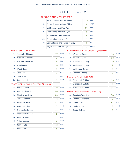$$
ESSEX \qquad \qquad ED\#: \quad 2
$$

#### PRESIDENT AND VICE PRESIDENT

| $1A$ : | Barack Obama and Joe Biden     | 107            | <b>DEM</b>   |
|--------|--------------------------------|----------------|--------------|
| 1D:    | Barack Obama and Joe Biden     | 4              | <b>WOR</b>   |
| 1B:    | Mitt Romney and Paul Ryan      | 37             | <b>REP</b>   |
| 1C:    | Mitt Romney and Paul Ryan      | 4              | <b>CON</b>   |
| $1F$ : | Jill Stein and Cheri Honkala   | $\overline{2}$ | <b>GRE</b>   |
| $1G$ : | Peta Lindsay and Yari Osorio   | 0              | <b>SOC</b>   |
| 1H:    | Gary Johnson and James P. Gray | Ω              | <b>LIB</b>   |
| 11:    | Virgil Goode and Jim Clymer    | Ω              | <b>CONST</b> |

#### UNITED STATES SENATOR

| $2A$ : | Kirsten E. Gillibrand | 97             | <b>DEM</b> |
|--------|-----------------------|----------------|------------|
| 2D:    | Kirsten E. Gillibrand | 3              | <b>WOR</b> |
| 2E:    | Kirsten E. Gillibrand | 7              | <b>IND</b> |
| 2B:    | <b>Wendy Long</b>     | 30             | <b>REP</b> |
|        | 2C: Wendy Long        | 3              | <b>CON</b> |
| 2F:    | Colia Clark           | $\overline{2}$ | <b>GRE</b> |
| 2H:    | Chris Edes            | 0              | I IB       |
| $2$ :  | John Mangelli         |                | <b>COM</b> |

#### STATE SUPREME COURT JUSTICE (4th Dist)

| $3A$ : | Jeffrey D. Wait        | 79 | <b>DEM</b> |
|--------|------------------------|----|------------|
| 4A:    | John M. Silvestri      | 80 | <b>DEM</b> |
| 5A:    | Christine M. Clark     | 83 | <b>DEM</b> |
| 6A:    | Mark L. Powers         | 76 | <b>DEM</b> |
| 3B:    | Joseph M. Sise         | 47 | <b>REP</b> |
| 3C:    | Joseph M. Sise         | 0  | <b>CON</b> |
| 4B:    | <b>Thomas Buchanan</b> | 44 | <b>REP</b> |
| 4C     | Thomas Buchanan        | 1  | <b>CON</b> |
| 5B:    | Felix J. Catena        | 37 | <b>REP</b> |
| $5C$ : | Felix J. Catena        | 1  | <b>CON</b> |
| 6B:    | John T. Ellis          | 42 | <b>REP</b> |
| 6C:    | John T. Ellis          | 1  | <b>CON</b> |

#### REPRESENTATIVE IN CONGRESS (21st Dist)

| 7A: | William L. Owens  | 90            | <b>DEM</b> |
|-----|-------------------|---------------|------------|
| 7D: | William L. Owens  | 13            | <b>WOR</b> |
| 7B: | Matthew A. Doheny | 39            | <b>REP</b> |
| 7C: | Matthew A. Doheny | $\mathcal{P}$ | <b>CON</b> |
| 7E: | Matthew A. Doheny | 0             | <b>IND</b> |
| 7F: | Donald L. Hassig  | 3             | <b>GRE</b> |

#### STATE SENATOR (45th Dist)

| 8B: Elizabeth O'C. Little | 76 | <b>REP</b> |
|---------------------------|----|------------|
| 8C: Elizabeth O'C. Little |    | <b>CON</b> |
| 8E: Elizabeth O'C. Little | 15 | IND        |

| 9A: | Dennis J. Tarantino | 74 | <b>DEM</b> |
|-----|---------------------|----|------------|
| 9D: | Dennis J. Tarantino | З  | <b>WOR</b> |
| 9B: | Daniel G. Stec      | 57 | <b>REP</b> |
| 9C: | Daniel G. Stec      | 3  | <b>CON</b> |
| 9E: | Daniel G. Stec      |    | <b>IND</b> |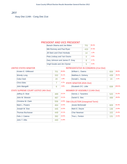## JAY

Assy Dist 114th - Cong Dist 21st

#### PRESIDENT AND VICE PRESIDENT

| Barack Obama and Joe Biden     | 701 | 60.4% |
|--------------------------------|-----|-------|
| Mitt Romney and Paul Ryan      | 433 | 37.3% |
| Jill Stein and Cheri Honkala   | 14  | 1.2%  |
| Peta Lindsay and Yari Osorio   | O   | 0.0%  |
| Gary Johnson and James P. Gray | 8   | 0.7%  |
| Virgil Goode and Jim Clymer    | 5   | 0.4%  |

#### UNITED STATES SENATOR

| 701 | 65.8% |
|-----|-------|
| 332 | 31.1% |
| 20  | 1.9%  |
|     | 0.7%  |
| 6   | 0.6%  |
|     |       |

#### REPRESENTATIVE IN CONGRESS (21st Dist)

| .8% | William L. Owens                 | 659 | 58.8%  |
|-----|----------------------------------|-----|--------|
| .1% | Matthew A. Doheny                | 439 | 39.2%  |
| 9%  | Donald L. Hassig                 | 23  | 2.1%   |
| 7%  | <b>STATE SENATOR (45th Dist)</b> |     |        |
| 6%  | Elizabeth O'C. Little            | 838 | 100.0% |
|     | MEMBED OF ACCEMBLY (11Ath Dict)  |     |        |

#### STATE SUPREME COURT JUSTICE (4th Dist)

| Jeffrey D. Wait           | 489 | 13.1% |
|---------------------------|-----|-------|
| John M. Silvestri         | 487 | 13.1% |
| <b>Christine M. Clark</b> | 556 | 14.9% |
| Mark L. Powers            | 464 | 12.5% |
| Joseph M. Sise            | 445 | 12.0% |
| Thomas Buchanan           | 449 | 12.1% |
| Felix J. Catena           | 392 | 10.5% |
| John T. Ellis             | 440 | 11.8% |

#### MEMBER OF ASSEMBLY (114th Dist)

| Dennis J. Tarantino          | 51.0% |
|------------------------------|-------|
| Daniel G. Stec               | 49.0% |
| Y COLLECTOR (Hopenirad Tarm) |       |

# TAX COLLECTOR (Unexpired Term)

| Jessie McDonald | 609 | 62.3% |
|-----------------|-----|-------|
| Mark E. Deyoe   | 136 | 13.9% |
| Char Newman     | 102 | 10.4% |
| Tina L. Fenton  | 131 | 13.4% |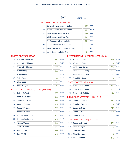| <b>JAY</b> | ED# |  |
|------------|-----|--|
|            |     |  |

#### PRESIDENT AND VICE PRESIDENT

| 1A <sup>2</sup> | Barack Obama and Joe Biden     | 490 | <b>DFM</b>   |
|-----------------|--------------------------------|-----|--------------|
| 1D:             | Barack Obama and Joe Biden     | 22  | <b>WOR</b>   |
| 1B:             | Mitt Romney and Paul Ryan      | 287 | <b>RFP</b>   |
| 1C:             | Mitt Romney and Paul Ryan      | 26  | <b>CON</b>   |
| $1F$ :          | Jill Stein and Cheri Honkala   | 12  | <b>GRE</b>   |
| 1G:             | Peta Lindsay and Yari Osorio   | 0   | <b>SOC</b>   |
| 1H:             | Gary Johnson and James P. Gray | 6   | <b>LIB</b>   |
| 11:             | Virgil Goode and Jim Clymer    | 4   | <b>CONST</b> |

#### UNITED STATES SENATOR

| 2A <sub>1</sub> | Kirsten E. Gillibrand | 460 | <b>DEM</b> |
|-----------------|-----------------------|-----|------------|
| 2D:             | Kirsten E. Gillibrand | 42  | <b>WOR</b> |
| 2E:             | Kirsten E. Gillibrand | 17  | <b>IND</b> |
| 2B:             | <b>Wendy Long</b>     | 227 | <b>REP</b> |
| 2C:             | <b>Wendy Long</b>     | 21  | <b>CON</b> |
| 2F:             | Colia Clark           | 14  | <b>GRE</b> |
| 2H:             | Chris Edes            | 6   | <b>LIB</b> |
| 2!              | John Mangelli         | 5   | <b>COM</b> |

#### STATE SUPREME COURT JUSTICE (4th Dist)

| $3A$ : | Jeffrey D. Wait        | 365 | <b>DEM</b> |
|--------|------------------------|-----|------------|
| 4A:    | John M. Silvestri      | 363 | <b>DEM</b> |
| 5A:    | Christine M. Clark     | 414 | <b>DEM</b> |
| 6A:    | Mark L. Powers         | 352 | <b>DEM</b> |
| 3B:    | Joseph M. Sise         | 288 | <b>REP</b> |
| 3C:    | Joseph M. Sise         | 46  | <b>CON</b> |
| 4B:    | <b>Thomas Buchanan</b> | 292 | <b>REP</b> |
| 4C     | <b>Thomas Buchanan</b> | 45  | <b>CON</b> |
| 5B:    | Felix J. Catena        | 262 | <b>REP</b> |
| $5C$ : | Felix J. Catena        | 36  | <b>CON</b> |
| 6B:    | John T. Ellis          | 288 | <b>REP</b> |
| $6C$ : | John T. Ellis          | 45  | <b>CON</b> |

#### REPRESENTATIVE IN CONGRESS (21st Dist)

| $7A$ : | William L. Owens  | 435 | <b>DEM</b> |
|--------|-------------------|-----|------------|
| 7D:    | William L. Owens  | 36  | <b>WOR</b> |
| 7B:    | Matthew A. Doheny | 294 | <b>REP</b> |
| 7C:    | Matthew A. Doheny | 36  | <b>CON</b> |
| 7E:    | Matthew A. Doheny | 6   | <b>IND</b> |
| 7F:    | Donald L. Hassig  | 13  | <b>GRE</b> |

#### STATE SENATOR (45th Dist)

| 8B: Elizabeth O'C. Little | 439 | <b>RFP</b> |
|---------------------------|-----|------------|
| 8C: Elizabeth O'C. Little | 44  | <b>CON</b> |
| 8E: Elizabeth O'C. Little | 114 | <b>IND</b> |

#### MEMBER OF ASSEMBLY (114th Dist)

| 9A: | Dennis J. Tarantino | 350 | <b>DEM</b> |
|-----|---------------------|-----|------------|
| 9D: | Dennis J. Tarantino | 35  | <b>WOR</b> |
| 9B: | Daniel G. Stec      | 313 | <b>REP</b> |
|     | 9C: Daniel G. Stec  | 38  | <b>CON</b> |
| 9E: | Daniel G. Stec      | 18  | <b>IND</b> |

#### TAX COLLECTOR (Unexpired Term)

| 10B: Jessie McDonald | 444            | <b>REP</b> |
|----------------------|----------------|------------|
| 10E: Mark E. Deyoe   | 71             | <b>IND</b> |
| 10F: Char Newman     | 73             | <b>GRE</b> |
| 10H: Char Newman     | 15             | <b>PEA</b> |
| 10G: Tina L. Fenton  | Q <sub>1</sub> | TAX        |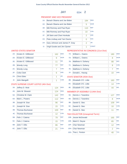JAY ED#: 2

#### PRESIDENT AND VICE PRESIDENT

| 1A:            | Barack Obama and Joe Biden     | 184            | <b>DEM</b>   |
|----------------|--------------------------------|----------------|--------------|
| 1D:            | Barack Obama and Joe Biden     | 5              | <b>WOR</b>   |
| 1B:            | Mitt Romney and Paul Ryan      | 110            | <b>REP</b>   |
|                | 1C: Mitt Romney and Paul Ryan  | 10             | <b>CON</b>   |
| $1F$ :         | Jill Stein and Cheri Honkala   | $\overline{2}$ | <b>GRE</b>   |
| 1G:            | Peta Lindsay and Yari Osorio   | 0              | <b>SOC</b>   |
| 1H:            | Gary Johnson and James P. Gray | 2              | <b>LIB</b>   |
| 1 <sub>1</sub> | Virgil Goode and Jim Clymer    | 1              | <b>CONST</b> |

#### UNITED STATES SENATOR

| 2A <sup>2</sup> | Kirsten E. Gillibrand | 162 | <b>DEM</b> |
|-----------------|-----------------------|-----|------------|
| 2D:             | Kirsten E. Gillibrand | 9   | <b>WOR</b> |
| 2E:             | Kirsten E. Gillibrand | 11  | <b>IND</b> |
| 2B:             | <b>Wendy Long</b>     | 77  | <b>REP</b> |
|                 | 2C: Wendy Long        |     | <b>CON</b> |
| 2F:             | Colia Clark           | 6   | <b>GRF</b> |
| 2H:             | <b>Chris Edes</b>     | 1   | <b>LIB</b> |
| $2$ :           | John Mangelli         | 1   | <b>COM</b> |

#### STATE SUPREME COURT JUSTICE (4th Dist)

| $3A$ : | Jeffrey D. Wait        | 124 | <b>DEM</b> |
|--------|------------------------|-----|------------|
| 4A:    | John M. Silvestri      | 124 | <b>DEM</b> |
| 5A:    | Christine M. Clark     | 142 | <b>DEM</b> |
| 6A:    | Mark L. Powers         | 112 | <b>DEM</b> |
| 3B:    | Joseph M. Sise         | 96  | <b>REP</b> |
| 3C:    | Joseph M. Sise         | 15  | <b>CON</b> |
| 4B:    | <b>Thomas Buchanan</b> | 100 | <b>REP</b> |
| 4C     | Thomas Buchanan        | 12  | <b>CON</b> |
| 5B:    | Felix J. Catena        | 79  | <b>REP</b> |
| $5C$ : | Felix J. Catena        | 15  | <b>CON</b> |
| 6B:    | John T. Ellis          | 86  | <b>REP</b> |
| 6C:    | John T. Fllis          | 21  | <b>CON</b> |

#### REPRESENTATIVE IN CONGRESS (21st Dist)

| 7A: | William L. Owens  | 180 | <b>DEM</b> |
|-----|-------------------|-----|------------|
| 7D: | William L. Owens  | 8   | <b>WOR</b> |
| 7B: | Matthew A. Doheny | 88  | <b>REP</b> |
| 7C: | Matthew A. Doheny | 8   | <b>CON</b> |
| 7E: | Matthew A. Doheny |     | <b>IND</b> |
| 7F: | Donald L. Hassig  | 10  | <b>GRE</b> |

#### STATE SENATOR (45th Dist)

| 8B: Elizabeth O'C. Little | 183 | <b>REP</b> |
|---------------------------|-----|------------|
| 8C: Elizabeth O'C. Little | 14  | <b>CON</b> |
| 8E: Elizabeth O'C. Little | 44  | <b>IND</b> |

#### MEMBER OF ASSEMBLY (114th Dist)

| 9A: | Dennis J. Tarantino | 127 | <b>DEM</b> |
|-----|---------------------|-----|------------|
| 9D: | Dennis J. Tarantino | 8   | <b>WOR</b> |
| 9B: | Daniel G. Stec      | 109 | <b>REP</b> |
| 9C: | Daniel G. Stec      | 10  | <b>CON</b> |
| 9E: | Daniel G. Stec      |     | <b>IND</b> |

## TAX COLLECTOR (Unexpired Term)

| 10B: Jessie McDonald | 165           | <b>REP</b> |
|----------------------|---------------|------------|
| 10E: Mark E. Deyoe   | 65            | <b>IND</b> |
| 10F: Char Newman     | 12            | <b>GRE</b> |
| 10H: Char Newman     | $\mathcal{P}$ | <b>PEA</b> |
| 10G: Tina L. Fenton  | 40            | <b>TAX</b> |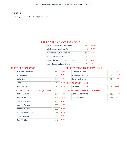## KEENE

Assy Dist 114th - Cong Dist 21st

#### PRESIDENT AND VICE PRESIDENT

| Barack Obama and Joe Biden     | 440 | 66 4% |
|--------------------------------|-----|-------|
| Mitt Romney and Paul Ryan      | 207 | 31.2% |
| Jill Stein and Cheri Honkala   | 11  | 1.7%  |
| Peta Lindsay and Yari Osorio   | 1   | 0.2%  |
| Gary Johnson and James P. Gray | 2   | 0.3%  |
| Virgil Goode and Jim Clymer    | 2   | 0.3%  |

#### UNITED STATES SENATOR

| Kirsten E. Gillibrand | 470 | 75.0% |
|-----------------------|-----|-------|
| <b>Wendy Long</b>     | 143 | 22.8% |
| Colia Clark           | 12  | 1.9%  |
| <b>Chris Edes</b>     |     | 0.2%  |
| John Mangelli         |     | 0.2%  |

#### REPRESENTATIVE IN CONGRESS (21st Dist)

| William L. Owens                 | 419 | 66.5%  |
|----------------------------------|-----|--------|
| Matthew A. Doheny                | 192 | 30.5%  |
| Donald L. Hassig                 | 19  | 3.0%   |
| <b>STATE SENATOR (45th Dist)</b> |     |        |
| Elizabeth O'C. Little            | 440 | 100.0% |
| MINATION OF ACCENATION (1111)    |     |        |

#### STATE SUPREME COURT JUSTICE (4th Dist)

| Jeffrey D. Wait        | 334 | 15.7% |
|------------------------|-----|-------|
| John M. Silvestri      | 346 | 16.2% |
| Christine M. Clark     | 368 | 17.3% |
| Mark L. Powers         | 329 | 15.4% |
| Joseph M. Sise         | 198 | 9.3%  |
| <b>Thomas Buchanan</b> | 185 | 8.7%  |
| Felix J. Catena        | 183 | 8.6%  |
| John T. Ellis          | 187 | 8.8%  |
|                        |     |       |

| Dennis J. Tarantino | 61.9% |
|---------------------|-------|
| Daniel G. Stec      | 38.1% |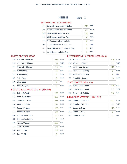|  | <b>KEENE</b> | FD#· |  |
|--|--------------|------|--|
|--|--------------|------|--|

#### PRESIDENT AND VICE PRESIDENT

| 1A <sup>2</sup> | Barack Obama and Joe Biden     | 249            | <b>DFM</b>   |
|-----------------|--------------------------------|----------------|--------------|
| 1D:             | Barack Obama and Joe Biden     | 13             | <b>WOR</b>   |
| 1B:             | Mitt Romney and Paul Ryan      | 116            | <b>RFP</b>   |
|                 | 1C: Mitt Romney and Paul Ryan  | 10             | <b>CON</b>   |
| $1F$ :          | Jill Stein and Cheri Honkala   | $\overline{2}$ | <b>GRE</b>   |
| 1G:             | Peta Lindsay and Yari Osorio   | 1              | <b>SOC</b>   |
| 1H:             | Gary Johnson and James P. Gray | 1              | <b>LIB</b>   |
| $1$ :           | Virgil Goode and Jim Clymer    | 1              | <b>CONST</b> |

#### UNITED STATES SENATOR

| $2A^+$ | Kirsten E. Gillibrand | 258 | <b>DEM</b> |
|--------|-----------------------|-----|------------|
| 2D:    | Kirsten E. Gillibrand | 10  | <b>WOR</b> |
| 2E:    | Kirsten E. Gillibrand | 16  | <b>IND</b> |
| 2B:    | <b>Wendy Long</b>     | 76  | <b>REP</b> |
| 2C:    | <b>Wendy Long</b>     | 4   | <b>CON</b> |
| 2F:    | Colia Clark           | 8   | <b>GRE</b> |
| 2H:    | Chris Edes            | Ω   | <b>LIB</b> |
| $2$ :  | John Mangelli         | Λ   | <b>COM</b> |
|        |                       |     |            |

#### STATE SUPREME COURT JUSTICE (4th Dist)

| $3A$ : | Jeffrey D. Wait        | 196 | <b>DEM</b> |
|--------|------------------------|-----|------------|
| 4A:    | John M. Silvestri      | 200 | <b>DEM</b> |
| $5A$ : | Christine M. Clark     | 216 | <b>DEM</b> |
| 6A:    | Mark L. Powers         | 191 | <b>DEM</b> |
| 3B:    | Joseph M. Sise         | 106 | <b>REP</b> |
| 3C:    | Joseph M. Sise         | 10  | <b>CON</b> |
| 4B:    | <b>Thomas Buchanan</b> | 102 | <b>REP</b> |
| 4C     | <b>Thomas Buchanan</b> | 6   | <b>CON</b> |
| 5B:    | Felix J. Catena        | 100 | <b>REP</b> |
| $5C$ : | Felix J. Catena        | 10  | <b>CON</b> |
| 6B:    | John T. Ellis          | 106 | <b>REP</b> |
| $6C$ : | John T. Ellis          | 8   | <b>CON</b> |

#### REPRESENTATIVE IN CONGRESS (21st Dist)

| 7A: | William L. Owens  | 226 | <b>DEM</b> |
|-----|-------------------|-----|------------|
| 7D: | William L. Owens  | 11  | <b>WOR</b> |
| 7B: | Matthew A. Doheny | 111 | <b>REP</b> |
| 7C: | Matthew A. Doheny | 6   | <b>CON</b> |
| 7E: | Matthew A. Doheny |     | <b>IND</b> |
| 7F: | Donald L. Hassig  | 10  | <b>GRE</b> |

#### STATE SENATOR (45th Dist)

| 8B: Elizabeth O'C. Little | 196 | <b>REP</b> |
|---------------------------|-----|------------|
| 8C: Elizabeth O'C. Little |     | <b>CON</b> |
| 8E: Elizabeth O'C. Little | 55  | IND        |

|     | 9A: Dennis J. Tarantino | 199 | <b>DEM</b> |
|-----|-------------------------|-----|------------|
| 9D: | Dennis J. Tarantino     | 14  | <b>WOR</b> |
| 9B: | Daniel G. Stec          | 116 | <b>REP</b> |
|     | 9C: Daniel G. Stec      | 6   | <b>CON</b> |
| 9E: | Daniel G. Stec          | 12  | <b>IND</b> |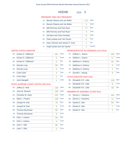$$
KEENE \qquad ED#: 2
$$

#### PRESIDENT AND VICE PRESIDENT

| $1A$ :         | Barack Obama and Joe Biden     | 173 | <b>DEM</b>   |
|----------------|--------------------------------|-----|--------------|
| 1D:            | Barack Obama and Joe Biden     | 5   | <b>WOR</b>   |
| 1B:            | Mitt Romney and Paul Ryan      | 77  | <b>REP</b>   |
| 1C:            | Mitt Romney and Paul Ryan      | 4   | <b>CON</b>   |
| $1F$ :         | Jill Stein and Cheri Honkala   | 9   | <b>GRE</b>   |
| $1G$ :         | Peta Lindsay and Yari Osorio   | 0   | <b>SOC</b>   |
| 1H:            | Gary Johnson and James P. Gray | 1   | <b>LIB</b>   |
| 1 <sub>1</sub> | Virgil Goode and Jim Clymer    |     | <b>CONST</b> |

#### UNITED STATES SENATOR

| $2A$ : | Kirsten E. Gillibrand | 181 | <b>DEM</b> |
|--------|-----------------------|-----|------------|
| 2D:    | Kirsten E. Gillibrand | 5   | <b>WOR</b> |
| 2E:    | Kirsten E. Gillibrand | 0   | <b>IND</b> |
| 2B:    | <b>Wendy Long</b>     | 58  | <b>RFP</b> |
| 2C:    | <b>Wendy Long</b>     | 5   | <b>CON</b> |
| 2F:    | Colia Clark           | 4   | <b>GRE</b> |
| 2H:    | <b>Chris Edes</b>     | 1   | <b>LIB</b> |
| 2!     | John Mangelli         | 1   | <b>COM</b> |

#### STATE SUPREME COURT JUSTICE (4th Dist)

| $3A$ : | Jeffrey D. Wait        | 138 | <b>DEM</b> |
|--------|------------------------|-----|------------|
| $4A$ : | John M. Silvestri      | 146 | <b>DEM</b> |
| 5A:    | Christine M. Clark     | 152 | <b>DEM</b> |
| 6A:    | Mark L. Powers         | 138 | <b>DEM</b> |
| 3B:    | Joseph M. Sise         | 76  | <b>REP</b> |
| $3C$ : | Joseph M. Sise         | 6   | <b>CON</b> |
| 4B:    | <b>Thomas Buchanan</b> | 68  | <b>REP</b> |
| 4C     | <b>Thomas Buchanan</b> | 9   | <b>CON</b> |
| 5B:    | Felix J. Catena        | 69  | <b>REP</b> |
| $5C$ : | Felix J. Catena        | 4   | <b>CON</b> |
| 6B:    | John T. Ellis          | 68  | <b>REP</b> |
| $6C$ : | John T. Ellis          | 5   | <b>CON</b> |

#### REPRESENTATIVE IN CONGRESS (21st Dist)

| 7A: | William L. Owens  | 165 | <b>DEM</b> |
|-----|-------------------|-----|------------|
| 7D: | William L. Owens  | 17  | <b>WOR</b> |
| 7B: | Matthew A. Doheny | 62  | <b>REP</b> |
| 7C: | Matthew A. Doheny | 5   | <b>CON</b> |
| 7E: | Matthew A. Doheny | 1   | <b>IND</b> |
| 7F: | Donald L. Hassig  | 9   | <b>GRE</b> |

#### STATE SENATOR (45th Dist)

| 8B: Elizabeth O'C. Little | 128 | <b>REP</b> |
|---------------------------|-----|------------|
| 8C: Elizabeth O'C. Little |     | <b>CON</b> |
| 8E: Elizabeth O'C. Little | 4በ  | <b>IND</b> |

| 9A: | Dennis J. Tarantino | 145 | <b>DEM</b> |
|-----|---------------------|-----|------------|
| 9D: | Dennis J. Tarantino | 11  | <b>WOR</b> |
| 9B: | Daniel G. Stec      | 84  | RFP        |
| 9C: | Daniel G. Stec      |     | <b>CON</b> |
| 9E: | Daniel G. Stec      |     | <b>IND</b> |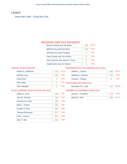## **LEWIS**

Assy Dist 114th - Cong Dist 21st

#### PRESIDENT AND VICE PRESIDENT

| Barack Obama and Joe Biden     | 294                | 55 2% |
|--------------------------------|--------------------|-------|
| Mitt Romney and Paul Ryan      | 230                | 43.2% |
| Jill Stein and Cheri Honkala   | З                  | 0.6%  |
| Peta Lindsay and Yari Osorio   | $\left( \ \right)$ | 0.0%  |
| Gary Johnson and James P. Gray | 5                  | 0.9%  |
| Virgil Goode and Jim Clymer    |                    | 0.2%  |

#### UNITED STATES SENATOR

| Kirsten E. Gillibrand | 278 | 56.7%             |
|-----------------------|-----|-------------------|
| <b>Wendy Long</b>     | 205 | 41.8%             |
| Colia Clark           | 3   | 0.6%              |
| <b>Chris Edes</b>     |     | 0.2%<br><b>ST</b> |
| John Mangelli         | 3   | 0.6%              |

#### REPRESENTATIVE IN CONGRESS (21st Dist)

| William L. Owens                 | 260 | 50.7%  |
|----------------------------------|-----|--------|
| Matthew A. Doheny                | 244 | 47.6%  |
| Donald L. Hassig                 | 9   | 1.8%   |
| <b>STATE SENATOR (45th Dist)</b> |     |        |
| Elizabeth O'C. Little            | 422 | 100.0% |
| MEMBER OF ACCEMBLY (11A+h Dict)  |     |        |

#### STATE SUPREME COURT JUSTICE (4th Dist)

| Jeffrey D. Wait        | 158 | 9.6%  |
|------------------------|-----|-------|
| John M. Silvestri      | 165 | 10.0% |
| Christine M. Clark     | 195 | 11.9% |
| Mark L. Powers         | 156 | 9.5%  |
| Joseph M. Sise         | 260 | 15.8% |
| <b>Thomas Buchanan</b> | 257 | 15.6% |
| Felix J. Catena        | 212 | 12.9% |
| John T. Ellis          | 240 | 14.6% |

| Dennis J. Tarantino | 37.3% |
|---------------------|-------|
| Daniel G. Stec      | 62.7% |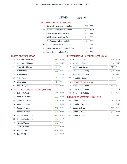| <b>LEWIS</b> | ED# |
|--------------|-----|
|--------------|-----|

#### PRESIDENT AND VICE PRESIDENT

| 1A <sup>2</sup> | Barack Obama and Joe Biden     | 277 | <b>DFM</b>   |
|-----------------|--------------------------------|-----|--------------|
| 1D:             | Barack Obama and Joe Biden     | 17  | <b>WOR</b>   |
| 1B:             | Mitt Romney and Paul Ryan      | 209 | <b>RFP</b>   |
| 1C:             | Mitt Romney and Paul Ryan      | 21  | <b>CON</b>   |
| $1F$ :          | Jill Stein and Cheri Honkala   | 3   | <b>GRE</b>   |
| 1G:             | Peta Lindsay and Yari Osorio   | 0   | <b>SOC</b>   |
| 1H:             | Gary Johnson and James P. Gray | 5   | <b>LIB</b>   |
| 1I:             | Virgil Goode and Jim Clymer    | 1   | <b>CONST</b> |

#### UNITED STATES SENATOR

| $2A^+$ | Kirsten E. Gillibrand | 250 | <b>DEM</b> |
|--------|-----------------------|-----|------------|
| 2D:    | Kirsten E. Gillibrand | 20  | <b>WOR</b> |
| 2E:    | Kirsten E. Gillibrand | 8   | <b>IND</b> |
| 2B:    | <b>Wendy Long</b>     | 181 | <b>REP</b> |
| 2C:    | <b>Wendy Long</b>     | 24  | <b>CON</b> |
| 2F:    | Colia Clark           | 3   | <b>GRE</b> |
| 2H:    | Chris Edes            | 1   | <b>LIB</b> |
| $2$ :  | John Mangelli         | 3   | <b>COM</b> |
|        |                       |     |            |

#### STATE SUPREME COURT JUSTICE (4th Dist)

| $3A$ : | Jeffrey D. Wait        | 158 | <b>DEM</b> |
|--------|------------------------|-----|------------|
| 4A:    | John M. Silvestri      | 165 | <b>DEM</b> |
| 5A:    | Christine M. Clark     | 195 | <b>DEM</b> |
| 6A:    | Mark L. Powers         | 156 | <b>DEM</b> |
| 3B:    | Joseph M. Sise         | 227 | <b>REP</b> |
| $3C$ : | Joseph M. Sise         | 33  | <b>CON</b> |
| 4B:    | <b>Thomas Buchanan</b> | 224 | <b>REP</b> |
| 4C     | Thomas Buchanan        | 33  | <b>CON</b> |
| 5B:    | Felix J. Catena        | 187 | <b>REP</b> |
| $5C$ : | Felix J. Catena        | 25  | <b>CON</b> |
| 6B:    | John T. Ellis          | 208 | <b>REP</b> |
| 6C:    | John T. Ellis          | 32  | <b>CON</b> |

#### REPRESENTATIVE IN CONGRESS (21st Dist)

| 7A: | William L. Owens  | 244 | <b>DEM</b> |
|-----|-------------------|-----|------------|
| 7D: | William L. Owens  | 16  | <b>WOR</b> |
| 7B: | Matthew A. Doheny | 215 | <b>REP</b> |
| 7C: | Matthew A. Doheny | 19  | <b>CON</b> |
| 7E: | Matthew A. Doheny | 10  | <b>IND</b> |
| 7F: | Donald L. Hassig  | 9   | <b>GRE</b> |

#### STATE SENATOR (45th Dist)

| 8B: Elizabeth O'C. Little | 339 | <b>RFP</b> |
|---------------------------|-----|------------|
| 8C: Elizabeth O'C. Little |     | <b>CON</b> |
| 8E: Elizabeth O'C. Little |     | <b>IND</b> |

|     | 9A: Dennis J. Tarantino | 159 | <b>DFM</b> |
|-----|-------------------------|-----|------------|
| 9D: | Dennis J. Tarantino     | 17  | <b>WOR</b> |
| 9B: | Daniel G. Stec          | 253 | <b>REP</b> |
| 9C: | Daniel G. Stec          | 26  | <b>CON</b> |
| 9E: | Daniel G. Stec          | 17  | <b>IND</b> |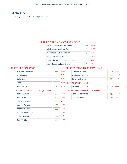## MINERVA

Assy Dist 114th - Cong Dist 21st

#### PRESIDENT AND VICE PRESIDENT

| Barack Obama and Joe Biden     | 242 | 554%  |
|--------------------------------|-----|-------|
| Mitt Romney and Paul Ryan      | 185 | 42.3% |
| Jill Stein and Cheri Honkala   | 5   | 1.1%  |
| Peta Lindsay and Yari Osorio   | O   | 0.0%  |
| Gary Johnson and James P. Gray | 5   | 1.1%  |
| Virgil Goode and Jim Clymer    |     | 0.0%  |

#### UNITED STATES SENATOR

| Kirsten E. Gillibrand | 278           | 66.8% |
|-----------------------|---------------|-------|
| <b>Wendy Long</b>     | 133           | 32.0% |
| Colia Clark           | $\mathcal{P}$ | 0.5%  |
| <b>Chris Edes</b>     | O             | 0.0%  |
| John Mangelli         | З             | 0.7%  |

#### REPRESENTATIVE IN CONGRESS (21st Dist)

| William L. Owens                       | 218 | 53.3%  |
|----------------------------------------|-----|--------|
| Matthew A. Doheny                      | 180 | 44.0%  |
| Donald L. Hassig                       | 11  | 2.7%   |
| <b>STATE SENATOR (45th Dist)</b>       |     |        |
| Elizabeth O'C. Little                  | 301 | 100.0% |
| <b>MEMBER OF ASSEMBLY (114th Dict)</b> |     |        |

#### STATE SUPREME COURT JUSTICE (4th Dist)

| Jeffrey D. Wait        | 169 | 12.7% |
|------------------------|-----|-------|
| John M. Silvestri      | 222 | 16.6% |
| Christine M. Clark     | 183 | 13.7% |
| Mark L. Powers         | 159 | 11.9% |
| Joseph M. Sise         | 156 | 11.7% |
| <b>Thomas Buchanan</b> | 147 | 11.0% |
| Felix J. Catena        | 141 | 10.6% |
| John T. Ellis          | 158 | 11.8% |

| Dennis J. Tarantino |     | 52.7% |
|---------------------|-----|-------|
| Daniel G. Stec      | 185 |       |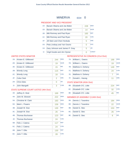## MINERVA ED#: 0

#### PRESIDENT AND VICE PRESIDENT

| $1A$ : | Barack Obama and Joe Biden     | 228 | <b>DEM</b>   |
|--------|--------------------------------|-----|--------------|
| 1D:    | Barack Obama and Joe Biden     | 14  | <b>WOR</b>   |
| 1B:    | Mitt Romney and Paul Ryan      | 165 | <b>REP</b>   |
| 1C: 1  | Mitt Romney and Paul Ryan      | 20  | <b>CON</b>   |
| $1F$ : | Jill Stein and Cheri Honkala   | 5   | <b>GRE</b>   |
| 1G:    | Peta Lindsay and Yari Osorio   | 0   | <b>SOC</b>   |
| 1H:    | Gary Johnson and James P. Gray | 5   | <b>LIB</b>   |
| 1I:    | Virgil Goode and Jim Clymer    | 0   | <b>CONST</b> |

#### UNITED STATES SENATOR

| 2A <sub>1</sub> | Kirsten E. Gillibrand | 244 | <b>DEM</b> |
|-----------------|-----------------------|-----|------------|
| 2D:             | Kirsten E. Gillibrand | 19  | <b>WOR</b> |
| 2E:             | Kirsten E. Gillibrand | 15  | <b>IND</b> |
| 2B:             | <b>Wendy Long</b>     | 115 | <b>REP</b> |
| 2C:             | <b>Wendy Long</b>     | 18  | <b>CON</b> |
| 2F <sub>1</sub> | <b>Colia Clark</b>    | 2   | <b>GRE</b> |
| 2H:             | Chris Edes            | O   | <b>LIB</b> |
| $2$ :           | John Mangelli         | 3   | <b>COM</b> |
|                 |                       |     |            |

## STATE SUPREME COURT JUSTICE (4th Dist)

| $3A$ : | Jeffrey D. Wait        | 169 | <b>DEM</b> |
|--------|------------------------|-----|------------|
| 4A:    | John M. Silvestri      | 222 | <b>DEM</b> |
| $5A$ : | Christine M. Clark     | 183 | <b>DEM</b> |
| 6A:    | Mark L. Powers         | 159 | <b>DEM</b> |
| 3B:    | Joseph M. Sise         | 130 | <b>REP</b> |
| 3C:    | Joseph M. Sise         | 26  | <b>CON</b> |
| 4B:    | <b>Thomas Buchanan</b> | 123 | <b>REP</b> |
| 4C     | Thomas Buchanan        | 24  | <b>CON</b> |
| 5B:    | Felix J. Catena        | 117 | <b>REP</b> |
| $5C$ : | Felix J. Catena        | 24  | <b>CON</b> |
| 6B:    | John T. Ellis          | 130 | <b>REP</b> |
| $6C$ : | John T. Ellis          | 28  | <b>CON</b> |

#### REPRESENTATIVE IN CONGRESS (21st Dist)

| 7A: | William L. Owens  | 199 | <b>DEM</b> |
|-----|-------------------|-----|------------|
| 7D: | William L. Owens  | 19  | <b>WOR</b> |
| 7B: | Matthew A. Doheny | 149 | <b>REP</b> |
| 7C: | Matthew A. Doheny | 24  | <b>CON</b> |
| 7E: | Matthew A. Doheny |     | <b>IND</b> |
| 7F: | Donald L. Hassig  | 11  | <b>GRE</b> |

#### STATE SENATOR (45th Dist)

| 8B: Elizabeth O'C. Little | 224 | RFP        |
|---------------------------|-----|------------|
| 8C: Elizabeth O'C. Little |     | <b>CON</b> |
| 8E: Elizabeth O'C. Little | 45  | <b>IND</b> |

| 9A: | Dennis J. Tarantino | 184 | <b>DFM</b> |
|-----|---------------------|-----|------------|
| 9D: | Dennis J. Tarantino | 22  | <b>WOR</b> |
| 9B: | Daniel G. Stec      | 153 | <b>REP</b> |
|     | 9C: Daniel G. Stec  | 26  | <b>CON</b> |
| 9E: | Daniel G. Stec      |     | <b>IND</b> |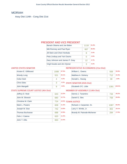## MORIAH

Assy Dist 114th - Cong Dist 21st

#### PRESIDENT AND VICE PRESIDENT

| Barack Obama and Joe Biden     | 1118 | 61.8% |
|--------------------------------|------|-------|
| Mitt Romney and Paul Ryan      | 667  | 36.9% |
| Jill Stein and Cheri Honkala   | 8    | 0.4%  |
| Peta Lindsay and Yari Osorio   | Ω    | 0.0%  |
| Gary Johnson and James P. Gray | 12   | 0.7%  |
| Virgil Goode and Jim Clymer    | З    | 0.2%  |

#### UNITED STATES SENATOR

| Kirsten E. Gillibrand | 1088 | 67.0% |
|-----------------------|------|-------|
| Wendy Long            | 521  | 32.1% |
| Colia Clark           |      | 0.2%  |
| <b>Chris Edes</b>     | 3    | 0.2%  |
| John Mangelli         | 9    | 0.6%  |

## REPRESENTATIVE IN CONGRESS (21st Dist)

| ℅  | William L. Owens                       | 938  | 55.8%  |
|----|----------------------------------------|------|--------|
| ℅  | Matthew A. Doheny                      | 712  | 42.4%  |
| ⁄° | Donald L. Hassig                       | 30   | 1.8%   |
|    | <sup>6</sup> STATE SENATOR (45th Dist) |      |        |
| ⁄° | Elizabeth O'C. Little                  | 1391 | 100.0% |
|    | MEMBER OF ACCEMBLY (11A+h Dict)        |      |        |

#### STATE SUPREME COURT JUSTICE (4th Dist)

| Jeffrey D. Wait    | 643 | 12.0% |
|--------------------|-----|-------|
| John M. Silvestri  | 680 | 12.7% |
| Christine M. Clark | 724 | 13.5% |
| Mark L. Powers     | 608 | 11.3% |
| Joseph M. Sise     | 742 | 13.8% |
| Thomas Buchanan    | 688 | 12.8% |
| Felix J. Catena    | 620 | 11.5% |
| John T. Ellis      | 663 | 12.4% |

#### MEMBER OF ASSEMBLY (114th Dist)

| Dennis J. Tarantino | 734 | 49.2% |
|---------------------|-----|-------|
| Daniel G. Stec      | 758 | 50.8% |

| Richard J. Carpenter, Sr.  | 1087 | 65.0% |
|----------------------------|------|-------|
| Larry V. Wintle, Jr.       | 302  | 18.1% |
| Brandy M. Patnode-Michener | 284  | 17.0% |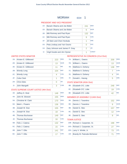#### PRESIDENT AND VICE PRESIDENT

| $1A$ : | Barack Obama and Joe Biden     | 241 | <b>DEM</b>   |
|--------|--------------------------------|-----|--------------|
| 1D:    | Barack Obama and Joe Biden     | 6   | <b>WOR</b>   |
| 1B:    | Mitt Romney and Paul Ryan      | 132 | <b>REP</b>   |
|        | 1C: Mitt Romney and Paul Ryan  | 9   | <b>CON</b>   |
| $1F$ : | Jill Stein and Cheri Honkala   | 1   | <b>GRE</b>   |
| 1G:    | Peta Lindsay and Yari Osorio   | 0   | <b>SOC</b>   |
| 1H:    | Gary Johnson and James P. Gray | 2   | <b>LIB</b>   |
| 11:    | Virgil Goode and Jim Clymer    | 1   | <b>CONST</b> |

#### UNITED STATES SENATOR

| $2A$ : | Kirsten E. Gillibrand | 223 | <b>DEM</b> |
|--------|-----------------------|-----|------------|
| 2D:    | Kirsten E. Gillibrand | 13  | <b>WOR</b> |
| 2E:    | Kirsten E. Gillibrand | 11  | <b>IND</b> |
| 2B:    | <b>Wendy Long</b>     | 104 | <b>RFP</b> |
| 2C:    | <b>Wendy Long</b>     | 4   | <b>CON</b> |
| 2F:    | Colia Clark           | 1   | <b>GRE</b> |
| 2H:    | <b>Chris Edes</b>     | Ω   | <b>LIB</b> |
| 2!     | John Mangelli         | 3   | <b>COM</b> |
|        |                       |     |            |

#### STATE SUPREME COURT JUSTICE (4th Dist)

| $3A$ : | Jeffrey D. Wait        | 148 | <b>DEM</b> |
|--------|------------------------|-----|------------|
| 4A:    | John M. Silvestri      | 155 | <b>DEM</b> |
| $5A$ : | Christine M. Clark     | 170 | <b>DEM</b> |
| 6A:    | Mark L. Powers         | 136 | <b>DEM</b> |
| 3B:    | Joseph M. Sise         | 155 | <b>REP</b> |
| 3C:    | Joseph M. Sise         | 18  | <b>CON</b> |
| 4B:    | <b>Thomas Buchanan</b> | 149 | <b>REP</b> |
| 4C     | <b>Thomas Buchanan</b> | 16  | <b>CON</b> |
| 5B:    | Felix J. Catena        | 132 | <b>REP</b> |
| 5C:    | Felix J. Catena        | 15  | <b>CON</b> |
| 6B:    | John T. Ellis          | 141 | <b>REP</b> |
| $6C$ : | John T. Ellis          | 17  | <b>CON</b> |

# REPRESENTATIVE IN CONGRESS (21st Dist)

| $7A$ : | William L. Owens                 | 209 | <b>DEM</b> |
|--------|----------------------------------|-----|------------|
| 7D:    | William L. Owens                 | 13  | <b>WOR</b> |
| 7B:    | Matthew A. Doheny                | 138 | <b>REP</b> |
| 7C:    | Matthew A. Doheny                |     | <b>CON</b> |
| 7E:    | Matthew A. Doheny                | 4   | <b>IND</b> |
| 7F:    | Donald L. Hassig                 | 5   | <b>GRE</b> |
|        | <b>TATE CENIATOD (AE+h Dic+)</b> |     |            |

#### STATE SENATOR (45th Dist)

| 8B: Elizabeth O'C. Little | 248 | <b>RFP</b> |
|---------------------------|-----|------------|
| 8C: Elizabeth O'C. Little | 19  | <b>CON</b> |
| 8E: Elizabeth O'C. Little |     | IND        |

#### MEMBER OF ASSEMBLY (114th Dist)

| 9A: | Dennis J. Tarantino | 152 | <b>DEM</b> |
|-----|---------------------|-----|------------|
| 9D: | Dennis J. Tarantino |     | <b>WOR</b> |
| 9B: | Daniel G. Stec      | 157 | <b>REP</b> |
| 9C: | Daniel G. Stec      | 12  | <b>CON</b> |
| 9E: | Daniel G. Stec      |     | <b>IND</b> |

| 10B: Richard J. Carpenter, Sr.  | 198 | <b>REP</b> |
|---------------------------------|-----|------------|
| 10G: Richard J. Carpenter, Sr.  | 27  | <b>PEO</b> |
| 10H: Larry V. Wintle, Jr.       | 73  | <b>JUS</b> |
| 10I: Brandy M. Patnode-Michener |     | <b>HON</b> |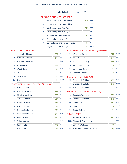#### PRESIDENT AND VICE PRESIDENT

| $1A$ :         | Barack Obama and Joe Biden     | 407 | <b>DEM</b>   |
|----------------|--------------------------------|-----|--------------|
| 1D:            | Barack Obama and Joe Biden     | 7   | <b>WOR</b>   |
| 1B:            | Mitt Romney and Paul Ryan      | 249 | <b>REP</b>   |
| 1C:            | Mitt Romney and Paul Ryan      | 17  | <b>CON</b>   |
| $1F$ :         | Jill Stein and Cheri Honkala   | 2   | <b>GRE</b>   |
| $1G$ :         | Peta Lindsay and Yari Osorio   | 0   | <b>SOC</b>   |
| 1H:            | Gary Johnson and James P. Gray | 5   | <b>LIB</b>   |
| 1 <sub>1</sub> | Virgil Goode and Jim Clymer    | 2   | <b>CONST</b> |

#### UNITED STATES SENATOR

| $2A$ : | Kirsten E. Gillibrand | 361            | <b>DEM</b> |
|--------|-----------------------|----------------|------------|
| 2D:    | Kirsten E. Gillibrand | 20             | <b>WOR</b> |
| 2E:    | Kirsten E. Gillibrand | 14             | <b>IND</b> |
| 2B:    | <b>Wendy Long</b>     | 194            | <b>REP</b> |
| 2C:    | <b>Wendy Long</b>     | 15             | <b>CON</b> |
| 2F:    | Colia Clark           | $\overline{2}$ | <b>GRE</b> |
| 2H:    | <b>Chris Edes</b>     | $\overline{2}$ | <b>LIB</b> |
| 2!     | John Mangelli         | $\overline{2}$ | <b>COM</b> |

#### STATE SUPREME COURT JUSTICE (4th Dist)

| $3A$ : | Jeffrey D. Wait        | 227 | <b>DEM</b> |
|--------|------------------------|-----|------------|
| 4A:    | John M. Silvestri      | 238 | <b>DEM</b> |
| $5A$ : | Christine M. Clark     | 263 | <b>DEM</b> |
| 6A:    | Mark L. Powers         | 214 | <b>DEM</b> |
| 3B:    | Joseph M. Sise         | 253 | <b>REP</b> |
| 3C:    | Joseph M. Sise         | 28  | <b>CON</b> |
| 4B:    | <b>Thomas Buchanan</b> | 243 | <b>REP</b> |
| 4C     | <b>Thomas Buchanan</b> | 28  | <b>CON</b> |
| 5B:    | Felix J. Catena        | 212 | <b>REP</b> |
| $5C$ : | Felix J. Catena        | 22  | <b>CON</b> |
| 6B:    | John T. Ellis          | 227 | <b>REP</b> |
| $6C$ : | John T. Ellis          | 30  | <b>CON</b> |

#### REPRESENTATIVE IN CONGRESS (21st Dist)

| 7A: | William L. Owens  | 312 | <b>DEM</b> |
|-----|-------------------|-----|------------|
| 7D: | William L. Owens  | 17  | <b>WOR</b> |
| 7B: | Matthew A. Doheny | 266 | <b>REP</b> |
| 7C: | Matthew A. Doheny | 18  | <b>CON</b> |
| 7E: | Matthew A. Doheny | 3   | <b>IND</b> |
| 7F: | Donald L. Hassig  | 12  | <b>GRE</b> |

#### STATE SENATOR (45th Dist)

| 8B: Elizabeth O'C. Little | 460 | <b>REP</b> |
|---------------------------|-----|------------|
| 8C: Elizabeth O'C. Little | 36  | <b>CON</b> |
| 8E: Elizabeth O'C. Little | 41  | <b>IND</b> |

#### MEMBER OF ASSEMBLY (114th Dist)

| 9A: | Dennis J. Tarantino | 251 | <b>DEM</b> |
|-----|---------------------|-----|------------|
| 9D: | Dennis J. Tarantino | 22  | <b>WOR</b> |
| 9B: | Daniel G. Stec      | 257 | <b>REP</b> |
| 9C: | Daniel G. Stec      | 20  | <b>CON</b> |
| 9E: | Daniel G. Stec      | 5   | <b>IND</b> |

| 10B: Richard J. Carpenter, Sr.  | 362 | <b>REP</b> |
|---------------------------------|-----|------------|
| 10G: Richard J. Carpenter, Sr.  | :31 | <b>PEO</b> |
| 10H: Larry V. Wintle, Jr.       | 136 | <b>JUS</b> |
| 10I: Brandy M. Patnode-Michener | 115 | <b>HON</b> |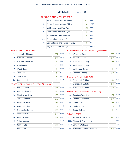#### PRESIDENT AND VICE PRESIDENT

| $1A$ :         | Barack Obama and Joe Biden     | 292 | <b>DEM</b>   |
|----------------|--------------------------------|-----|--------------|
| 1D:            | Barack Obama and Joe Biden     | 10  | <b>WOR</b>   |
| 1B:            | Mitt Romney and Paul Ryan      | 137 | <b>REP</b>   |
| 1C:            | Mitt Romney and Paul Ryan      | 6   | <b>CON</b>   |
| $1F$ :         | Jill Stein and Cheri Honkala   | 4   | <b>GRE</b>   |
| $1G$ :         | Peta Lindsay and Yari Osorio   | 0   | <b>SOC</b>   |
| 1H:            | Gary Johnson and James P. Gray | 3   | <b>LIB</b>   |
| 1 <sub>1</sub> | Virgil Goode and Jim Clymer    | Ω   | <b>CONST</b> |

#### UNITED STATES SENATOR

| $2A$ : | Kirsten E. Gillibrand | 267 | <b>DEM</b> |
|--------|-----------------------|-----|------------|
| 2D:    | Kirsten E. Gillibrand | 18  | <b>WOR</b> |
| 2E:    | Kirsten E. Gillibrand | 8   | <b>IND</b> |
| 2B:    | <b>Wendy Long</b>     | 106 | <b>REP</b> |
| 2C:    | <b>Wendy Long</b>     |     | <b>CON</b> |
| 2F:    | Colia Clark           | 1   | <b>GRE</b> |
| 2H:    | <b>Chris Edes</b>     | 1   | <b>LIB</b> |
| 2!     | John Mangelli         | 3   | <b>COM</b> |

#### STATE SUPREME COURT JUSTICE (4th Dist)

| $3A$ : | Jeffrey D. Wait        | 174 | <b>DEM</b> |
|--------|------------------------|-----|------------|
| 4A:    | John M. Silvestri      | 190 | <b>DEM</b> |
| 5A:    | Christine M. Clark     | 188 | <b>DEM</b> |
| 6A:    | Mark L. Powers         | 170 | <b>DEM</b> |
| 3B:    | Joseph M. Sise         | 153 | <b>REP</b> |
| 3C:    | Joseph M. Sise         | 15  | <b>CON</b> |
| 4B:    | Thomas Buchanan        | 130 | <b>REP</b> |
| 4C     | <b>Thomas Buchanan</b> | 16  | <b>CON</b> |
| 5B:    | Felix J. Catena        | 128 | <b>REP</b> |
| $5C$ : | Felix J. Catena        | 12  | <b>CON</b> |
| 6B:    | John T. Ellis          | 133 | <b>REP</b> |
| $6C$ : | John T. Ellis          | 14  | <b>CON</b> |

#### REPRESENTATIVE IN CONGRESS (21st Dist)

| 7A: | William L. Owens  | 233 | <b>DEM</b> |
|-----|-------------------|-----|------------|
| 7D: | William L. Owens  | 10  | <b>WOR</b> |
| 7B: | Matthew A. Doheny | 156 | <b>REP</b> |
| 7C: | Matthew A. Doheny | 11  | <b>CON</b> |
| 7E: | Matthew A. Doheny |     | <b>IND</b> |
| 7F: | Donald L. Hassig  | 10  | <b>GRE</b> |

#### STATE SENATOR (45th Dist)

| 8B: Elizabeth O'C. Little | 297 | <b>REP</b> |
|---------------------------|-----|------------|
| 8C: Elizabeth O'C. Little |     | <b>CON</b> |
| 8E: Elizabeth O'C. Little |     | <b>IND</b> |

#### MEMBER OF ASSEMBLY (114th Dist)

| 9A: | Dennis J. Tarantino | 187 | <b>DEM</b> |
|-----|---------------------|-----|------------|
| 9D: | Dennis J. Tarantino | 10  | <b>WOR</b> |
| 9B: | Daniel G. Stec      | 155 | <b>REP</b> |
| 9C: | Daniel G. Stec      | 13  | <b>CON</b> |
| 9E: | Daniel G. Stec      |     | <b>IND</b> |

| 10B: Richard J. Carpenter, Sr.  | 287 | <b>REP</b> |
|---------------------------------|-----|------------|
| 10G: Richard J. Carpenter, Sr.  | 27  | <b>PEO</b> |
| 10H: Larry V. Wintle, Jr.       | 49  | <b>JUS</b> |
| 10I: Brandy M. Patnode-Michener | 52  | <b>HON</b> |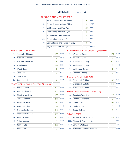#### PRESIDENT AND VICE PRESIDENT

| $1A$ :         | Barack Obama and Joe Biden     | 152            | <b>DEM</b>   |
|----------------|--------------------------------|----------------|--------------|
| 1D:            | Barack Obama and Joe Biden     | 3              | <b>WOR</b>   |
| 1B:            | Mitt Romney and Paul Ryan      | 116            | <b>REP</b>   |
| 1C:            | Mitt Romney and Paul Ryan      | 1              | <b>CON</b>   |
| $1F$ :         | Jill Stein and Cheri Honkala   | 1              | <b>GRE</b>   |
| $1G$ :         | Peta Lindsay and Yari Osorio   | 0              | <b>SOC</b>   |
| 1H:            | Gary Johnson and James P. Gray | $\overline{2}$ | <b>LIB</b>   |
| 1 <sub>1</sub> | Virgil Goode and Jim Clymer    | 0              | <b>CONST</b> |

#### UNITED STATES SENATOR

| $2A$ : | Kirsten F. Gillibrand | 139 | <b>DEM</b> |
|--------|-----------------------|-----|------------|
| 2D:    | Kirsten E. Gillibrand | 8   | <b>WOR</b> |
| 2E:    | Kirsten E. Gillibrand | 6   | <b>IND</b> |
| 2B:    | <b>Wendy Long</b>     | 90  | <b>REP</b> |
| 2C:    | <b>Wendy Long</b>     |     | <b>CON</b> |
| 2F:    | Colia Clark           | 0   | <b>GRE</b> |
| 2H:    | Chris Edes            | 0   | I IB       |
| 2!     | John Mangelli         | 1   | <b>COM</b> |

#### STATE SUPREME COURT JUSTICE (4th Dist)

| $3A$ : | Jeffrey D. Wait        | 94  | <b>DEM</b> |
|--------|------------------------|-----|------------|
| 4A:    | John M. Silvestri      | 97  | <b>DEM</b> |
| 5A:    | Christine M. Clark     | 103 | <b>DEM</b> |
| 6A:    | Mark L. Powers         | 88  | <b>DEM</b> |
| 3B:    | Joseph M. Sise         | 110 | <b>REP</b> |
| 3C:    | Joseph M. Sise         | 10  | <b>CON</b> |
| 4B:    | Thomas Buchanan        | 96  | <b>REP</b> |
| 4C     | <b>Thomas Buchanan</b> | 10  | <b>CON</b> |
| 5B:    | Felix J. Catena        | 91  | <b>REP</b> |
| $5C$ : | Felix J. Catena        | 8   | <b>CON</b> |
| 6B:    | John T. Ellis          | 93  | <b>RFP</b> |
| $6C$ : | John T. Ellis          | 8   | <b>CON</b> |

#### REPRESENTATIVE IN CONGRESS (21st Dist)

|     | 7A: William L. Owens | 137 | <b>DEM</b> |
|-----|----------------------|-----|------------|
| 7D: | William L. Owens     |     | <b>WOR</b> |
| 7B: | Matthew A. Doheny    | 98  | <b>REP</b> |
| 7C: | Matthew A. Doheny    | 3   | <b>CON</b> |
| 7E: | Matthew A. Doheny    | 1   | <b>IND</b> |
| 7F: | Donald L. Hassig     | 3   | <b>GRE</b> |

#### STATE SENATOR (45th Dist)

| 8B: Elizabeth O'C. Little | 170            | <b>REP</b> |
|---------------------------|----------------|------------|
| 8C: Elizabeth O'C. Little | 1 <sub>0</sub> | <b>CON</b> |
| 8E: Elizabeth O'C. Little |                | <b>IND</b> |

#### MEMBER OF ASSEMBLY (114th Dist)

| 9A: | Dennis J. Tarantino | 97  | <b>DEM</b> |
|-----|---------------------|-----|------------|
| 9D: | Dennis J. Tarantino | 6   | <b>WOR</b> |
| 9B: | Daniel G. Stec      | 113 | <b>REP</b> |
|     | 9C: Daniel G. Stec  | ิค  | <b>CON</b> |
| 9E: | Daniel G. Stec      |     | <b>IND</b> |

| 10B: Richard J. Carpenter, Sr.  | 144 | <b>REP</b> |
|---------------------------------|-----|------------|
| 10G: Richard J. Carpenter, Sr.  | 11  | <b>PEO</b> |
| 10H: Larry V. Wintle, Jr.       | 44  | <b>JUS</b> |
| 101: Brandy M. Patnode-Michener | 46  | <b>HON</b> |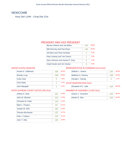## NEWCOMB

Assy Dist 114th - Cong Dist 21st

#### PRESIDENT AND VICE PRESIDENT

| Barack Obama and Joe Biden     | 144 | 48.8% |
|--------------------------------|-----|-------|
| Mitt Romney and Paul Ryan      | 145 | 49 2% |
| Jill Stein and Cheri Honkala   |     | 0.3%  |
| Peta Lindsay and Yari Osorio   | 1   | 0.3%  |
| Gary Johnson and James P. Gray | 4   | 14%   |
| Virgil Goode and Jim Clymer    |     | 0.0%  |

#### UNITED STATES SENATOR

| Kirsten E. Gillibrand | 168 | 60.4%      |
|-----------------------|-----|------------|
| <b>Wendy Long</b>     | 108 | 38.8%      |
| Colia Clark           | O   | 0.0%       |
| <b>Chris Edes</b>     |     | 0.4%<br>Ċ. |
| John Mangelli         |     | 0.4%       |

#### REPRESENTATIVE IN CONGRESS (21st Dist)

| William L. Owens                 | 135 | 48.9%  |
|----------------------------------|-----|--------|
| Matthew A. Doheny                | 139 | 50.4%  |
| Donald L. Hassig                 | 2   | 0.7%   |
| <b>STATE SENATOR (45th Dist)</b> |     |        |
| Elizabeth O'C. Little            | 216 | 100.0% |
| MEMOED OF ACCEMOUV (114th Dict)  |     |        |

#### STATE SUPREME COURT JUSTICE (4th Dist)

| 10.6%<br>Jeffrey D. Wait<br>102 |       |
|---------------------------------|-------|
| John M. Silvestri<br>123        | 12.8% |
| Christine M. Clark<br>110       | 11.5% |
| Mark L. Powers<br>97            | 10.1% |
| Joseph M. Sise<br>140           | 14.6% |
| 122<br><b>Thomas Buchanan</b>   | 12.7% |
| Felix J. Catena<br>126          | 13.1% |
| John T. Ellis<br>140            | 14.6% |

| Dennis J. Tarantino | 100 | 38.0% |
|---------------------|-----|-------|
| Daniel G. Stec      | 163 | 62.0% |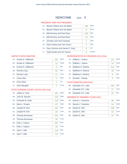## NEWCOMB ED#: 0

#### PRESIDENT AND VICE PRESIDENT

| $1A$ : | Barack Obama and Joe Biden     | 136 | <b>DFM</b>   |
|--------|--------------------------------|-----|--------------|
| 1D:    | Barack Obama and Joe Biden     | 8   | <b>WOR</b>   |
| 1B:    | Mitt Romney and Paul Ryan      | 129 | <b>REP</b>   |
| 1C:    | Mitt Romney and Paul Ryan      | 16  | <b>CON</b>   |
| $1F$ : | Jill Stein and Cheri Honkala   | 1   | <b>GRE</b>   |
| 1G:    | Peta Lindsay and Yari Osorio   | 1   | <b>SOC</b>   |
| 1H:    | Gary Johnson and James P. Gray | 4   | <b>LIB</b>   |
| 11:    | Virgil Goode and Jim Clymer    | 0   | <b>CONST</b> |

#### UNITED STATES SENATOR

| $2A$ : | Kirsten E. Gillibrand | 151 | <b>DEM</b> |
|--------|-----------------------|-----|------------|
| 2D:    | Kirsten E. Gillibrand | 12  | <b>WOR</b> |
| 2E:    | Kirsten E. Gillibrand | 5   | <b>IND</b> |
| 2B:    | <b>Wendy Long</b>     | 91  | <b>REP</b> |
| 2C:    | <b>Wendy Long</b>     | 17  | <b>CON</b> |
| 2F:    | Colia Clark           | ∩   | <b>GRE</b> |
| 2H:    | <b>Chris Edes</b>     | 1   | LIB        |
| $2$ :  | John Mangelli         | 1   | <b>COM</b> |
|        |                       |     |            |

#### STATE SUPREME COURT JUSTICE (4th Dist)

| $3A$ : | Jeffrey D. Wait        | 102 | <b>DEM</b> |
|--------|------------------------|-----|------------|
| 4A:    | John M. Silvestri      | 123 | <b>DEM</b> |
| $5A$ : | Christine M. Clark     | 110 | <b>DEM</b> |
| 6A:    | Mark L. Powers         | 97  | <b>DEM</b> |
| 3B:    | Joseph M. Sise         | 121 | <b>REP</b> |
| 3C:    | Joseph M. Sise         | 19  | <b>CON</b> |
| 4B:    | <b>Thomas Buchanan</b> | 102 | <b>REP</b> |
| 4C     | <b>Thomas Buchanan</b> | 20  | <b>CON</b> |
| 5B:    | Felix J. Catena        | 107 | <b>REP</b> |
| $5C$ : | Felix J. Catena        | 19  | <b>CON</b> |
| 6B:    | John T. Ellis          | 116 | <b>REP</b> |
| 6C:    | John T. Ellis          | 24  | <b>CON</b> |

#### REPRESENTATIVE IN CONGRESS (21st Dist)

| 7A: | William L. Owens  | 121           | <b>DEM</b> |
|-----|-------------------|---------------|------------|
| 7D: | William L. Owens  | 14            | <b>WOR</b> |
| 7B: | Matthew A. Doheny | 114           | <b>REP</b> |
| 7C: | Matthew A. Doheny | 19            | <b>CON</b> |
| 7E: | Matthew A. Doheny | 6             | <b>IND</b> |
| 7F: | Donald L. Hassig  | $\mathcal{P}$ | <b>GRE</b> |
|     |                   |               |            |

#### STATE SENATOR (45th Dist)

| 8B: Elizabeth O'C. Little | 164 | REP        |
|---------------------------|-----|------------|
| 8C: Elizabeth O'C. Little |     | <b>CON</b> |
| 8E: Elizabeth O'C. Little | 25  | <b>IND</b> |

|     | 9A: Dennis J. Tarantino | 90  | <b>DEM</b> |
|-----|-------------------------|-----|------------|
| 9D: | Dennis J. Tarantino     | 10  | <b>WOR</b> |
| 9B: | Daniel G. Stec          | 128 | <b>REP</b> |
|     | 9C: Daniel G. Stec      | 21  | <b>CON</b> |
| 9E: | Daniel G. Stec          | 14  | <b>IND</b> |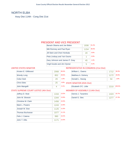# NORTH ELBA

Assy Dist 114th - Cong Dist 21st

#### PRESIDENT AND VICE PRESIDENT

| Barack Obama and Joe Biden     | 1936 | 61.2% |
|--------------------------------|------|-------|
| Mitt Romney and Paul Ryan      | 1154 | 36.5% |
| Jill Stein and Cheri Honkala   | 20   | 0.6%  |
| Peta Lindsay and Yari Osorio   | 1    | 0.0%  |
| Gary Johnson and James P. Gray | 45   | 1.4%  |
| Virgil Goode and Jim Clymer    | 5    | 0.2%  |

#### UNITED STATES SENATOR

| Kirsten E. Gillibrand | 2068 | 69.4% |
|-----------------------|------|-------|
| <b>Wendy Long</b>     | 852  | 28.6% |
| Colia Clark           | 29   | 1.0%  |
| <b>Chris Edes</b>     | 25   | 0.8%  |
| John Mangelli         |      | 0.1%  |

#### REPRESENTATIVE IN CONGRESS (21st Dist)

| William L. Owens                 | 1712 | 58.3%  |
|----------------------------------|------|--------|
| Matthew A. Doheny                | 1172 | 39.9%  |
| Donald L. Hassig                 | 54   | 1.8%   |
| <b>STATE SENATOR (45th Dist)</b> |      |        |
| Elizabeth O'C. Little            | 2210 | 100.0% |
| -------------------              |      |        |

#### STATE SUPREME COURT JUSTICE (4th Dist)

| Jeffrey D. Wait           | 1316 | 13.5% |
|---------------------------|------|-------|
| John M. Silvestri         | 1344 | 13.8% |
| <b>Christine M. Clark</b> | 1456 | 15.0% |
| Mark L. Powers            | 1243 | 12.8% |
| Joseph M. Sise            | 1125 | 11.6% |
| <b>Thomas Buchanan</b>    | 1077 | 11.1% |
| Felix J. Catena           | 990  | 10.2% |
| John T. Ellis             | 1171 | 12.0% |

| Dennis J. Tarantino |      | 52.7% |
|---------------------|------|-------|
| Daniel G. Stec      | 1277 | 47.3% |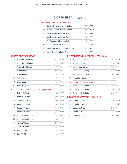#### PRESIDENT AND VICE PRESIDENT

| $1A$ : | Barack Obama and Joe Biden     | 203 | <b>DFM</b>   |
|--------|--------------------------------|-----|--------------|
| 1D:    | Barack Obama and Joe Biden     | 15  | <b>WOR</b>   |
| 1B:    | Mitt Romney and Paul Ryan      | 91  | <b>REP</b>   |
| 1C:    | Mitt Romney and Paul Ryan      | 4   | <b>CON</b>   |
| $1F$ : | Jill Stein and Cheri Honkala   | 3   | <b>GRE</b>   |
| 1G:    | Peta Lindsay and Yari Osorio   | O   | <b>SOC</b>   |
| 1H:    | Gary Johnson and James P. Gray | 8   | <b>LIB</b>   |
| 11:    | Virgil Goode and Jim Clymer    | 1   | <b>CONST</b> |

#### UNITED STATES SENATOR

| 2A <sub>1</sub> | Kirsten E. Gillibrand | 202            | <b>DEM</b> |
|-----------------|-----------------------|----------------|------------|
| 2D:             | Kirsten E. Gillibrand | 19             | <b>WOR</b> |
| 2E:             | Kirsten E. Gillibrand | 8              | <b>IND</b> |
| 2B:             | <b>Wendy Long</b>     | 50             | <b>REP</b> |
| 2C:             | <b>Wendy Long</b>     | $\overline{2}$ | <b>CON</b> |
| 2F:             | Colia Clark           | 5              | <b>GRE</b> |
| 2H:             | Chris Edes            | 9              | LIB        |
| $2$ :           | John Mangelli         | ∩              | <b>COM</b> |
|                 |                       |                |            |

## STATE SUPREME COURT JUSTICE (4th Dist)

| $3A$ : | Jeffrey D. Wait        | 141 | <b>DEM</b> |
|--------|------------------------|-----|------------|
| 4A:    | John M. Silvestri      | 144 | <b>DEM</b> |
| $5A$ : | Christine M. Clark     | 154 | <b>DEM</b> |
| 6A:    | Mark L. Powers         | 128 | <b>DEM</b> |
| 3B:    | Joseph M. Sise         | 70  | <b>REP</b> |
| 3C:    | Joseph M. Sise         | 14  | <b>CON</b> |
| 4B:    | <b>Thomas Buchanan</b> | 75  | <b>REP</b> |
| 4C     | <b>Thomas Buchanan</b> | 14  | <b>CON</b> |
| 5B:    | Felix J. Catena        | 59  | <b>REP</b> |
| $5C$ : | Felix J. Catena        | 8   | <b>CON</b> |
| 6B:    | John T. Ellis          | 76  | <b>REP</b> |
| 6C:    | John T. Ellis          | 10  | <b>CON</b> |

## REPRESENTATIVE IN CONGRESS (21st Dist)

|     | 7A: William L. Owens | 170 | <b>DEM</b> |
|-----|----------------------|-----|------------|
| 7D: | William L. Owens     | 18  | <b>WOR</b> |
| 7B: | Matthew A. Doheny    | 75  | <b>REP</b> |
| 7C: | Matthew A. Doheny    |     | <b>CON</b> |
| 7E: | Matthew A. Doheny    | 8   | <b>IND</b> |
| 7F: | Donald L. Hassig     | 10  | <b>GRE</b> |

#### STATE SENATOR (45th Dist)

| 8B: Elizabeth O'C. Little | 146 | <b>REP</b> |
|---------------------------|-----|------------|
| 8C: Elizabeth O'C. Little | 20  | <b>CON</b> |
| 8E: Elizabeth O'C. Little | 48  | IND        |

|     | 9A: Dennis J. Tarantino | 144 | <b>DEM</b> |
|-----|-------------------------|-----|------------|
|     | 9D: Dennis J. Tarantino | 14  | <b>WOR</b> |
| 9B: | Daniel G. Stec          | 85  | <b>REP</b> |
|     | 9C: Daniel G. Stec      |     | <b>CON</b> |
| 9E: | Daniel G. Stec          |     | <b>IND</b> |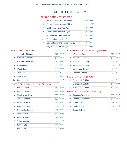#### PRESIDENT AND VICE PRESIDENT

| $1A$ :         | Barack Obama and Joe Biden     | 318 | <b>DEM</b>   |
|----------------|--------------------------------|-----|--------------|
| 1D:            | Barack Obama and Joe Biden     | 19  | <b>WOR</b>   |
| 1B:            | Mitt Romney and Paul Ryan      | 133 | <b>REP</b>   |
| 1C:            | Mitt Romney and Paul Ryan      | 16  | <b>CON</b>   |
| $1F$ :         | Jill Stein and Cheri Honkala   | 4   | <b>GRE</b>   |
| $1G$ :         | Peta Lindsay and Yari Osorio   | 0   | <b>SOC</b>   |
| 1H:            | Gary Johnson and James P. Gray | 6   | <b>LIB</b>   |
| 1 <sub>1</sub> | Virgil Goode and Jim Clymer    | Ω   | <b>CONST</b> |

#### UNITED STATES SENATOR

| 2A    | Kirsten F. Gillibrand | 312            | <b>DEM</b> |
|-------|-----------------------|----------------|------------|
| 2D:   | Kirsten E. Gillibrand | 28             | <b>WOR</b> |
| 2E:   | Kirsten E. Gillibrand | 7              | <b>IND</b> |
| 2B:   | <b>Wendy Long</b>     | 106            | <b>RFP</b> |
| 2C:   | <b>Wendy Long</b>     | 17             | <b>CON</b> |
| 2F:   | Colia Clark           | $\overline{2}$ | <b>GRE</b> |
| 2H:   | <b>Chris Edes</b>     | $\overline{2}$ | LIB        |
| $2$ : | John Mangelli         | ∩              | <b>COM</b> |

#### STATE SUPREME COURT JUSTICE (4th Dist)

| $3A$ : | Jeffrey D. Wait           | 219 | <b>DEM</b> |
|--------|---------------------------|-----|------------|
| 4A:    | John M. Silvestri         | 224 | <b>DEM</b> |
| 5A:    | <b>Christine M. Clark</b> | 260 | <b>DEM</b> |
| 6A:    | Mark L. Powers            | 206 | <b>DEM</b> |
| 3B:    | Joseph M. Sise            | 132 | <b>REP</b> |
| 3C:    | Joseph M. Sise            | 25  | <b>CON</b> |
| 4B:    | <b>Thomas Buchanan</b>    | 131 | <b>REP</b> |
| 4C     | <b>Thomas Buchanan</b>    | 30  | <b>CON</b> |
| 5B:    | Felix J. Catena           | 113 | <b>REP</b> |
| 5C:    | Felix J. Catena           | 24  | <b>CON</b> |
| 6B:    | John T. Ellis             | 155 | <b>REP</b> |
| $6C$ : | John T. Ellis             | 36  | <b>CON</b> |

#### REPRESENTATIVE IN CONGRESS (21st Dist)

| 7A: | William L. Owens  | 270 | <b>DEM</b> |
|-----|-------------------|-----|------------|
| 7D: | William L. Owens  | 24  | <b>WOR</b> |
| 7B: | Matthew A. Doheny | 143 | <b>REP</b> |
| 7C: | Matthew A. Doheny | 19  | <b>CON</b> |
| 7E: | Matthew A. Doheny |     | <b>IND</b> |
| 7F: | Donald L. Hassig  | 8   | <b>GRE</b> |

#### STATE SENATOR (45th Dist)

| 8B: Elizabeth O'C. Little | 245 | <b>REP</b> |
|---------------------------|-----|------------|
| 8C: Elizabeth O'C. Little | 34  | <b>CON</b> |
| 8E: Elizabeth O'C. Little |     | <b>IND</b> |

| 9A: | Dennis J. Tarantino | 238 | <b>DEM</b> |
|-----|---------------------|-----|------------|
| 9D: | Dennis J. Tarantino | 19  | <b>WOR</b> |
| 9B: | Daniel G. Stec      | 136 | <b>RFP</b> |
| 9C: | Daniel G. Stec      | 20  | <b>CON</b> |
| 9E: | Daniel G. Stec      | 14  | <b>IND</b> |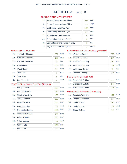#### PRESIDENT AND VICE PRESIDENT

| $1A$ :         | Barack Obama and Joe Biden     | 257            | <b>DEM</b>   |
|----------------|--------------------------------|----------------|--------------|
| 1D:            | Barack Obama and Joe Biden     | 15             | <b>WOR</b>   |
| 1B:            | Mitt Romney and Paul Ryan      | 155            | <b>REP</b>   |
| 1C:            | Mitt Romney and Paul Ryan      | 17             | <b>CON</b>   |
| $1F$ :         | Jill Stein and Cheri Honkala   | $\overline{2}$ | <b>GRE</b>   |
| $1G$ :         | Peta Lindsay and Yari Osorio   | 1              | <b>SOC</b>   |
| 1H:            | Gary Johnson and James P. Gray | 5              | <b>LIB</b>   |
| 1 <sub>1</sub> | Virgil Goode and Jim Clymer    | Ω              | <b>CONST</b> |

#### UNITED STATES SENATOR

| $2A$ : | Kirsten F. Gillibrand | 251 | <b>DEM</b> |
|--------|-----------------------|-----|------------|
| 2D:    | Kirsten E. Gillibrand | 22  | <b>WOR</b> |
| $2F^+$ | Kirsten E. Gillibrand | 23  | <b>IND</b> |
| 2B:    | <b>Wendy Long</b>     | 104 | <b>REP</b> |
| 2C:    | <b>Wendy Long</b>     | 11  | <b>CON</b> |
| 2F:    | Colia Clark           | 5   | <b>GRE</b> |
| 2H:    | Chris Edes            | 3   | LIB        |
| $2$ :  | John Mangelli         | 2   | <b>COM</b> |

#### STATE SUPREME COURT JUSTICE (4th Dist)

| $3A$ : | Jeffrey D. Wait           | 182 | <b>DEM</b> |
|--------|---------------------------|-----|------------|
| 4A:    | John M. Silvestri         | 184 | <b>DEM</b> |
| 5A:    | <b>Christine M. Clark</b> | 195 | <b>DEM</b> |
| 6A:    | Mark L. Powers            | 165 | <b>DEM</b> |
| 3B:    | Joseph M. Sise            | 142 | <b>REP</b> |
| $3C$ : | Joseph M. Sise            | 23  | <b>CON</b> |
| 4B:    | <b>Thomas Buchanan</b>    | 130 | <b>REP</b> |
| 4C     | <b>Thomas Buchanan</b>    | 19  | <b>CON</b> |
| 5B:    | Felix J. Catena           | 122 | <b>REP</b> |
| 5C:    | Felix J. Catena           | 16  | <b>CON</b> |
| 6B:    | John T. Ellis             | 143 | <b>REP</b> |
| $6C$ : | John T. Ellis             | 24  | <b>CON</b> |

#### REPRESENTATIVE IN CONGRESS (21st Dist)

| $7A$ : | William L. Owens  | 205 | <b>DEM</b> |
|--------|-------------------|-----|------------|
| 7D:    | William L. Owens  | 20  | <b>WOR</b> |
| 7B:    | Matthew A. Doheny | 159 | <b>REP</b> |
| 7C:    | Matthew A. Doheny | 16  | <b>CON</b> |
| 7E:    | Matthew A. Doheny |     | <b>IND</b> |
| 7F:    | Donald L. Hassig  | 10  | <b>GRE</b> |

#### STATE SENATOR (45th Dist)

| 8B: Elizabeth O'C. Little | 233 | <b>REP</b> |
|---------------------------|-----|------------|
| 8C: Elizabeth O'C. Little | 24  | <b>CON</b> |
| 8E: Elizabeth O'C. Little | 70  | <b>IND</b> |

| 9A: | Dennis J. Tarantino | 177 | <b>DEM</b> |
|-----|---------------------|-----|------------|
| 9D: | Dennis J. Tarantino | 14  | <b>WOR</b> |
| 9B: | Daniel G. Stec      | 160 | <b>REP</b> |
| 9C: | Daniel G. Stec      | 19  | <b>CON</b> |
| 9E: | Daniel G. Stec      | 12  | <b>IND</b> |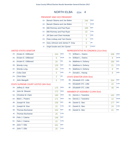#### PRESIDENT AND VICE PRESIDENT

| $1A$ :         | Barack Obama and Joe Biden     | 246            | <b>DEM</b>   |
|----------------|--------------------------------|----------------|--------------|
| 1D:            | Barack Obama and Joe Biden     | $\overline{7}$ | <b>WOR</b>   |
| 1B:            | Mitt Romney and Paul Ryan      | 169            | <b>REP</b>   |
| 1C:            | Mitt Romney and Paul Ryan      | 22             | <b>CON</b>   |
| $1F$ :         | Jill Stein and Cheri Honkala   | 3              | <b>GRE</b>   |
| $1G$ :         | Peta Lindsay and Yari Osorio   | 0              | <b>SOC</b>   |
| 1H:            | Gary Johnson and James P. Gray | 3              | <b>LIB</b>   |
| 1 <sub>1</sub> | Virgil Goode and Jim Clymer    | Ω              | <b>CONST</b> |

#### UNITED STATES SENATOR

| $2A$ : | Kirsten F. Gillibrand | 243            | <b>DEM</b> |
|--------|-----------------------|----------------|------------|
| 2D:    | Kirsten E. Gillibrand | 6              | <b>WOR</b> |
| $2F^+$ | Kirsten E. Gillibrand | 20             | <b>IND</b> |
| 2B:    | <b>Wendy Long</b>     | 129            | <b>REP</b> |
| 2C:    | <b>Wendy Long</b>     | 19             | <b>CON</b> |
| 2F:    | Colia Clark           | 5              | <b>GRE</b> |
| 2H:    | Chris Edes            | $\overline{2}$ | <b>LIB</b> |
| $2$ :  | John Mangelli         | Λ              | <b>COM</b> |

#### STATE SUPREME COURT JUSTICE (4th Dist)

| $3A$ : | Jeffrey D. Wait           | 175 | <b>DEM</b> |
|--------|---------------------------|-----|------------|
| 4A:    | John M. Silvestri         | 172 | <b>DEM</b> |
| 5A:    | <b>Christine M. Clark</b> | 190 | <b>DEM</b> |
| 6A:    | Mark L. Powers            | 171 | <b>DEM</b> |
| 3B:    | Joseph M. Sise            | 159 | <b>REP</b> |
| 3C:    | Joseph M. Sise            | 22  | <b>CON</b> |
| 4B:    | <b>Thomas Buchanan</b>    | 152 | <b>REP</b> |
| 4C     | <b>Thomas Buchanan</b>    | 25  | <b>CON</b> |
| 5B:    | Felix J. Catena           | 146 | <b>REP</b> |
| $5C$ : | Felix J. Catena           | 22  | <b>CON</b> |
| 6B:    | John T. Ellis             | 161 | <b>REP</b> |
| $6C$ : | John T. Ellis             | 25  | <b>CON</b> |

#### REPRESENTATIVE IN CONGRESS (21st Dist)

| 7A: | William L. Owens  | 208 | <b>DEM</b> |
|-----|-------------------|-----|------------|
| 7D: | William L. Owens  | 8   | <b>WOR</b> |
| 7B: | Matthew A. Doheny | 160 | <b>REP</b> |
| 7C: | Matthew A. Doheny | 21  | <b>CON</b> |
| 7E: | Matthew A. Doheny | 8   | <b>IND</b> |
| 7F: | Donald L. Hassig  | 8   | <b>GRE</b> |

#### STATE SENATOR (45th Dist)

| 8B: Elizabeth O'C. Little | 254 | <b>REP</b> |
|---------------------------|-----|------------|
| 8C: Elizabeth O'C. Little |     | <b>CON</b> |
| 8E: Elizabeth O'C. Little | 49  | IND        |

| 9A: | Dennis J. Tarantino | 162 | <b>DEM</b> |
|-----|---------------------|-----|------------|
| 9D: | Dennis J. Tarantino | 12  | <b>WOR</b> |
| 9B: | Daniel G. Stec      | 177 | <b>REP</b> |
| 9C: | Daniel G. Stec      | 24  | <b>CON</b> |
| 9E: | Daniel G. Stec      | 21  | <b>IND</b> |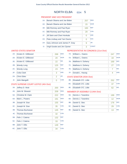#### PRESIDENT AND VICE PRESIDENT

| $1A$ :         | Barack Obama and Joe Biden     | 257 | <b>DEM</b>   |
|----------------|--------------------------------|-----|--------------|
| 1D:            | Barack Obama and Joe Biden     | 15  | <b>WOR</b>   |
| 1B:            | Mitt Romney and Paul Ryan      | 183 | <b>REP</b>   |
| 1C:            | Mitt Romney and Paul Ryan      | 29  | <b>CON</b>   |
| $1F$ :         | Jill Stein and Cheri Honkala   | 0   | <b>GRE</b>   |
| $1G$ :         | Peta Lindsay and Yari Osorio   | 0   | <b>SOC</b>   |
| 1H:            | Gary Johnson and James P. Gray | 9   | <b>LIB</b>   |
| 1 <sub>1</sub> | Virgil Goode and Jim Clymer    | 3   | <b>CONST</b> |

#### UNITED STATES SENATOR

| 2A     | Kirsten F. Gillibrand | 268            | <b>DEM</b> |
|--------|-----------------------|----------------|------------|
| 2D:    | Kirsten E. Gillibrand | 20             | <b>WOR</b> |
| $2F^+$ | Kirsten E. Gillibrand | 22             | <b>IND</b> |
| 2B:    | <b>Wendy Long</b>     | 125            | <b>RFP</b> |
| 2C:    | <b>Wendy Long</b>     | 23             | <b>CON</b> |
| 2F:    | Colia Clark           | 3              | <b>GRE</b> |
| 2H:    | Chris Edes            | $\overline{2}$ | <b>LIB</b> |
| $2$ :  | John Mangelli         | ∩              | <b>COM</b> |

#### STATE SUPREME COURT JUSTICE (4th Dist)

| $3A$ : | Jeffrey D. Wait        | 200 | <b>DEM</b> |
|--------|------------------------|-----|------------|
| 4A:    | John M. Silvestri      | 209 | <b>DEM</b> |
| 5A:    | Christine M. Clark     | 222 | <b>DEM</b> |
| 6A:    | Mark L. Powers         | 191 | <b>DEM</b> |
| 3B:    | Joseph M. Sise         | 155 | <b>REP</b> |
| 3C:    | Joseph M. Sise         | 35  | <b>CON</b> |
| 4B:    | <b>Thomas Buchanan</b> | 145 | <b>REP</b> |
| 4C     | <b>Thomas Buchanan</b> | 32  | <b>CON</b> |
| 5B:    | Felix J. Catena        | 132 | <b>REP</b> |
| 5C:    | Felix J. Catena        | 33  | <b>CON</b> |
| 6B:    | John T. Ellis          | 149 | <b>REP</b> |
| $6C$ : | John T. Ellis          | 34  | <b>CON</b> |

#### REPRESENTATIVE IN CONGRESS (21st Dist)

| 7A:<br>William L. Owens  | 247 | <b>DEM</b> |
|--------------------------|-----|------------|
| William L. Owens<br>7D:  | 18  | <b>WOR</b> |
| 7B:<br>Matthew A. Doheny | 169 | <b>REP</b> |
| 7C:<br>Matthew A. Doheny | 27  | <b>CON</b> |
| 7E:<br>Matthew A. Doheny |     | <b>IND</b> |
| 7F:<br>Donald L. Hassig  | 4   | <b>GRE</b> |

#### STATE SENATOR (45th Dist)

| 8B: Elizabeth O'C. Little | 252 | <b>REP</b> |
|---------------------------|-----|------------|
| 8C: Elizabeth O'C. Little | -37 | <b>CON</b> |
| 8E: Elizabeth O'C. Little |     | <b>IND</b> |

| 9A: | Dennis J. Tarantino | 199 | <b>DEM</b> |
|-----|---------------------|-----|------------|
| 9D: | Dennis J. Tarantino | 12  | <b>WOR</b> |
| 9B: | Daniel G. Stec      | 176 | <b>REP</b> |
| 9C: | Daniel G. Stec      | 29  | <b>CON</b> |
| 9E: | Daniel G. Stec      | 13  | <b>IND</b> |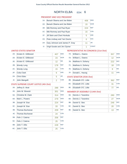#### PRESIDENT AND VICE PRESIDENT

| $1A$ : | Barack Obama and Joe Biden     | 406 | <b>DEM</b>   |
|--------|--------------------------------|-----|--------------|
| $1D$ : | Barack Obama and Joe Biden     | 15  | <b>WOR</b>   |
| 1B:    | Mitt Romney and Paul Ryan      | 224 | <b>REP</b>   |
| 1C:    | Mitt Romney and Paul Ryan      | 15  | <b>CON</b>   |
| $1F$ : | Jill Stein and Cheri Honkala   | 5   | <b>GRE</b>   |
| $1G$ : | Peta Lindsay and Yari Osorio   | 0   | <b>SOC</b>   |
| 1H:    | Gary Johnson and James P. Gray | 11  | <b>LIB</b>   |
| 11:    | Virgil Goode and Jim Clymer    | 1   | <b>CONST</b> |

#### UNITED STATES SENATOR

| $2A$ : | Kirsten F. Gillibrand | 407 | <b>DEM</b> |
|--------|-----------------------|-----|------------|
| 2D:    | Kirsten E. Gillibrand | 23  | <b>WOR</b> |
| $2F^+$ | Kirsten E. Gillibrand | 12  | <b>IND</b> |
| 2B:    | <b>Wendy Long</b>     | 178 | <b>REP</b> |
| 2C:    | <b>Wendy Long</b>     | 15  | <b>CON</b> |
| 2F:    | Colia Clark           | 6   | <b>GRE</b> |
| 2H:    | Chris Edes            | 5   | <b>LIB</b> |
| $2$ :  | John Mangelli         | 2   | <b>COM</b> |

#### STATE SUPREME COURT JUSTICE (4th Dist)

| $3A$ : | Jeffrey D. Wait        | 288 | <b>DEM</b> |
|--------|------------------------|-----|------------|
| 4A:    | John M. Silvestri      | 301 | <b>DEM</b> |
| $5A$ : | Christine M. Clark     | 314 | <b>DEM</b> |
| 6A:    | Mark L. Powers         | 279 | <b>DEM</b> |
| 3B:    | Joseph M. Sise         | 224 | <b>REP</b> |
| 3C:    | Joseph M. Sise         | 33  | <b>CON</b> |
| 4B:    | <b>Thomas Buchanan</b> | 209 | <b>REP</b> |
| 4C     | <b>Thomas Buchanan</b> | 24  | <b>CON</b> |
| 5B:    | Felix J. Catena        | 206 | <b>REP</b> |
| $5C$ : | Felix J. Catena        | 25  | <b>CON</b> |
| 6B:    | John T. Ellis          | 228 | <b>REP</b> |
| 6C:    | John T. Ellis          | 25  | <b>CON</b> |

#### REPRESENTATIVE IN CONGRESS (21st Dist)

|     | 7A: William L. Owens | 357 | <b>DEM</b> |
|-----|----------------------|-----|------------|
| 7D: | William L. Owens     | 12  | <b>WOR</b> |
| 7B: | Matthew A. Doheny    | 222 | <b>REP</b> |
| 7C: | Matthew A. Doheny    | 18  | <b>CON</b> |
| 7E: | Matthew A. Doheny    | 8   | <b>IND</b> |
| 7F: | Donald L. Hassig     | 11  | <b>GRE</b> |

#### STATE SENATOR (45th Dist)

| 8B: Elizabeth O'C. Little | 362             | REP        |
|---------------------------|-----------------|------------|
| 8C: Elizabeth O'C. Little | $\overline{31}$ | <b>CON</b> |
| 8E: Elizabeth O'C. Little |                 | <b>IND</b> |

| 9A: | Dennis J. Tarantino | 280 | <b>DEM</b> |
|-----|---------------------|-----|------------|
| 9D: | Dennis J. Tarantino | 27  | <b>WOR</b> |
| 9B: | Daniel G. Stec      | 246 | <b>RFP</b> |
| 9C: | Daniel G. Stec      | 20  | <b>CON</b> |
| 9E: | Daniel G. Stec      | 13  | <b>IND</b> |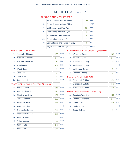#### PRESIDENT AND VICE PRESIDENT

| $1A$ :         | Barack Obama and Joe Biden     | 151 | <b>DEM</b>   |
|----------------|--------------------------------|-----|--------------|
| 1D:            | Barack Obama and Joe Biden     | 12  | <b>WOR</b>   |
| 1B:            | Mitt Romney and Paul Ryan      | 88  | <b>REP</b>   |
| 1C:            | Mitt Romney and Paul Ryan      | 8   | <b>CON</b>   |
| $1F$ :         | Jill Stein and Cheri Honkala   | 3   | <b>GRE</b>   |
| $1G$ :         | Peta Lindsay and Yari Osorio   | 0   | <b>SOC</b>   |
| $1H$ :         | Gary Johnson and James P. Gray | 3   | <b>LIB</b>   |
| 1 <sub>1</sub> | Virgil Goode and Jim Clymer    | Ω   | <b>CONST</b> |

#### UNITED STATES SENATOR

| $2A$ : | Kirsten E. Gillibrand | 155            | <b>DFM</b> |
|--------|-----------------------|----------------|------------|
| 2D:    | Kirsten E. Gillibrand | 14             | <b>WOR</b> |
| 2E:    | Kirsten E. Gillibrand | 6              | <b>IND</b> |
| 2B:    | <b>Wendy Long</b>     | 65             | <b>RFP</b> |
| 2C:    | <b>Wendy Long</b>     | 8              | <b>CON</b> |
| 2F:    | Colia Clark           | 3              | <b>GRE</b> |
| 2H:    | <b>Chris Edes</b>     | $\overline{2}$ | <b>LIB</b> |
| 2!     | John Mangelli         | Ω              | <b>COM</b> |

#### STATE SUPREME COURT JUSTICE (4th Dist)

| $3A$ : | Jeffrey D. Wait        | 111 | <b>DEM</b> |
|--------|------------------------|-----|------------|
| 4A:    | John M. Silvestri      | 110 | <b>DEM</b> |
| $5A$ : | Christine M. Clark     | 121 | <b>DEM</b> |
| 6A:    | Mark L. Powers         | 103 | <b>DEM</b> |
| 3B:    | Joseph M. Sise         | 80  | <b>REP</b> |
| 3C:    | Joseph M. Sise         | 11  | <b>CON</b> |
| 4B:    | <b>Thomas Buchanan</b> | 79  | <b>REP</b> |
| 4C     | <b>Thomas Buchanan</b> | 12  | <b>CON</b> |
| 5B:    | Felix J. Catena        | 74  | <b>REP</b> |
| $5C$ : | Felix J. Catena        | 10  | <b>CON</b> |
| 6B:    | John T. Ellis          | 86  | <b>REP</b> |
| $6C$ : | John T. Ellis          | 19  | <b>CON</b> |

#### REPRESENTATIVE IN CONGRESS (21st Dist)

| 7A: | William L. Owens  | 141 | <b>DEM</b> |
|-----|-------------------|-----|------------|
| 7D: | William L. Owens  | 14  | <b>WOR</b> |
| 7B: | Matthew A. Doheny | 76  | <b>REP</b> |
| 7C: | Matthew A. Doheny | 11  | <b>CON</b> |
| 7E: | Matthew A. Doheny | 4   | <b>IND</b> |
| 7F: | Donald L. Hassig  | 3   | <b>GRE</b> |

#### STATE SENATOR (45th Dist)

| 8B: Elizabeth O'C. Little | 131 | <b>REP</b> |
|---------------------------|-----|------------|
| 8C: Elizabeth O'C. Little | 16  | <b>CON</b> |
| 8E: Elizabeth O'C. Little | 30  | IND        |

| 9A: | Dennis J. Tarantino | 112 | <b>DEM</b> |
|-----|---------------------|-----|------------|
| 9D: | Dennis J. Tarantino | 14  | <b>WOR</b> |
| 9B: | Daniel G. Stec      | 80  | <b>REP</b> |
| 9C: | Daniel G. Stec      | 12  | <b>CON</b> |
| 9E: | Daniel G. Stec      | ห   | <b>IND</b> |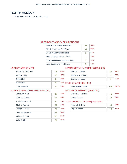## NORTH HUDSON

Assy Dist 114th - Cong Dist 21st

#### PRESIDENT AND VICE PRESIDENT

| Barack Obama and Joe Biden     | 64 | 42 7% |
|--------------------------------|----|-------|
| Mitt Romney and Paul Ryan      | 84 | 56.0% |
| Jill Stein and Cheri Honkala   | 2  | 1.3%  |
| Peta Lindsay and Yari Osorio   |    | 0.0%  |
| Gary Johnson and James P. Gray |    | 0.0%  |
| Virgil Goode and Jim Clymer    |    | 0.0%  |

#### UNITED STATES SENATOR

| Kirsten E. Gillibrand | 78     | 59.5% |
|-----------------------|--------|-------|
| Wendy Long            | 53     | 40.5% |
| Colia Clark           | O      | 0.0%  |
| <b>Chris Edes</b>     | $\Box$ | 0.0%  |
| John Mangelli         | C      | 0.0%  |

#### REPRESENTATIVE IN CONGRESS (21st Dist)

| William L. Owens                 | 50  | 40.0%  |
|----------------------------------|-----|--------|
| Matthew A. Doheny                | 72  | 57.6%  |
| Donald L. Hassig                 | З   | 2.4%   |
| <b>STATE SENATOR (45th Dist)</b> |     |        |
| Elizabeth O'C. Little            | 116 | 100.0% |

#### STATE SUPREME COURT JUSTICE (4th Dist)

| Jeffrey D. Wait    | 35 | 8.0%  |
|--------------------|----|-------|
| John M. Silvestri  | 55 | 12.6% |
| Christine M. Clark | 40 | 9.2%  |
| Mark L. Powers     | 34 | 7.8%  |
| Joseph M. Sise     | 74 | 17.0% |
| Thomas Buchanan    | 65 | 14.9% |
| Felix J. Catena    | 63 | 14.4% |
| John T. Ellis      | 70 | 16.1% |

#### MEMBER OF ASSEMBLY (114th Dist)

| Dennis J. Tarantino                       | 36.3% |
|-------------------------------------------|-------|
| Daniel G. Stec                            | 63.7% |
| $TOMIN$ $COMIN$ $COMIN$ $RAN$ $N$ $(Lag)$ |       |

#### TOWN COUNCILMAN (Unexpired Term)

| Marshall G. Gero | 67.1% |
|------------------|-------|
| Hugh T. Myrtle   |       |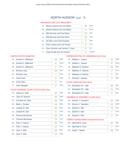## NORTH HUDSON ED#: 0

#### PRESIDENT AND VICE PRESIDENT

 $\mathcal{L} = \mathcal{L}$ 

| $1A$ : | Barack Obama and Joe Biden        | 59             | <b>DEM</b>   |
|--------|-----------------------------------|----------------|--------------|
| 1D:    | Barack Obama and Joe Biden        | 5              | <b>WOR</b>   |
| 1B:    | Mitt Romney and Paul Ryan         | 74             | <b>RFP</b>   |
|        | 1C: Mitt Romney and Paul Ryan     | 10             | <b>CON</b>   |
| $1F$ : | Jill Stein and Cheri Honkala      | $\overline{2}$ | <b>GRE</b>   |
| 1G: I  | Peta Lindsay and Yari Osorio      | Ω              | <b>SOC</b>   |
| $1H$ : | Gary Johnson and James P. Gray    | ∩              | <b>LIB</b>   |
| 11:    | Virgil Goode and Jim Clymer       | ∩              | <b>CONST</b> |
|        | <u>DEDDECENITATIVE IN CONCREC</u> |                |              |

#### UNITED STATES SENATOR

| $2A^+$ | Kirsten E. Gillibrand | 65 | <b>DEM</b> |
|--------|-----------------------|----|------------|
| 2D:    | Kirsten E. Gillibrand | 8  | <b>WOR</b> |
| $2F^+$ | Kirsten E. Gillibrand | 5  | <b>IND</b> |
| 2B:    | <b>Wendy Long</b>     | 46 | <b>REP</b> |
| 2C:    | <b>Wendy Long</b>     |    | <b>CON</b> |
| 2F:    | Colia Clark           | ∩  | <b>GRE</b> |
| 2H:    | <b>Chris Edes</b>     | ∩  | <b>LIB</b> |
| $2$ :  | John Mangelli         | Ω  | <b>COM</b> |

#### STATE SUPREME COURT JUSTICE (4th Dist)

| 3A:    | Jeffrey D. Wait           | 35 | <b>DEM</b> |
|--------|---------------------------|----|------------|
| 4A:    | John M. Silvestri         | 55 | <b>DEM</b> |
| 5A:    | <b>Christine M. Clark</b> | 40 | <b>DEM</b> |
| 6A:    | Mark L. Powers            | 34 | <b>DEM</b> |
| 3B:    | Joseph M. Sise            | 65 | <b>REP</b> |
| 3C:    | Joseph M. Sise            | 9  | <b>CON</b> |
| 4B:    | Thomas Buchanan           | 53 | <b>REP</b> |
| 4C     | <b>Thomas Buchanan</b>    | 12 | <b>CON</b> |
| 5B:    | Felix J. Catena           | 52 | <b>REP</b> |
| 5C:    | Felix J. Catena           | 11 | <b>CON</b> |
| 6B:    | John T. Ellis             | 56 | <b>REP</b> |
| $6C$ : | John T. Ellis             | 14 | <b>CON</b> |
|        |                           |    |            |

#### REPRESENTATIVE IN CONGRESS (21st Dist)

| 7A: | William L. Owens  | 42 | <b>DEM</b> |
|-----|-------------------|----|------------|
| 7D: | William L. Owens  | 8  | <b>WOR</b> |
| 7B: | Matthew A. Doheny | 63 | <b>REP</b> |
| 7C: | Matthew A. Doheny |    | <b>CON</b> |
| 7E: | Matthew A. Doheny | 2  | <b>IND</b> |
| 7F: | Donald L. Hassig  | 3  | <b>GRE</b> |

#### STATE SENATOR (45th Dist)

| 8B: Elizabeth O'C. Little | ۹R | <b>REP</b> |
|---------------------------|----|------------|
| 8C: Elizabeth O'C, Little | 11 | <b>CON</b> |
| 8E: Elizabeth O'C, Little |    | <b>IND</b> |

#### MEMBER OF ASSEMBLY (114th Dist)

| 9A: | Dennis J. Tarantino | 34 | <b>DEM</b> |
|-----|---------------------|----|------------|
| 9D: | Dennis J. Tarantino | 11 | <b>WOR</b> |
| 9B: | Daniel G. Stec      | 70 | <b>REP</b> |
| 9C: | Daniel G. Stec      |    | <b>CON</b> |
| 9E: | Daniel G. Stec      |    | <b>IND</b> |
|     |                     |    |            |

## TOWN COUNCILMAN (Unexpired Term)

| 10B: Marshall G. Gero | <b>REP</b> |
|-----------------------|------------|
| 10G: Marshall G. Gero | <b>PEA</b> |
| 10H: Hugh T. Myrtle   | <b>PEO</b> |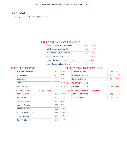## **SCHROON**

Assy Dist 114th - Cong Dist 21st

#### PRESIDENT AND VICE PRESIDENT

| Barack Obama and Joe Biden     | 425                | 42.4% |
|--------------------------------|--------------------|-------|
| Mitt Romney and Paul Ryan      | 567                | 56.5% |
| Jill Stein and Cheri Honkala   | 5                  | 0.5%  |
| Peta Lindsay and Yari Osorio   | $\left( \ \right)$ | 0.0%  |
| Gary Johnson and James P. Gray | 5                  | 0.5%  |
| Virgil Goode and Jim Clymer    |                    | 0.1%  |

#### UNITED STATES SENATOR

| Kirsten F. Gillibrand | 504 | 52.0%       |
|-----------------------|-----|-------------|
| <b>Wendy Long</b>     | 458 | 47.3%       |
| Colia Clark           | 3   | 0.3%        |
| <b>Chris Edes</b>     | 2   | 0.2%<br>ST. |
| John Mangelli         | 2   | 0.2%        |

#### REPRESENTATIVE IN CONGRESS (21st Dist)

| William L. Owens                       | 358 | 38.1%  |
|----------------------------------------|-----|--------|
| Matthew A. Doheny                      | 570 | 60.7%  |
| Donald L. Hassig                       | 11  | 1.2%   |
| <b>STATE SENATOR (45th Dist)</b>       |     |        |
| Elizabeth O'C. Little                  | 788 | 100.0% |
| <b>MEMBER OF ASSEMBLY (114th Dict)</b> |     |        |

#### STATE SUPREME COURT JUSTICE (4th Dist)

| John M. Silvestri<br>407<br>Christine M. Clark<br>336<br>8.7%<br>Mark L. Powers<br>291<br>Joseph M. Sise<br>559<br><b>Thomas Buchanan</b><br>488<br>Felix J. Catena<br>494<br>John T. Ellis<br>506 | Jeffrey D. Wait | 278 | 8.3%  |
|----------------------------------------------------------------------------------------------------------------------------------------------------------------------------------------------------|-----------------|-----|-------|
|                                                                                                                                                                                                    |                 |     | 12.1% |
|                                                                                                                                                                                                    |                 |     | 10.0% |
|                                                                                                                                                                                                    |                 |     |       |
|                                                                                                                                                                                                    |                 |     | 16.6% |
|                                                                                                                                                                                                    |                 |     | 14.5% |
|                                                                                                                                                                                                    |                 |     | 14.7% |
|                                                                                                                                                                                                    |                 |     | 15.1% |

| Dennis J. Tarantino | 35.1% |
|---------------------|-------|
| Daniel G. Stec      | 64.9% |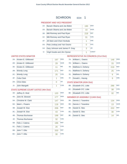## SCHROON ED#: 1

#### PRESIDENT AND VICE PRESIDENT

| $1A$ : | Barack Obama and Joe Biden     | 190 | <b>DFM</b>   |
|--------|--------------------------------|-----|--------------|
| 1D:    | Barack Obama and Joe Biden     | 10  | <b>WOR</b>   |
| 1B:    | Mitt Romney and Paul Ryan      | 218 | <b>RFP</b>   |
|        | 1C: Mitt Romney and Paul Ryan  | 31  | <b>CON</b>   |
| $1F$ : | Jill Stein and Cheri Honkala   | 1   | <b>GRE</b>   |
| 1G:    | Peta Lindsay and Yari Osorio   | O   | <b>SOC</b>   |
| 1H:    | Gary Johnson and James P. Gray | 3   | <b>LIB</b>   |
| $1$ :  | Virgil Goode and Jim Clymer    | 1   | <b>CONST</b> |

#### UNITED STATES SENATOR

| $2A$ : | Kirsten E. Gillibrand | 197 | <b>DEM</b> |
|--------|-----------------------|-----|------------|
| 2D:    | Kirsten E. Gillibrand | 29  | <b>WOR</b> |
| 2E:    | Kirsten E. Gillibrand | 11  | <b>IND</b> |
| 2B:    | <b>Wendy Long</b>     | 171 | <b>REP</b> |
| 2C:    | <b>Wendy Long</b>     | 25  | <b>CON</b> |
| 2F:    | Colia Clark           | 1   | <b>GRE</b> |
| 2H:    | <b>Chris Edes</b>     | Ω   | LIB        |
| $2$ :  | John Mangelli         | 1   | <b>COM</b> |
|        |                       |     |            |

#### STATE SUPREME COURT JUSTICE (4th Dist)

| $3A$ : | Jeffrey D. Wait        | 120 | <b>DEM</b> |
|--------|------------------------|-----|------------|
| 4A:    | John M. Silvestri      | 177 | <b>DEM</b> |
| 5A:    | Christine M. Clark     | 147 | <b>DEM</b> |
| 6A:    | Mark L. Powers         | 118 | <b>DEM</b> |
| 3B:    | Joseph M. Sise         | 206 | <b>REP</b> |
| 3C:    | Joseph M. Sise         | 43  | <b>CON</b> |
| 4B:    | <b>Thomas Buchanan</b> | 198 | <b>REP</b> |
| 4C     | Thomas Buchanan        | 32  | <b>CON</b> |
| 5B:    | Felix J. Catena        | 186 | <b>REP</b> |
| $5C$ : | Felix J. Catena        | 26  | <b>CON</b> |
| 6B:    | John T. Ellis          | 203 | <b>REP</b> |
| 6C:    | John T. Ellis          | 30  | <b>CON</b> |

#### REPRESENTATIVE IN CONGRESS (21st Dist)

| 7A: | William L. Owens  | 148 | <b>DEM</b> |
|-----|-------------------|-----|------------|
| 7D: | William L. Owens  | 15  | <b>WOR</b> |
| 7B: | Matthew A. Doheny | 219 | <b>REP</b> |
| 7C: | Matthew A. Doheny | 25  | <b>CON</b> |
| 7E: | Matthew A. Doheny | 6   | <b>IND</b> |
| 7F: | Donald L. Hassig  | 6   | <b>GRE</b> |

#### STATE SENATOR (45th Dist)

| 8B: Elizabeth O'C. Little | 286 | <b>RFP</b> |
|---------------------------|-----|------------|
| 8C: Elizabeth O'C. Little | 38  | <b>CON</b> |
| 8E: Elizabeth O'C. Little |     | <b>IND</b> |

|     | 9A: Dennis J. Tarantino | 134 | <b>DEM</b> |
|-----|-------------------------|-----|------------|
|     | 9D: Dennis J. Tarantino | 13  | <b>WOR</b> |
| 9B: | Daniel G. Stec          | 222 | <b>REP</b> |
|     | 9C: Daniel G. Stec      | 30  | <b>CON</b> |
| 9E: | Daniel G. Stec          | 14  | <b>IND</b> |
|     |                         |     |            |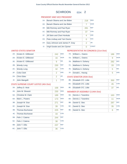## SCHROON ED#: 2

#### PRESIDENT AND VICE PRESIDENT

| $1A$ :         | Barack Obama and Joe Biden     | 218            | <b>DEM</b>   |
|----------------|--------------------------------|----------------|--------------|
| 1D:            | Barack Obama and Joe Biden     | $\overline{7}$ | <b>WOR</b>   |
| 1B:            | Mitt Romney and Paul Ryan      | 281            | <b>REP</b>   |
| 1C:            | Mitt Romney and Paul Ryan      | 37             | <b>CON</b>   |
| $1F$ :         | Jill Stein and Cheri Honkala   | 4              | <b>GRE</b>   |
| $1G$ :         | Peta Lindsay and Yari Osorio   | 0              | <b>SOC</b>   |
| 1H:            | Gary Johnson and James P. Gray | $\overline{2}$ | <b>LIB</b>   |
| 1 <sub>1</sub> | Virgil Goode and Jim Clymer    | 0              | <b>CONST</b> |

#### UNITED STATES SENATOR

| $2A$ : | Kirsten F. Gillibrand | 242            | <b>DEM</b> |
|--------|-----------------------|----------------|------------|
| 2D:    | Kirsten E. Gillibrand | 16             | <b>WOR</b> |
| 2E:    | Kirsten E. Gillibrand | 9              | <b>IND</b> |
| 2B:    | <b>Wendy Long</b>     | 230            | <b>REP</b> |
| 2C:    | <b>Wendy Long</b>     | 32             | <b>CON</b> |
| 2F:    | Colia Clark           | $\overline{2}$ | <b>GRE</b> |
| 2H:    | <b>Chris Edes</b>     | $\overline{2}$ | LIB        |
| $2$ :  | John Mangelli         | 1              | <b>COM</b> |

#### STATE SUPREME COURT JUSTICE (4th Dist)

| $3A$ : | Jeffrey D. Wait        | 158 | <b>DEM</b> |
|--------|------------------------|-----|------------|
| 4A:    | John M. Silvestri      | 230 | <b>DEM</b> |
| $5A$ : | Christine M. Clark     | 189 | <b>DEM</b> |
| 6A:    | Mark L. Powers         | 173 | <b>DEM</b> |
| 3B:    | Joseph M. Sise         | 271 | <b>REP</b> |
| 3C:    | Joseph M. Sise         | 39  | <b>CON</b> |
| 4B:    | <b>Thomas Buchanan</b> | 225 | <b>REP</b> |
| 4C     | <b>Thomas Buchanan</b> | 33  | <b>CON</b> |
| 5B:    | Felix J. Catena        | 244 | <b>REP</b> |
| $5C$ : | Felix J. Catena        | 38  | <b>CON</b> |
| 6B:    | John T. Ellis          | 237 | <b>REP</b> |
| $6C$ : | John T. Ellis          | 36  | <b>CON</b> |

#### REPRESENTATIVE IN CONGRESS (21st Dist)

| 7A: | William L. Owens  | 186 | <b>DEM</b> |
|-----|-------------------|-----|------------|
| 7D: | William L. Owens  | 9   | <b>WOR</b> |
| 7B: | Matthew A. Doheny | 282 | <b>REP</b> |
| 7C: | Matthew A. Doheny | 33  | <b>CON</b> |
| 7E: | Matthew A. Doheny | 5   | <b>IND</b> |
| 7F: | Donald L. Hassig  | 5   | <b>GRE</b> |

#### STATE SENATOR (45th Dist)

| 8B: Elizabeth O'C. Little | 350 | <b>REP</b> |
|---------------------------|-----|------------|
| 8C: Elizabeth O'C. Little | 45  | <b>CON</b> |
| 8E: Elizabeth O'C. Little |     | <b>IND</b> |

| 9A: | Dennis J. Tarantino | 163 | <b>DEM</b> |
|-----|---------------------|-----|------------|
| 9D: | Dennis J. Tarantino | 11  | <b>WOR</b> |
| 9B: | Daniel G. Stec      | 287 | <b>REP</b> |
| 9C: | Daniel G. Stec      | 35  | <b>CON</b> |
| 9E: | Daniel G. Stec      |     | <b>IND</b> |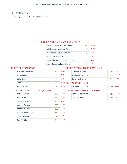# ST ARMAND

Assy Dist 114th - Cong Dist 21st

#### PRESIDENT AND VICE PRESIDENT

| Barack Obama and Joe Biden     | 380                | 61.0% |
|--------------------------------|--------------------|-------|
| Mitt Romney and Paul Ryan      | 230                | 36.9% |
| Jill Stein and Cheri Honkala   | 5                  | 0.8%  |
| Peta Lindsay and Yari Osorio   | $\left( \ \right)$ | 0.0%  |
| Gary Johnson and James P. Gray |                    | 1.1%  |
| Virgil Goode and Jim Clymer    |                    | 0.2%  |

#### UNITED STATES SENATOR

| Kirsten F. Gillibrand | 390 | 66.4% |
|-----------------------|-----|-------|
| <b>Wendy Long</b>     | 186 | 31.7% |
| Colia Clark           | 6   | 1.0%  |
| <b>Chris Edes</b>     |     | 0.7%  |
| John Mangelli         |     | 0.2%  |

#### REPRESENTATIVE IN CONGRESS (21st Dist)

| William L. Owens                 | 354 | 58.7%  |
|----------------------------------|-----|--------|
| Matthew A. Doheny                | 232 | 38.5%  |
| Donald L. Hassig                 | 17  | 2.8%   |
| <b>STATE SENATOR (45th Dist)</b> |     |        |
| Elizabeth O'C. Little            | 443 | 100.0% |
| MEMBER OF ACCEMBLY (11A+b Dict)  |     |        |

#### STATE SUPREME COURT JUSTICE (4th Dist)

| Jeffrey D. Wait        | 256 | 12.7% |
|------------------------|-----|-------|
| John M. Silvestri      | 259 | 12.8% |
| Christine M. Clark     | 300 | 14.9% |
| Mark L. Powers         | 236 | 11.7% |
| Joseph M. Sise         | 237 | 11.7% |
| <b>Thomas Buchanan</b> | 237 | 11.7% |
| Felix J. Catena        | 211 | 10.4% |
| John T. Ellis          | 284 | 14.1% |

| Dennis J. Tarantino | 55.4% |
|---------------------|-------|
| Daniel G. Stec      | 44.6% |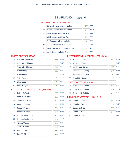## ST ARMAND ED#: 0

#### PRESIDENT AND VICE PRESIDENT

| $1A$ :          | Barack Obama and Joe Biden     | 363 | <b>DEM</b>   |
|-----------------|--------------------------------|-----|--------------|
| 1D:             | Barack Obama and Joe Biden     | 17  | <b>WOR</b>   |
| 1B:             | Mitt Romney and Paul Ryan      | 205 | <b>RFP</b>   |
| 1C:             | Mitt Romney and Paul Ryan      | 25  | <b>CON</b>   |
| 1F <sub>2</sub> | Jill Stein and Cheri Honkala   | 5   | GRF          |
| 1G:             | Peta Lindsay and Yari Osorio   | 0   | <b>SOC</b>   |
| 1H:             | Gary Johnson and James P. Gray | 7   | <b>LIB</b>   |
| 11:             | Virgil Goode and Jim Clymer    | 1   | <b>CONST</b> |

#### UNITED STATES SENATOR

| 2A <sub>1</sub> | Kirsten E. Gillibrand | 355 | <b>DEM</b> |
|-----------------|-----------------------|-----|------------|
| 2D:             | Kirsten E. Gillibrand | 17  | <b>WOR</b> |
| 2E:             | Kirsten E. Gillibrand | 18  | <b>IND</b> |
| 2B:             | <b>Wendy Long</b>     | 162 | <b>REP</b> |
| 2C:             | <b>Wendy Long</b>     | 24  | <b>CON</b> |
| 2F:             | Colia Clark           | 6   | <b>GRE</b> |
| 2H:             | Chris Edes            | 4   | LIB        |
| $2$ :           | John Mangelli         | 1   | <b>COM</b> |
|                 |                       |     |            |

#### STATE SUPREME COURT JUSTICE (4th Dist)

| $3A$ : | Jeffrey D. Wait           | 256 | <b>DEM</b> |
|--------|---------------------------|-----|------------|
| 4A:    | John M. Silvestri         | 259 | <b>DEM</b> |
| 5A:    | <b>Christine M. Clark</b> | 300 | <b>DEM</b> |
| 6A:    | Mark L. Powers            | 236 | <b>DEM</b> |
| 3B:    | Joseph M. Sise            | 204 | <b>REP</b> |
| $3C$ : | Joseph M. Sise            | 33  | <b>CON</b> |
| 4B:    | <b>Thomas Buchanan</b>    | 202 | <b>REP</b> |
| 4C     | Thomas Buchanan           | 35  | <b>CON</b> |
| 5B:    | Felix J. Catena           | 179 | <b>REP</b> |
| $5C$ : | Felix J. Catena           | 32  | <b>CON</b> |
| 6B:    | John T. Ellis             | 236 | <b>REP</b> |
| 6C:    | John T. Ellis             | 48  | <b>CON</b> |

#### REPRESENTATIVE IN CONGRESS (21st Dist)

| 7A:<br>William L. Owens  | 337 | <b>DEM</b> |
|--------------------------|-----|------------|
| 7D:<br>William L. Owens  | 17  | <b>WOR</b> |
| 7B:<br>Matthew A. Doheny | 195 | <b>REP</b> |
| 7C:<br>Matthew A. Doheny | 29  | <b>CON</b> |
| 7E:<br>Matthew A. Doheny | 8   | <b>IND</b> |
| 7F:<br>Donald L. Hassig  | 17  | <b>GRE</b> |

#### STATE SENATOR (45th Dist)

| 8B: Elizabeth O'C. Little | 341 | RFP        |
|---------------------------|-----|------------|
| 8C: Elizabeth O'C. Little | 40  | <b>CON</b> |
| 8E: Elizabeth O'C. Little |     | <b>IND</b> |

| 9A: | Dennis J. Tarantino | 282 | <b>DEM</b> |
|-----|---------------------|-----|------------|
| 9D: | Dennis J. Tarantino | 23  | <b>WOR</b> |
| 9B: | Daniel G. Stec      | 205 | <b>REP</b> |
| 9C: | Daniel G. Stec      | 27  | <b>CON</b> |
| 9E: | Daniel G. Stec      | 14  | <b>IND</b> |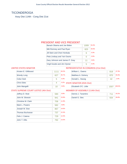# **TICONDEROGA**

Assy Dist 114th - Cong Dist 21st

#### PRESIDENT AND VICE PRESIDENT

| Barack Obama and Joe Biden     | 1009 | 54 4% |
|--------------------------------|------|-------|
| Mitt Romney and Paul Ryan      | 825  | 44.5% |
| Jill Stein and Cheri Honkala   | 6    | 0.3%  |
| Peta Lindsay and Yari Osorio   | O    | 0.0%  |
| Gary Johnson and James P. Gray | 11   | 0.6%  |
| Virgil Goode and Jim Clymer    | 5    | 0.3%  |

#### UNITED STATES SENATOR

| Kirsten E. Gillibrand | 1111 | 63.2%       |
|-----------------------|------|-------------|
| <b>Wendy Long</b>     | 627  | 35.7%       |
| Colia Clark           | 5    | 0.3%        |
| <b>Chris Edes</b>     |      | 0.2%<br>ST. |
| John Mangelli         | 10   | 0.6%        |

#### REPRESENTATIVE IN CONGRESS (21st Dist)

| William L. Owens                    | 818  | 47.3%  |
|-------------------------------------|------|--------|
| Matthew A. Doheny                   | 870  | 50.3%  |
| Donald L. Hassig                    | 42   | 2.4%   |
| <b>STATE SENATOR (45th Dist)</b>    |      |        |
| Elizabeth O'C. Little               | 1507 | 100.0% |
| $MFAADED OF ACCEN ADIVIA AALL D!=1$ |      |        |

#### STATE SUPREME COURT JUSTICE (4th Dist)

| Jeffrey D. Wait    | 590 | 9.9%  |
|--------------------|-----|-------|
| John M. Silvestri  | 941 | 15.8% |
| Christine M. Clark | 706 | 11.9% |
| Mark L. Powers     | 582 | 9.8%  |
| Joseph M. Sise     | 867 | 14.6% |
| Thomas Buchanan    | 737 | 12.4% |
| Felix J. Catena    | 729 | 12.3% |
| John T. Ellis      | 792 | 13.3% |

| Dennis J. Tarantino | 711 | 43.2% |
|---------------------|-----|-------|
| Daniel G. Stec      |     | 56.8% |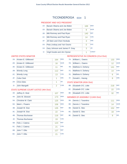#### PRESIDENT AND VICE PRESIDENT

| 1A:    | Barack Obama and Joe Biden     | 169 | <b>DFM</b>   |
|--------|--------------------------------|-----|--------------|
| 1D:    | Barack Obama and Joe Biden     | 8   | <b>WOR</b>   |
| 1B:    | Mitt Romney and Paul Ryan      | 140 | <b>RFP</b>   |
| 1C:    | Mitt Romney and Paul Ryan      | 14  | <b>CON</b>   |
| $1F$ : | Jill Stein and Cheri Honkala   | 3   | <b>GRE</b>   |
| 1G:    | Peta Lindsay and Yari Osorio   | 0   | <b>SOC</b>   |
| 1H:    | Gary Johnson and James P. Gray | 3   | <b>LIB</b>   |
| 1I:    | Virgil Goode and Jim Clymer    | 1   | <b>CONST</b> |

#### UNITED STATES SENATOR

| $2A$ : | Kirsten E. Gillibrand | 164 | <b>DFM</b> |
|--------|-----------------------|-----|------------|
| 2D:    | Kirsten E. Gillibrand | 16  | <b>WOR</b> |
| 2E:    | Kirsten E. Gillibrand | 11  | <b>IND</b> |
| 2B:    | <b>Wendy Long</b>     | 112 | <b>REP</b> |
| 2C:    | <b>Wendy Long</b>     | 13  | <b>CON</b> |
| 2F:    | Colia Clark           | 1   | <b>GRE</b> |
| 2H:    | Chris Edes            | 1   | <b>LIB</b> |
| 2!     | John Mangelli         | 2   | <b>COM</b> |
|        |                       |     |            |

#### STATE SUPREME COURT JUSTICE (4th Dist)

| $3A$ : | Jeffrey D. Wait        | 107 | <b>DEM</b> |
|--------|------------------------|-----|------------|
| 4A:    | John M. Silvestri      | 173 | <b>DEM</b> |
| 5A:    | Christine M. Clark     | 125 | <b>DEM</b> |
| 6A:    | Mark L. Powers         | 106 | <b>DEM</b> |
| 3B:    | Joseph M. Sise         | 135 | <b>REP</b> |
| 3C:    | Joseph M. Sise         | 22  | <b>CON</b> |
| 4B:    | <b>Thomas Buchanan</b> | 116 | <b>REP</b> |
| 4C     | Thomas Buchanan        | 19  | <b>CON</b> |
| 5B:    | Felix J. Catena        | 123 | <b>REP</b> |
| 5C:    | Felix J. Catena        | 21  | <b>CON</b> |
| 6B:    | John T. Ellis          | 127 | <b>REP</b> |
| $6C$ : | John T. Ellis          | 21  | <b>CON</b> |

## REPRESENTATIVE IN CONGRESS (21st Dist)

| 7A: | William L. Owens  | 133 | <b>DEM</b> |
|-----|-------------------|-----|------------|
| 7D: | William L. Owens  | 12  | <b>WOR</b> |
| 7B: | Matthew A. Doheny | 141 | <b>REP</b> |
| 7C: | Matthew A. Doheny | 14  | <b>CON</b> |
| 7E: | Matthew A. Doheny | 6   | <b>IND</b> |
| 7F: | Donald L. Hassig  | 8   | <b>GRE</b> |

#### STATE SENATOR (45th Dist)

| 8B: Elizabeth O'C. Little | 218 | REP        |
|---------------------------|-----|------------|
| 8C: Elizabeth O'C. Little |     | <b>CON</b> |
| 8E: Elizabeth O'C. Little |     | <b>IND</b> |

| 9A: | Dennis J. Tarantino | 111 | <b>DEM</b> |
|-----|---------------------|-----|------------|
| 9D: | Dennis J. Tarantino | 14  | <b>WOR</b> |
| 9B: | Daniel G. Stec      | 152 | <b>REP</b> |
| 9C: | Daniel G. Stec      | 18  | <b>CON</b> |
| 9E: | Daniel G. Stec      |     | <b>IND</b> |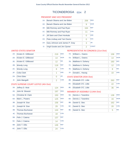#### PRESIDENT AND VICE PRESIDENT

| <b>WOR</b><br>1D:<br>Barack Obama and Joe Biden<br>9<br><b>REP</b><br>1B:<br>Mitt Romney and Paul Ryan<br>164<br><b>CON</b><br>1C:<br>Mitt Romney and Paul Ryan<br>11<br><b>GRE</b><br>$1F$ :<br>Jill Stein and Cheri Honkala<br>0<br><b>SOC</b><br>Peta Lindsay and Yari Osorio<br>$1G$ :<br>0<br><b>LIB</b><br>1H:<br>Gary Johnson and James P. Gray<br>3<br>1 <sub>1</sub><br>Virgil Goode and Jim Clymer<br>$\overline{2}$ | $1A$ : | Barack Obama and Joe Biden | 206 | <b>DEM</b>   |
|--------------------------------------------------------------------------------------------------------------------------------------------------------------------------------------------------------------------------------------------------------------------------------------------------------------------------------------------------------------------------------------------------------------------------------|--------|----------------------------|-----|--------------|
|                                                                                                                                                                                                                                                                                                                                                                                                                                |        |                            |     |              |
|                                                                                                                                                                                                                                                                                                                                                                                                                                |        |                            |     |              |
|                                                                                                                                                                                                                                                                                                                                                                                                                                |        |                            |     |              |
|                                                                                                                                                                                                                                                                                                                                                                                                                                |        |                            |     |              |
|                                                                                                                                                                                                                                                                                                                                                                                                                                |        |                            |     |              |
|                                                                                                                                                                                                                                                                                                                                                                                                                                |        |                            |     |              |
|                                                                                                                                                                                                                                                                                                                                                                                                                                |        |                            |     | <b>CONST</b> |

#### UNITED STATES SENATOR

| $2A$ : | Kirsten E. Gillibrand | 219            | <b>DEM</b> |
|--------|-----------------------|----------------|------------|
| 2D:    | Kirsten E. Gillibrand | 14             | <b>WOR</b> |
| 2E:    | Kirsten E. Gillibrand | 12             | <b>IND</b> |
| 2B:    | <b>Wendy Long</b>     | 118            | <b>REP</b> |
| 2C:    | <b>Wendy Long</b>     | 8              | <b>CON</b> |
| 2F:    | Colia Clark           | 1              | <b>GRE</b> |
| 2H:    | Chris Edes            | 0              | <b>LIB</b> |
| 2!     | John Mangelli         | $\overline{2}$ | <b>COM</b> |

#### STATE SUPREME COURT JUSTICE (4th Dist)

| $3A$ : | Jeffrey D. Wait           | 124 | <b>DEM</b> |
|--------|---------------------------|-----|------------|
| 4A:    | John M. Silvestri         | 197 | <b>DEM</b> |
| 5A:    | <b>Christine M. Clark</b> | 150 | <b>DEM</b> |
| 6A:    | Mark L. Powers            | 125 | <b>DEM</b> |
| 3B:    | Joseph M. Sise            | 156 | <b>REP</b> |
| 3C:    | Joseph M. Sise            | 29  | <b>CON</b> |
| 4B:    | <b>Thomas Buchanan</b>    | 144 | <b>REP</b> |
| 4C     | <b>Thomas Buchanan</b>    | 18  | <b>CON</b> |
| 5B:    | Felix J. Catena           | 137 | <b>REP</b> |
| $5C$ : | Felix J. Catena           | 14  | <b>CON</b> |
| 6B:    | John T. Ellis             | 146 | <b>REP</b> |
| $6C$ : | John T. Ellis             | 24  | <b>CON</b> |

#### REPRESENTATIVE IN CONGRESS (21st Dist)

| $7A$ : | William L. Owens  | 158             | <b>DEM</b> |
|--------|-------------------|-----------------|------------|
| 7D:    | William L. Owens  | 14              | <b>WOR</b> |
| 7B:    | Matthew A. Doheny | 160             | <b>REP</b> |
| 7C:    | Matthew A. Doheny | 12 <sup>2</sup> | <b>CON</b> |
| 7E:    | Matthew A. Doheny | 8               | <b>IND</b> |
| 7F:    | Donald L. Hassig  | 10              | <b>GRE</b> |

#### STATE SENATOR (45th Dist)

| 8B: Elizabeth O'C. Little | 263 | <b>REP</b> |
|---------------------------|-----|------------|
| 8C: Elizabeth O'C. Little |     | <b>CON</b> |
| 8E: Elizabeth O'C. Little | 36  | <b>IND</b> |

| 9A: | Dennis J. Tarantino | 138 | <b>DEM</b> |
|-----|---------------------|-----|------------|
| 9D: | Dennis J. Tarantino | 16  | <b>WOR</b> |
| 9B: | Daniel G. Stec      | 162 | <b>REP</b> |
| 9C: | Daniel G. Stec      | 20  | <b>CON</b> |
| 9E: | Daniel G. Stec      | 5   | <b>IND</b> |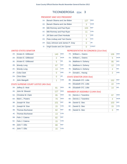#### PRESIDENT AND VICE PRESIDENT

| $1A$ :         | Barack Obama and Joe Biden     | 127 | <b>DEM</b>   |
|----------------|--------------------------------|-----|--------------|
| 1D:            | Barack Obama and Joe Biden     | 3   | <b>WOR</b>   |
| 1B:            | Mitt Romney and Paul Ryan      | 103 | <b>REP</b>   |
| 1C:            | Mitt Romney and Paul Ryan      | 11  | <b>CON</b>   |
| $1F$ :         | Jill Stein and Cheri Honkala   | 1   | <b>GRE</b>   |
| $1G$ :         | Peta Lindsay and Yari Osorio   | 0   | <b>SOC</b>   |
| 1H:            | Gary Johnson and James P. Gray | ∩   | <b>I</b> IB  |
| 1 <sub>1</sub> | Virgil Goode and Jim Clymer    | 0   | <b>CONST</b> |

#### UNITED STATES SENATOR

| $2A$ : | Kirsten E. Gillibrand | 140            | <b>DFM</b>  |
|--------|-----------------------|----------------|-------------|
| 2D:    | Kirsten E. Gillibrand | $\overline{2}$ | <b>WOR</b>  |
| 2E:    | Kirsten E. Gillibrand | 5              | <b>IND</b>  |
| 2B:    | <b>Wendy Long</b>     | 67             | <b>REP</b>  |
| 2C:    | <b>Wendy Long</b>     | 13             | <b>CON</b>  |
| 2F:    | Colia Clark           | 0              | <b>GRF</b>  |
| 2H:    | <b>Chris Edes</b>     | 0              | <b>I</b> IB |
| 2!     | John Mangelli         | 1              | <b>COM</b>  |

#### STATE SUPREME COURT JUSTICE (4th Dist)

| $3A$ : | Jeffrey D. Wait        | 81  | <b>DEM</b> |
|--------|------------------------|-----|------------|
| 4A:    | John M. Silvestri      | 127 | <b>DEM</b> |
| $5A$ : | Christine M. Clark     | 95  | <b>DEM</b> |
| 6A:    | Mark L. Powers         | 79  | <b>DEM</b> |
| 3B:    | Joseph M. Sise         | 101 | <b>REP</b> |
| $3C$ : | Joseph M. Sise         | 15  | <b>CON</b> |
| 4B:    | <b>Thomas Buchanan</b> | 82  | <b>REP</b> |
| 4C     | Thomas Buchanan        | 13  | <b>CON</b> |
| 5B:    | Felix J. Catena        | 82  | <b>REP</b> |
| 5C:    | Felix J. Catena        | 15  | <b>CON</b> |
| 6B:    | John T. Ellis          | 88  | <b>REP</b> |
| 6C:    | John T. Ellis          | 15  | <b>CON</b> |

#### REPRESENTATIVE IN CONGRESS (21st Dist)

| 7A: | William L. Owens  | 106             | <b>DEM</b> |
|-----|-------------------|-----------------|------------|
| 7D: | William L. Owens  | 5               | <b>WOR</b> |
| 7B: | Matthew A. Doheny | 95              | <b>REP</b> |
| 7C: | Matthew A. Doheny | 12 <sup>2</sup> | <b>CON</b> |
| 7E: | Matthew A. Doheny | 4               | <b>IND</b> |
| 7F: | Donald L. Hassig  | $\mathcal{P}$   | <b>GRE</b> |

#### STATE SENATOR (45th Dist)

| 8B: Elizabeth O'C. Little | 152 | <b>REP</b> |
|---------------------------|-----|------------|
| 8C: Elizabeth O'C. Little |     | <b>CON</b> |
| 8E: Elizabeth O'C. Little | 14  | IND        |

| 9A: | Dennis J. Tarantino | 97  | <b>DEM</b> |
|-----|---------------------|-----|------------|
| 9D: | Dennis J. Tarantino |     | <b>WOR</b> |
| 9B: | Daniel G. Stec      | 103 | <b>REP</b> |
| 9C: | Daniel G. Stec      | 15  | <b>CON</b> |
| 9E: | Daniel G. Stec      |     | <b>IND</b> |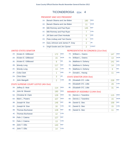#### PRESIDENT AND VICE PRESIDENT

| $1A$ :         | Barack Obama and Joe Biden     | 180            | <b>DEM</b>   |
|----------------|--------------------------------|----------------|--------------|
| 1D:            | Barack Obama and Joe Biden     | 11             | <b>WOR</b>   |
| 1B:            | Mitt Romney and Paul Ryan      | 145            | <b>REP</b>   |
| 1C:            | Mitt Romney and Paul Ryan      |                | <b>CON</b>   |
| $1F$ :         | Jill Stein and Cheri Honkala   | 0              | <b>GRE</b>   |
| $1G$ :         | Peta Lindsay and Yari Osorio   | 0              | <b>SOC</b>   |
| 1H:            | Gary Johnson and James P. Gray | $\mathcal{P}$  | <b>LIB</b>   |
| 1 <sub>1</sub> | Virgil Goode and Jim Clymer    | $\overline{2}$ | <b>CONST</b> |

#### UNITED STATES SENATOR

| $2A$ : | Kirsten E. Gillibrand | 172            | <b>DEM</b> |
|--------|-----------------------|----------------|------------|
| 2D:    | Kirsten E. Gillibrand | 15             | <b>WOR</b> |
| 2E:    | Kirsten E. Gillibrand | 8              | <b>IND</b> |
| 2B:    | <b>Wendy Long</b>     | 117            | <b>REP</b> |
| 2C:    | <b>Wendy Long</b>     | 13             | <b>CON</b> |
| 2F:    | Colia Clark           | 1              | <b>GRE</b> |
| 2H:    | Chris Edes            | 3              | <b>LIB</b> |
| 2!     | John Mangelli         | $\overline{2}$ | <b>COM</b> |

#### STATE SUPREME COURT JUSTICE (4th Dist)

| $3A$ : | Jeffrey D. Wait        | 114 | <b>DEM</b> |
|--------|------------------------|-----|------------|
| 4A:    | John M. Silvestri      | 180 | <b>DEM</b> |
| 5A:    | Christine M. Clark     | 128 | <b>DEM</b> |
| 6A:    | Mark L. Powers         | 107 | <b>DEM</b> |
| 3B:    | Joseph M. Sise         | 146 | <b>REP</b> |
| $3C$ : | Joseph M. Sise         | 16  | <b>CON</b> |
| 4B:    | <b>Thomas Buchanan</b> | 128 | <b>REP</b> |
| 4C     | <b>Thomas Buchanan</b> | 12  | <b>CON</b> |
| 5B:    | Felix J. Catena        | 127 | <b>REP</b> |
| $5C$ : | Felix J. Catena        | 13  | <b>CON</b> |
| 6B:    | John T. Ellis          | 140 | <b>REP</b> |
| $6C$ : | John T. Ellis          | 14  | <b>CON</b> |

#### REPRESENTATIVE IN CONGRESS (21st Dist)

| 7A: | William L. Owens  | 147 | <b>DEM</b> |
|-----|-------------------|-----|------------|
| 7D: | William L. Owens  | 13  | <b>WOR</b> |
| 7B: | Matthew A. Doheny | 141 | <b>REP</b> |
| 7C: | Matthew A. Doheny | 14  | <b>CON</b> |
| 7E: | Matthew A. Doheny | 6   | <b>IND</b> |
| 7F: | Donald L. Hassig  | 11  | <b>GRE</b> |

#### STATE SENATOR (45th Dist)

| 8B: Elizabeth O'C. Little | 228 | <b>REP</b> |
|---------------------------|-----|------------|
| 8C: Elizabeth O'C. Little | 29  | <b>CON</b> |
| 8E: Elizabeth O'C. Little | -31 | <b>IND</b> |

| 9A: | Dennis J. Tarantino | 115 | <b>DEM</b> |
|-----|---------------------|-----|------------|
| 9D: | Dennis J. Tarantino | 15  | <b>WOR</b> |
| 9B: | Daniel G. Stec      | 158 | <b>REP</b> |
| 9C: | Daniel G. Stec      | 15  | <b>CON</b> |
| 9E: | Daniel G. Stec      |     | <b>IND</b> |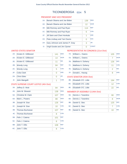#### PRESIDENT AND VICE PRESIDENT

| $1A$ :         | Barack Obama and Joe Biden     | 139 | <b>DEM</b>   |
|----------------|--------------------------------|-----|--------------|
| 1D:            | Barack Obama and Joe Biden     | 12  | <b>WOR</b>   |
| 1B:            | Mitt Romney and Paul Ryan      | 114 | <b>REP</b>   |
|                | 1C: Mitt Romney and Paul Ryan  | 6   | <b>CON</b>   |
| $1F$ :         | Jill Stein and Cheri Honkala   | 1   | <b>GRE</b>   |
| 1G:            | Peta Lindsay and Yari Osorio   | 0   | <b>SOC</b>   |
| 1H:            | Gary Johnson and James P. Gray | 3   | <b>LIB</b>   |
| 1 <sub>1</sub> | Virgil Goode and Jim Clymer    | 0   | <b>CONST</b> |

#### UNITED STATES SENATOR

| $2A$ : | Kirsten E. Gillibrand | 141 | <b>DEM</b> |
|--------|-----------------------|-----|------------|
| 2D:    | Kirsten E. Gillibrand | 14  | <b>WOR</b> |
| 2E:    | Kirsten E. Gillibrand | 11  | <b>IND</b> |
| 2B:    | <b>Wendy Long</b>     | 84  | <b>REP</b> |
| 2C:    | <b>Wendy Long</b>     | 5   | <b>CON</b> |
| 2F:    | Colia Clark           | 0   | <b>GRE</b> |
| 2H:    | <b>Chris Edes</b>     | 0   | I IB       |
| 2!     | John Mangelli         | 1   | <b>COM</b> |

#### STATE SUPREME COURT JUSTICE (4th Dist)

| $3A$ : | Jeffrey D. Wait        | 84  | <b>DEM</b> |
|--------|------------------------|-----|------------|
| 4A:    | John M. Silvestri      | 138 | <b>DEM</b> |
| $5A$ : | Christine M. Clark     | 107 | <b>DEM</b> |
| 6A:    | Mark L. Powers         | 88  | <b>DEM</b> |
| 3B:    | Joseph M. Sise         | 126 | <b>REP</b> |
| 3C:    | Joseph M. Sise         | 10  | <b>CON</b> |
| 4B:    | <b>Thomas Buchanan</b> | 107 | <b>REP</b> |
| 4C     | Thomas Buchanan        | 8   | <b>CON</b> |
| 5B:    | Felix J. Catena        | 101 | <b>REP</b> |
| $5C$ : | Felix J. Catena        | 8   | <b>CON</b> |
| 6B:    | John T. Ellis          | 108 | <b>REP</b> |
| $6C$ : | John T. Ellis          | 8   | <b>CON</b> |

#### REPRESENTATIVE IN CONGRESS (21st Dist)

| 7A: | William L. Owens  | 105           | <b>DEM</b> |
|-----|-------------------|---------------|------------|
| 7D: | William L. Owens  |               | <b>WOR</b> |
| 7B: | Matthew A. Doheny | 126           | <b>REP</b> |
| 7C: | Matthew A. Doheny | 11            | <b>CON</b> |
| 7E: | Matthew A. Doheny | $\mathcal{P}$ | <b>IND</b> |
| 7F: | Donald L. Hassig  | 8             | <b>GRE</b> |

#### STATE SENATOR (45th Dist)

| 8B: Elizabeth O'C. Little | 194 | <b>REP</b> |
|---------------------------|-----|------------|
| 8C: Elizabeth O'C. Little | 12  | <b>CON</b> |
| 8E: Elizabeth O'C. Little |     | <b>IND</b> |

| 9A: | Dennis J. Tarantino | 90  | <b>DEM</b> |
|-----|---------------------|-----|------------|
| 9D: | Dennis J. Tarantino | ጸ   | <b>WOR</b> |
| 9B: | Daniel G. Stec      | 125 | <b>REP</b> |
| 9C: | Daniel G. Stec      |     | <b>CON</b> |
| 9E: | Daniel G. Stec      |     | <b>IND</b> |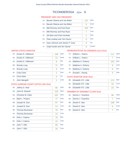#### PRESIDENT AND VICE PRESIDENT

| $1A$ :         | Barack Obama and Joe Biden     | 137            | <b>DEM</b>   |
|----------------|--------------------------------|----------------|--------------|
| 1D:            | Barack Obama and Joe Biden     | 8              | <b>WOR</b>   |
| 1B:            | Mitt Romney and Paul Ryan      | 103            | <b>REP</b>   |
| 1C:            | Mitt Romney and Paul Ryan      | $\overline{7}$ | <b>CON</b>   |
| $1F$ :         | Jill Stein and Cheri Honkala   | 1              | <b>GRE</b>   |
| $1G$ :         | Peta Lindsay and Yari Osorio   | 0              | <b>SOC</b>   |
| 1H:            | Gary Johnson and James P. Gray | ∩              | <b>LIB</b>   |
| 1 <sub>1</sub> | Virgil Goode and Jim Clymer    | Ω              | <b>CONST</b> |

#### UNITED STATES SENATOR

| $2A$ : | Kirsten E. Gillibrand | 146            | <b>DFM</b> |
|--------|-----------------------|----------------|------------|
| 2D:    | Kirsten E. Gillibrand | 13             | <b>WOR</b> |
| 2E:    | Kirsten E. Gillibrand | 8              | <b>IND</b> |
| 2B:    | <b>Wendy Long</b>     | 71             | <b>REP</b> |
| 2C:    | <b>Wendy Long</b>     | 6              | <b>CON</b> |
| 2F:    | Colia Clark           | $\overline{2}$ | <b>GRE</b> |
| 2H:    | Chris Edes            | 0              | <b>LIB</b> |
| 2!     | John Mangelli         | $\overline{2}$ | <b>COM</b> |

#### STATE SUPREME COURT JUSTICE (4th Dist)

| 3A:    | Jeffrey D. Wait        | 80  | <b>DEM</b> |
|--------|------------------------|-----|------------|
| 4A:    | John M. Silvestri      | 126 | <b>DEM</b> |
| $5A$ : | Christine M. Clark     | 101 | <b>DEM</b> |
| 6A:    | Mark L. Powers         | 77  | <b>DEM</b> |
| 3B:    | Joseph M. Sise         | 97  | <b>REP</b> |
| 3C:    | Joseph M. Sise         | 14  | <b>CON</b> |
| 4B:    | <b>Thomas Buchanan</b> | 76  | <b>REP</b> |
| 4C     | Thomas Buchanan        | 14  | <b>CON</b> |
| 5B:    | Felix J. Catena        | 75  | <b>REP</b> |
| $5C$ : | Felix J. Catena        | 13  | <b>CON</b> |
| 6B:    | John T. Ellis          | 85  | <b>REP</b> |
| $6C$ : | John T. Ellis          | 16  | <b>CON</b> |

#### REPRESENTATIVE IN CONGRESS (21st Dist)

| $7A$ : | William L. Owens  | 111 | <b>DEM</b> |
|--------|-------------------|-----|------------|
| 7D:    | William L. Owens  |     | <b>WOR</b> |
| 7B:    | Matthew A. Doheny | 103 | <b>REP</b> |
| 7C:    | Matthew A. Doheny | 9   | <b>CON</b> |
| 7E:    | Matthew A. Doheny | 6   | <b>IND</b> |
| 7F:    | Donald L. Hassig  | 3   | <b>GRE</b> |

#### STATE SENATOR (45th Dist)

| 8B: Elizabeth O'C. Little | 172 | <b>REP</b> |
|---------------------------|-----|------------|
| 8C: Elizabeth O'C. Little | 15  | <b>CON</b> |
| 8E: Elizabeth O'C. Little |     | <b>IND</b> |

| 9A: | Dennis J. Tarantino | 96  | <b>DEM</b> |
|-----|---------------------|-----|------------|
| 9D: | Dennis J. Tarantino |     | <b>WOR</b> |
| 9B: | Daniel G. Stec      | 108 | <b>REP</b> |
| 9C: | Daniel G. Stec      | 6   | <b>CON</b> |
| 9E: | Daniel G. Stec      |     | <b>IND</b> |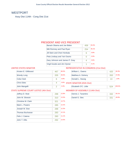# WESTPORT

Assy Dist 114th - Cong Dist 21st

#### PRESIDENT AND VICE PRESIDENT

| Barack Obama and Joe Biden     | 459 | 634%  |
|--------------------------------|-----|-------|
| Mitt Romney and Paul Ryan      | 254 | 35.1% |
| Jill Stein and Cheri Honkala   | 6   | 0.8%  |
| Peta Lindsay and Yari Osorio   | O   | 0.0%  |
| Gary Johnson and James P. Gray | 4   | 0.6%  |
| Virgil Goode and Jim Clymer    | 1   | 0.1%  |

#### UNITED STATES SENATOR

| Kirsten E. Gillibrand | 467 | 68.3%      |
|-----------------------|-----|------------|
| <b>Wendy Long</b>     | 205 | 30.0%      |
| Colia Clark           | 6   | 0.9%       |
| <b>Chris Edes</b>     |     | 0.6%<br>ST |
| John Mangelli         |     | 0.3%       |

#### REPRESENTATIVE IN CONGRESS (21st Dist)

| William L. Owens                 | 420 | 60.3%  |
|----------------------------------|-----|--------|
| Matthew A. Doheny                | 263 | 37.8%  |
| Donald L. Hassig                 | 13  | 1.9%   |
| <b>STATE SENATOR (45th Dist)</b> |     |        |
| Elizabeth O'C. Little            | 524 | 100.0% |
| MACMOCD OC ACCCMOUV (11A+h Dict) |     |        |

#### STATE SUPREME COURT JUSTICE (4th Dist)

| Jeffrey D. Wait    | 298 | 12.8% |
|--------------------|-----|-------|
| John M. Silvestri  | 310 | 13.3% |
| Christine M. Clark | 321 | 13.7% |
| Mark L. Powers     | 285 | 12.2% |
| Joseph M. Sise     | 288 | 12.3% |
| Thomas Buchanan    | 283 | 12.1% |
| Felix J. Catena    | 260 | 11.1% |
| John T. Ellis      | 292 | 12.5% |

| Dennis J. Tarantino | 50.1% |
|---------------------|-------|
| Daniel G. Stec      |       |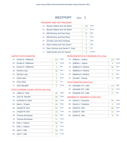## WESTPORT ED#: 1

#### PRESIDENT AND VICE PRESIDENT

| $1A$ : | Barack Obama and Joe Biden     | 132 | <b>DEM</b>   |
|--------|--------------------------------|-----|--------------|
| 1D:    | Barack Obama and Joe Biden     | 3   | <b>WOR</b>   |
| 1B:    | Mitt Romney and Paul Ryan      | 57  | <b>REP</b>   |
| 1C:    | Mitt Romney and Paul Ryan      | 5   | <b>CON</b>   |
| $1F$ : | Jill Stein and Cheri Honkala   | 1   | <b>GRE</b>   |
| 1G:    | Peta Lindsay and Yari Osorio   | O   | <b>SOC</b>   |
| 1H:    | Gary Johnson and James P. Gray | Ω   | I IB         |
| 11:    | Virgil Goode and Jim Clymer    | U   | <b>CONST</b> |

#### UNITED STATES SENATOR

| $2A^+$ | Kirsten E. Gillibrand | 114 | <b>DEM</b> |
|--------|-----------------------|-----|------------|
| 2D:    | Kirsten E. Gillibrand | 9   | <b>WOR</b> |
| 2E:    | Kirsten E. Gillibrand | 4   | <b>IND</b> |
| 2B:    | <b>Wendy Long</b>     | 46  | <b>REP</b> |
| 2C:    | <b>Wendy Long</b>     | 9   | <b>CON</b> |
| 2F:    | Colia Clark           | 3   | <b>GRE</b> |
| 2H:    | <b>Chris Edes</b>     | Ω   | <b>LIB</b> |
| $2$ :  | John Mangelli         | Λ   | <b>COM</b> |
|        |                       |     |            |

#### STATE SUPREME COURT JUSTICE (4th Dist)

| $3A$ : | Jeffrey D. Wait        | 89 | <b>DEM</b> |
|--------|------------------------|----|------------|
| 4A:    | John M. Silvestri      | 88 | <b>DEM</b> |
| 5A:    | Christine M. Clark     | 89 | <b>DEM</b> |
| 6A:    | Mark L. Powers         | 80 | <b>DEM</b> |
| 3B:    | Joseph M. Sise         | 54 | <b>REP</b> |
| 3C:    | Joseph M. Sise         | 10 | <b>CON</b> |
| 4B:    | <b>Thomas Buchanan</b> | 64 | <b>REP</b> |
| 4C     | Thomas Buchanan        | 11 | <b>CON</b> |
| 5B:    | Felix J. Catena        | 54 | <b>REP</b> |
| $5C$ : | Felix J. Catena        | 9  | <b>CON</b> |
| 6B:    | John T. Ellis          | 58 | <b>REP</b> |
| 6C:    | John T. Ellis          | 13 | <b>CON</b> |

## REPRESENTATIVE IN CONGRESS (21st Dist)

|     | 7A: William L. Owens | 124 | <b>DEM</b> |
|-----|----------------------|-----|------------|
| 7D: | William L. Owens     | 4   | <b>WOR</b> |
| 7B: | Matthew A. Doheny    | 56  | <b>REP</b> |
| 7C: | Matthew A. Doheny    |     | <b>CON</b> |
| 7E: | Matthew A. Doheny    | Ω   | <b>IND</b> |
| 7F: | Donald L. Hassig     |     | <b>GRE</b> |

#### STATE SENATOR (45th Dist)

| 8B: Elizabeth O'C. Little | 113 | <b>REP</b> |
|---------------------------|-----|------------|
| 8C: Elizabeth O'C. Little | 14  | <b>CON</b> |
| 8E: Elizabeth O'C. Little |     | IND        |

|     | 9A: Dennis J. Tarantino | 94 | <b>DEM</b> |
|-----|-------------------------|----|------------|
| 9D: | Dennis J. Tarantino     | 2  | <b>WOR</b> |
| 9B: | Daniel G. Stec          | 69 | <b>REP</b> |
|     | 9C: Daniel G. Stec      | 10 | <b>CON</b> |
| 9E: | Daniel G. Stec          | 8  | <b>IND</b> |
|     |                         |    |            |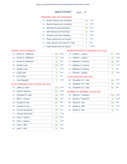## WESTPORT ED#: 2

#### PRESIDENT AND VICE PRESIDENT

| $1A$ :         | Barack Obama and Joe Biden     | 310 | <b>DEM</b>   |
|----------------|--------------------------------|-----|--------------|
| 1D:            | Barack Obama and Joe Biden     | 14  | <b>WOR</b>   |
| 1B:            | Mitt Romney and Paul Ryan      | 179 | <b>REP</b>   |
| 1C:            | Mitt Romney and Paul Ryan      | 13  | <b>CON</b>   |
| $1F$ :         | Jill Stein and Cheri Honkala   | 5   | <b>GRE</b>   |
| $1G$ :         | Peta Lindsay and Yari Osorio   | 0   | <b>SOC</b>   |
| 1H:            | Gary Johnson and James P. Gray | 4   | <b>LIB</b>   |
| 1 <sub>1</sub> | Virgil Goode and Jim Clymer    | 1   | <b>CONST</b> |

#### UNITED STATES SENATOR

| 2A     | Kirsten F. Gillibrand | 303            | <b>DFM</b> |
|--------|-----------------------|----------------|------------|
| $2D$ : | Kirsten E. Gillibrand | 23             | <b>WOR</b> |
| 2E:    | Kirsten E. Gillibrand | 14             | <b>IND</b> |
| 2B:    | <b>Wendy Long</b>     | 133            | <b>REP</b> |
| 2C:    | <b>Wendy Long</b>     | 17             | <b>CON</b> |
| 2F:    | Colia Clark           | 3              | <b>GRE</b> |
| 2H:    | Chris Edes            | 4              | <b>LIB</b> |
| $2$ :  | John Mangelli         | $\overline{2}$ | <b>COM</b> |

#### STATE SUPREME COURT JUSTICE (4th Dist)

| $3A$ : | Jeffrey D. Wait        | 209 | <b>DEM</b> |
|--------|------------------------|-----|------------|
| 4A:    | John M. Silvestri      | 222 | <b>DEM</b> |
| 5A:    | Christine M. Clark     | 232 | <b>DEM</b> |
| 6A:    | Mark L. Powers         | 205 | <b>DEM</b> |
| 3B:    | Joseph M. Sise         | 197 | <b>REP</b> |
| 3C:    | Joseph M. Sise         | 27  | <b>CON</b> |
| 4B:    | <b>Thomas Buchanan</b> | 181 | <b>REP</b> |
| 4C     | Thomas Buchanan        | 27  | <b>CON</b> |
| 5B:    | Felix J. Catena        | 173 | <b>REP</b> |
| $5C$ : | Felix J. Catena        | 24  | <b>CON</b> |
| 6B:    | John T. Ellis          | 190 | <b>REP</b> |
| $6C$ : | John T. Ellis          | 31  | <b>CON</b> |

#### REPRESENTATIVE IN CONGRESS (21st Dist)

| 7A: | William L. Owens  | 277 | <b>DEM</b> |
|-----|-------------------|-----|------------|
| 7D: | William L. Owens  | 15  | <b>WOR</b> |
| 7B: | Matthew A. Doheny | 181 | <b>REP</b> |
| 7C: | Matthew A. Doheny | 13  | <b>CON</b> |
| 7E: | Matthew A. Doheny | 6   | <b>IND</b> |
| 7F: | Donald L. Hassig  | 12  | <b>GRE</b> |

#### STATE SENATOR (45th Dist)

| 8B: Elizabeth O'C. Little | 292 | <b>REP</b> |
|---------------------------|-----|------------|
| 8C: Elizabeth O'C. Little |     | <b>CON</b> |
| 8E: Elizabeth O'C. Little | 60  | <b>IND</b> |

| $9A$ : | Dennis J. Tarantino | 218 | <b>DEM</b> |
|--------|---------------------|-----|------------|
| 9D:    | Dennis J. Tarantino | 18  | <b>WOR</b> |
| 9B:    | Daniel G. Stec      | 210 | <b>REP</b> |
| 9C:    | Daniel G. Stec      | 18  | <b>CON</b> |
| 9E:    | Daniel G. Stec      | 16  | <b>IND</b> |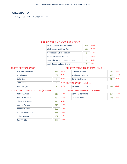## **WILLSBORO**

Assy Dist 114th - Cong Dist 21st

#### PRESIDENT AND VICE PRESIDENT

| Barack Obama and Joe Biden     | 559 | 61.2% |
|--------------------------------|-----|-------|
| Mitt Romney and Paul Ryan      | 344 | 37.6% |
| Jill Stein and Cheri Honkala   | З   | 0.3%  |
| Peta Lindsay and Yari Osorio   |     | 0.0%  |
| Gary Johnson and James P. Gray | 8   | 0.9%  |
| Virgil Goode and Jim Clymer    |     | 0.0%  |

#### UNITED STATES SENATOR

| Kirsten E. Gillibrand | 551 | 66.2%       |
|-----------------------|-----|-------------|
| <b>Wendy Long</b>     | 269 | 32.3%       |
| Colia Clark           | 5   | 0.6%        |
| <b>Chris Edes</b>     |     | 0.5%<br>ST. |
| John Mangelli         | 3   | 0.4%        |

#### REPRESENTATIVE IN CONGRESS (21st Dist)

| William L. Owens                       | 499 | 58.0%  |
|----------------------------------------|-----|--------|
| Matthew A. Doheny                      | 352 | 40.9%  |
| Donald L. Hassig                       | 10  | 1.2%   |
| <b>STATE SENATOR (45th Dist)</b>       |     |        |
| Elizabeth O'C. Little                  | 695 | 100.0% |
| <b>MEMBER OF ASSEMBLY (114th Dict)</b> |     |        |

#### STATE SUPREME COURT JUSTICE (4th Dist)

| Jeffrey D. Wait        | 312 | 11.4% |
|------------------------|-----|-------|
| John M. Silvestri      | 332 | 12.1% |
| Christine M. Clark     | 374 | 13.6% |
| Mark L. Powers         | 310 | 11.3% |
| Joseph M. Sise         | 390 | 14.2% |
| <b>Thomas Buchanan</b> | 378 | 13.8% |
| Felix J. Catena        | 302 | 11.0% |
| John T. Ellis          | 350 | 12.7% |
|                        |     |       |

| Dennis J. Tarantino | 39.0% |
|---------------------|-------|
| Daniel G. Stec      | 61.0% |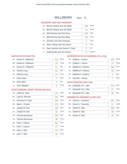## WILLSBORO ED#: 1

#### PRESIDENT AND VICE PRESIDENT

| $1A$ : | Barack Obama and Joe Biden     | 298 | <b>DEM</b>   |
|--------|--------------------------------|-----|--------------|
| 1D:    | Barack Obama and Joe Biden     | 14  | <b>WOR</b>   |
| 1B:    | Mitt Romney and Paul Ryan      | 184 | <b>REP</b>   |
| 1C:    | Mitt Romney and Paul Ryan      | 18  | <b>CON</b>   |
| $1F$ : | Jill Stein and Cheri Honkala   | 1   | <b>GRE</b>   |
| 1G:    | Peta Lindsay and Yari Osorio   | 0   | <b>SOC</b>   |
| $1H$ : | Gary Johnson and James P. Gray | 5   | <b>LIB</b>   |
| 11:    | Virgil Goode and Jim Clymer    | 0   | <b>CONST</b> |

#### UNITED STATES SENATOR

| $2A$ : | Kirsten E. Gillibrand | 279            | <b>DEM</b> |
|--------|-----------------------|----------------|------------|
| 2D:    | Kirsten E. Gillibrand | 16             | <b>WOR</b> |
| 2E:    | Kirsten E. Gillibrand | 11             | <b>IND</b> |
| 2B:    | <b>Wendy Long</b>     | 141            | <b>REP</b> |
| 2C:    | <b>Wendy Long</b>     | 21             | <b>CON</b> |
| 2F:    | Colia Clark           | 3              | <b>GRE</b> |
| 2H:    | <b>Chris Edes</b>     | $\overline{2}$ | <b>LIB</b> |
| $2$ :  | John Mangelli         | $\overline{2}$ | <b>COM</b> |
|        |                       |                |            |

#### STATE SUPREME COURT JUSTICE (4th Dist)

| $3A$ : | Jeffrey D. Wait        | 176 | <b>DEM</b> |
|--------|------------------------|-----|------------|
| 4A:    | John M. Silvestri      | 181 | <b>DEM</b> |
| $5A$ : | Christine M. Clark     | 209 | <b>DEM</b> |
| 6A:    | Mark L. Powers         | 172 | <b>DEM</b> |
| 3B:    | Joseph M. Sise         | 194 | <b>REP</b> |
| 3C:    | Joseph M. Sise         | 35  | <b>CON</b> |
| 4B:    | <b>Thomas Buchanan</b> | 186 | <b>REP</b> |
| 4C     | <b>Thomas Buchanan</b> | 38  | <b>CON</b> |
| 5B:    | Felix J. Catena        | 152 | <b>REP</b> |
| 5C:    | Felix J. Catena        | 27  | <b>CON</b> |
| 6B:    | John T. Ellis          | 174 | <b>REP</b> |
| $6C$ : | John T. Ellis          | 34  | <b>CON</b> |

#### REPRESENTATIVE IN CONGRESS (21st Dist)

| 7D:<br>William L. Owens<br>17<br>7B:<br>Matthew A. Doheny<br>184<br>7C:<br>22<br>Matthew A. Doheny<br>7E:<br>Matthew A. Doheny<br>5<br>7F:<br>Donald L. Hassig | 7A: | William L. Owens | 253 | <b>DEM</b> |
|----------------------------------------------------------------------------------------------------------------------------------------------------------------|-----|------------------|-----|------------|
|                                                                                                                                                                |     |                  |     | <b>WOR</b> |
|                                                                                                                                                                |     |                  |     | <b>REP</b> |
|                                                                                                                                                                |     |                  |     | <b>CON</b> |
|                                                                                                                                                                |     |                  |     | <b>IND</b> |
|                                                                                                                                                                |     |                  |     | <b>GRE</b> |

#### STATE SENATOR (45th Dist)

| 8B: Elizabeth O'C. Little | 312 | REP        |
|---------------------------|-----|------------|
| 8C: Elizabeth O'C. Little |     | <b>CON</b> |
| 8E: Elizabeth O'C. Little | 56  | <b>IND</b> |

| 9A: | Dennis J. Tarantino | 167 | <b>DEM</b> |
|-----|---------------------|-----|------------|
| 9D: | Dennis J. Tarantino | 17  | <b>WOR</b> |
| 9B: | Daniel G. Stec      | 238 | <b>REP</b> |
|     | 9C: Daniel G. Stec  | 30  | <b>CON</b> |
| 9E: | Daniel G. Stec      | 13  | <b>IND</b> |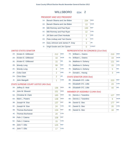## WILLSBORO <sub>ED#:</sub> 2

#### PRESIDENT AND VICE PRESIDENT

| $1A$ :         | Barack Obama and Joe Biden     | 234            | <b>DEM</b>   |
|----------------|--------------------------------|----------------|--------------|
| 1D:            | Barack Obama and Joe Biden     | 13             | <b>WOR</b>   |
| 1B:            | Mitt Romney and Paul Ryan      | 130            | <b>REP</b>   |
| 1C:            | Mitt Romney and Paul Ryan      | 12             | <b>CON</b>   |
| $1F$ :         | Jill Stein and Cheri Honkala   | $\overline{2}$ | <b>GRE</b>   |
| $1G$ :         | Peta Lindsay and Yari Osorio   | 0              | <b>SOC</b>   |
| 1H:            | Gary Johnson and James P. Gray | 3              | <b>LIB</b>   |
| 1 <sub>1</sub> | Virgil Goode and Jim Clymer    | 0              | <b>CONST</b> |

#### UNITED STATES SENATOR

| 2A    | Kirsten F. Gillibrand | 212            | <b>DEM</b> |
|-------|-----------------------|----------------|------------|
| 2D:   | Kirsten E. Gillibrand | 18             | <b>WOR</b> |
| 2E:   | Kirsten E. Gillibrand | 15             | <b>IND</b> |
| 2B:   | <b>Wendy Long</b>     | 99             | <b>REP</b> |
| 2C:   | <b>Wendy Long</b>     | 8              | <b>CON</b> |
| 2F:   | Colia Clark           | $\overline{2}$ | <b>GRE</b> |
| 2H:   | <b>Chris Edes</b>     | $\overline{2}$ | <b>LIB</b> |
| $2$ : | John Mangelli         | 1              | <b>COM</b> |

#### STATE SUPREME COURT JUSTICE (4th Dist)

| $3A$ : | Jeffrey D. Wait        | 136 | <b>DEM</b> |
|--------|------------------------|-----|------------|
| 4A:    | John M. Silvestri      | 151 | <b>DEM</b> |
| $5A$ : | Christine M. Clark     | 165 | <b>DEM</b> |
| 6A:    | Mark L. Powers         | 138 | <b>DEM</b> |
| 3B:    | Joseph M. Sise         | 137 | <b>REP</b> |
| 3C:    | Joseph M. Sise         | 24  | <b>CON</b> |
| 4B:    | <b>Thomas Buchanan</b> | 134 | <b>REP</b> |
| 4C     | Thomas Buchanan        | 20  | <b>CON</b> |
| 5B:    | Felix J. Catena        | 108 | <b>REP</b> |
| 5C:    | Felix J. Catena        | 15  | <b>CON</b> |
| 6B:    | John T. Ellis          | 125 | <b>REP</b> |
| $6C$ : | John T. Ellis          | 17  | <b>CON</b> |

#### REPRESENTATIVE IN CONGRESS (21st Dist)

| 7A: | William L. Owens  | 210 | <b>DEM</b> |
|-----|-------------------|-----|------------|
| 7D: | William L. Owens  | 19  | <b>WOR</b> |
| 7B: | Matthew A. Doheny | 121 | <b>REP</b> |
| 7C: | Matthew A. Doheny | 15  | <b>CON</b> |
| 7E: | Matthew A. Doheny | 5   | <b>IND</b> |
| 7F: | Donald L. Hassig  | 3   | <b>GRE</b> |

#### STATE SENATOR (45th Dist)

| 8B: Elizabeth O'C. Little |    | <b>REP</b> |
|---------------------------|----|------------|
| 8C: Elizabeth O'C. Little |    | <b>CON</b> |
| 8E: Elizabeth O'C. Little | 44 | IND        |

| 9A: | Dennis J. Tarantino | 127 | <b>DEM</b> |
|-----|---------------------|-----|------------|
| 9D: | Dennis J. Tarantino | 6   | <b>WOR</b> |
| 9B: | Daniel G. Stec      | 177 | <b>REP</b> |
| 9C: | Daniel G. Stec      | 20  | <b>CON</b> |
| 9E: | Daniel G. Stec      | 18  | <b>IND</b> |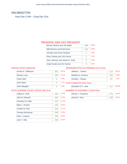## WILMINGTON

Assy Dist 114th - Cong Dist 21st

#### PRESIDENT AND VICE PRESIDENT

| Barack Obama and Joe Biden     | 356 | 60.9% |
|--------------------------------|-----|-------|
| Mitt Romney and Paul Ryan      | 222 | 37.9% |
| Jill Stein and Cheri Honkala   |     | 0.2%  |
| Peta Lindsay and Yari Osorio   | 1   | 0.2%  |
| Gary Johnson and James P. Gray | 5   | 0.9%  |
| Virgil Goode and Jim Clymer    |     | 0.0%  |

#### UNITED STATES SENATOR

| Kirsten F. Gillibrand | 362 | 66.7% |
|-----------------------|-----|-------|
| <b>Wendy Long</b>     | 169 | 31.1% |
| Colia Clark           | 3   | 0.6%  |
| <b>Chris Edes</b>     |     | 0.7%  |
| John Mangelli         | h   | 0.9%  |

#### REPRESENTATIVE IN CONGRESS (21st Dist)

| William L. Owens                 | 310 | 56.1%  |
|----------------------------------|-----|--------|
| Matthew A. Doheny                | 230 | 41.6%  |
| Donald L. Hassig                 | 13  | 2.4%   |
| <b>STATE SENATOR (45th Dist)</b> |     |        |
| Elizabeth O'C. Little            | 417 | 100.0% |
| MEMOED OF ACCEMOUV (114th Dict)  |     |        |

#### STATE SUPREME COURT JUSTICE (4th Dist)

| Jeffrey D. Wait        | 250 | 13.4% |
|------------------------|-----|-------|
| John M. Silvestri      | 267 | 14.3% |
| Christine M. Clark     | 275 | 14.7% |
| Mark L. Powers         | 248 | 13.3% |
| Joseph M. Sise         | 219 | 11.7% |
| <b>Thomas Buchanan</b> | 206 | 11.0% |
| Felix J. Catena        | 199 | 10.6% |
| John T. Ellis          | 206 | 11.0% |
|                        |     |       |

| Dennis J. Tarantino | 51.8% |
|---------------------|-------|
| Daniel G. Stec      | 48.2% |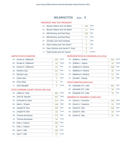## WILMINGTON ED#: 0

#### PRESIDENT AND VICE PRESIDENT

| $1A$ : | Barack Obama and Joe Biden     | 345 | <b>DFM</b>   |
|--------|--------------------------------|-----|--------------|
| 1D:    | Barack Obama and Joe Biden     | 11  | <b>WOR</b>   |
| 1B:    | Mitt Romney and Paul Ryan      | 195 | <b>REP</b>   |
|        | 1C: Mitt Romney and Paul Ryan  | 27  | <b>CON</b>   |
| $1F$ : | Jill Stein and Cheri Honkala   | 1   | <b>GRE</b>   |
| 1G:    | Peta Lindsay and Yari Osorio   | 1   | <b>SOC</b>   |
| $1H$ : | Gary Johnson and James P. Gray | 5   | <b>LIB</b>   |
| 1I:    | Virgil Goode and Jim Clymer    | ∩   | <b>CONST</b> |

#### UNITED STATES SENATOR

| $2A$ : | Kirsten E. Gillibrand | 320 | <b>DEM</b> |
|--------|-----------------------|-----|------------|
| 2D:    | Kirsten E. Gillibrand | 19  | <b>WOR</b> |
| 2E:    | Kirsten E. Gillibrand | 23  | <b>IND</b> |
| 2B:    | <b>Wendy Long</b>     | 147 | <b>REP</b> |
| 2C:    | <b>Wendy Long</b>     | 22  | <b>CON</b> |
| 2F:    | Colia Clark           | 3   | <b>GRE</b> |
| 2H:    | <b>Chris Edes</b>     | 4   | <b>LIB</b> |
| $2$ :  | John Mangelli         | 5   | <b>COM</b> |
|        |                       |     |            |

#### STATE SUPREME COURT JUSTICE (4th Dist)

| $3A$ : | Jeffrey D. Wait        | 250 | <b>DEM</b> |
|--------|------------------------|-----|------------|
| 4A:    | John M. Silvestri      | 267 | <b>DEM</b> |
| 5A:    | Christine M. Clark     | 275 | <b>DEM</b> |
| 6A:    | Mark L. Powers         | 248 | <b>DEM</b> |
| 3B:    | Joseph M. Sise         | 184 | <b>REP</b> |
| 3C:    | Joseph M. Sise         | 35  | <b>CON</b> |
| 4B:    | <b>Thomas Buchanan</b> | 172 | <b>REP</b> |
| 4C     | Thomas Buchanan        | 34  | <b>CON</b> |
| 5B:    | Felix J. Catena        | 163 | <b>REP</b> |
| $5C$ : | Felix J. Catena        | 36  | <b>CON</b> |
| 6B:    | John T. Ellis          | 169 | <b>REP</b> |
| 6C:    | John T. Ellis          | 37  | <b>CON</b> |

## REPRESENTATIVE IN CONGRESS (21st Dist)

| $7A$ : | William L. Owens  | 294 | <b>DEM</b> |
|--------|-------------------|-----|------------|
| 7D:    | William L. Owens  | 16  | <b>WOR</b> |
| 7B:    | Matthew A. Doheny | 188 | <b>REP</b> |
| 7C:    | Matthew A. Doheny | 30  | <b>CON</b> |
| 7E:    | Matthew A. Doheny | 12  | <b>IND</b> |
| 7F:    | Donald L. Hassig  | 13  | <b>GRE</b> |

#### STATE SENATOR (45th Dist)

| 8B: Elizabeth O'C. Little | 302 | RFP        |
|---------------------------|-----|------------|
| 8C: Elizabeth O'C. Little | 36  | <b>CON</b> |
| 8E: Elizabeth O'C. Little |     | <b>IND</b> |

| 9A: | Dennis J. Tarantino | 258 | <b>DEM</b> |
|-----|---------------------|-----|------------|
| 9D: | Dennis J. Tarantino | 16  | <b>WOR</b> |
| 9B: | Daniel G. Stec      | 203 | <b>REP</b> |
| 9C: | Daniel G. Stec      | 28  | <b>CON</b> |
| 9E: | Daniel G. Stec      | 24  | <b>IND</b> |